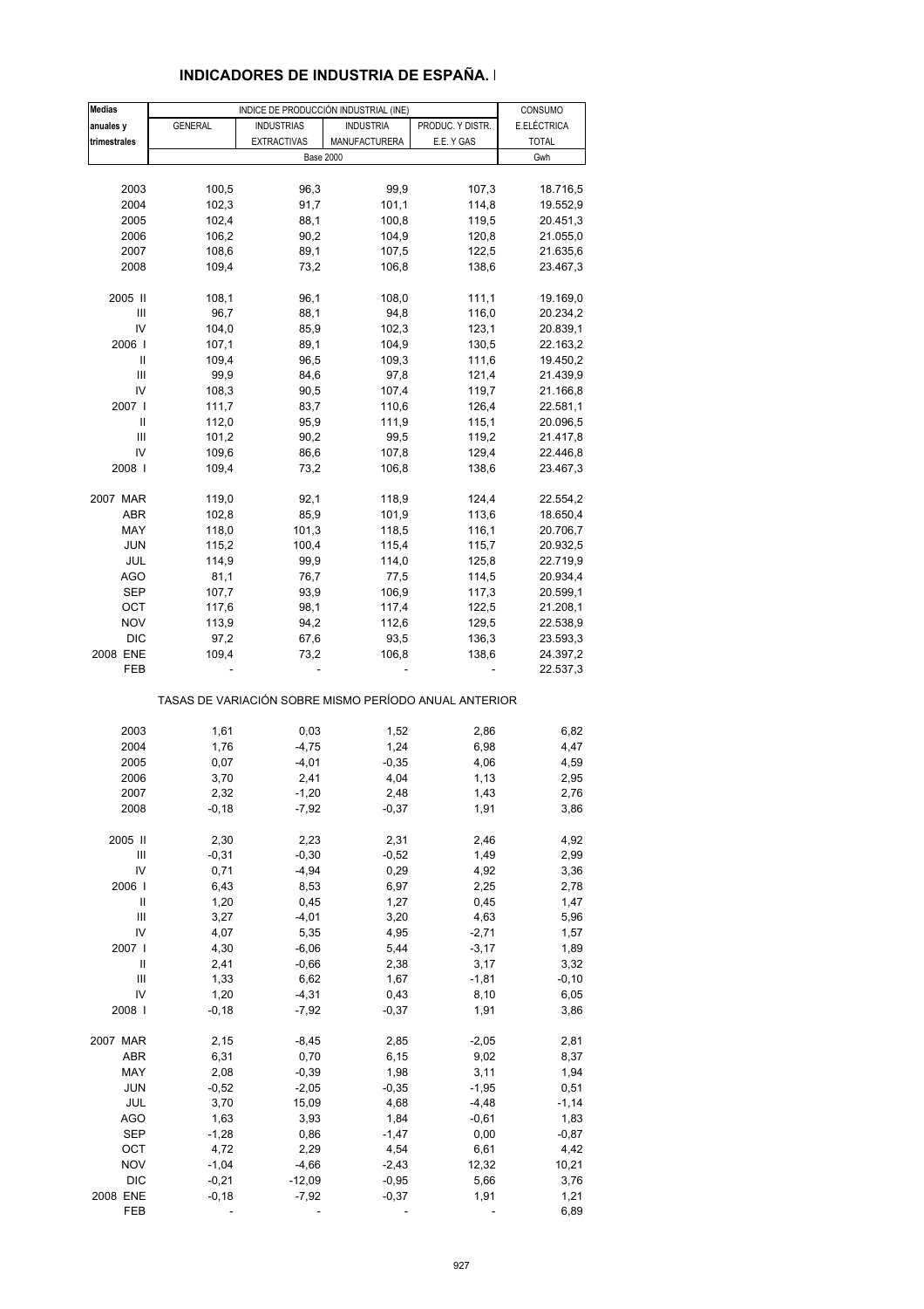| INDICADORES DE INDUSTRIA DE ESPAÑA. |
|-------------------------------------|
|                                     |

| <b>Medias</b>                      |                | INDICE DE PRODUCCIÓN INDUSTRIAL (INE)                 |                  |                  | CONSUMO      |
|------------------------------------|----------------|-------------------------------------------------------|------------------|------------------|--------------|
| anuales y                          | <b>GENERAL</b> | <b>INDUSTRIAS</b>                                     | <b>INDUSTRIA</b> | PRODUC. Y DISTR. | E.ELÉCTRICA  |
|                                    |                |                                                       |                  | E.E. Y GAS       |              |
| trimestrales                       |                | <b>EXTRACTIVAS</b>                                    | MANUFACTURERA    |                  | <b>TOTAL</b> |
|                                    |                | <b>Base 2000</b>                                      |                  |                  | Gwh          |
|                                    |                |                                                       |                  |                  |              |
| 2003                               | 100,5          | 96,3                                                  | 99,9             | 107,3            | 18.716,5     |
| 2004                               | 102,3          | 91,7                                                  | 101,1            | 114,8            | 19.552,9     |
| 2005                               | 102,4          | 88,1                                                  | 100,8            | 119,5            | 20.451,3     |
| 2006                               | 106,2          | 90,2                                                  | 104,9            | 120,8            | 21.055,0     |
| 2007                               | 108,6          | 89,1                                                  | 107,5            | 122,5            | 21.635,6     |
| 2008                               | 109,4          | 73,2                                                  | 106,8            | 138,6            | 23.467,3     |
|                                    |                |                                                       |                  |                  |              |
| 2005 II                            |                |                                                       |                  |                  |              |
|                                    | 108,1          | 96,1                                                  | 108,0            | 111,1            | 19.169,0     |
| Ш                                  | 96,7           | 88,1                                                  | 94,8             | 116,0            | 20.234,2     |
| IV                                 | 104,0          | 85,9                                                  | 102,3            | 123,1            | 20.839,1     |
| 2006                               | 107,1          | 89,1                                                  | 104,9            | 130,5            | 22.163,2     |
| $\sf II$                           | 109,4          | 96,5                                                  | 109,3            | 111,6            | 19.450,2     |
| Ш                                  | 99,9           | 84,6                                                  | 97,8             | 121,4            | 21.439,9     |
| IV                                 | 108,3          | 90,5                                                  | 107,4            | 119,7            | 21.166,8     |
| 2007 l                             | 111,7          | 83,7                                                  | 110,6            | 126,4            | 22.581,1     |
|                                    |                | 95,9                                                  |                  |                  |              |
| Ш                                  | 112,0          |                                                       | 111,9            | 115,1            | 20.096,5     |
| Ш                                  | 101,2          | 90,2                                                  | 99,5             | 119,2            | 21.417,8     |
| IV                                 | 109,6          | 86,6                                                  | 107,8            | 129,4            | 22.446,8     |
| 2008                               | 109,4          | 73,2                                                  | 106,8            | 138,6            | 23.467,3     |
|                                    |                |                                                       |                  |                  |              |
| 2007 MAR                           | 119,0          | 92,1                                                  | 118,9            | 124,4            | 22.554,2     |
| ABR                                | 102,8          | 85,9                                                  | 101,9            | 113,6            | 18.650,4     |
| MAY                                | 118,0          | 101,3                                                 | 118,5            | 116,1            | 20.706,7     |
| <b>JUN</b>                         | 115,2          | 100,4                                                 | 115,4            | 115,7            | 20.932,5     |
| JUL                                | 114,9          | 99,9                                                  | 114,0            | 125,8            | 22.719,9     |
| <b>AGO</b>                         | 81,1           | 76,7                                                  | 77,5             | 114,5            | 20.934,4     |
|                                    |                |                                                       |                  |                  |              |
| SEP                                | 107,7          | 93,9                                                  | 106,9            | 117,3            | 20.599,1     |
| OCT                                | 117,6          | 98,1                                                  | 117,4            | 122,5            | 21.208,1     |
| <b>NOV</b>                         | 113,9          | 94,2                                                  | 112,6            | 129,5            | 22.538,9     |
| DIC                                | 97,2           | 67,6                                                  | 93,5             | 136,3            | 23.593,3     |
| 2008 ENE                           | 109,4          | 73,2                                                  | 106,8            | 138,6            | 24.397,2     |
| FEB                                |                |                                                       |                  |                  | 22.537,3     |
|                                    |                |                                                       |                  |                  |              |
|                                    |                | TASAS DE VARIACIÓN SOBRE MISMO PERÍODO ANUAL ANTERIOR |                  |                  |              |
|                                    |                |                                                       |                  |                  |              |
| 2003                               | 1,61           | 0,03                                                  | 1,52             | 2,86             | 6,82         |
| 2004                               | 1,76           | $-4,75$                                               | 1,24             | 6,98             | 4,47         |
| 2005                               | 0,07           | $-4,01$                                               | $-0,35$          | 4,06             | 4,59         |
| 2006                               | 3,70           | 2,41                                                  | 4,04             | 1,13             | 2,95         |
| 2007                               | 2,32           | $-1,20$                                               | 2,48             | 1,43             | 2,76         |
| 2008                               | $-0,18$        | $-7,92$                                               | $-0,37$          | 1,91             | 3,86         |
|                                    |                |                                                       |                  |                  |              |
| 2005 II                            | 2,30           | 2,23                                                  | 2,31             | 2,46             | 4,92         |
| Ш                                  | $-0,31$        | $-0,30$                                               | $-0,52$          | 1,49             | 2,99         |
| IV                                 | 0,71           | $-4,94$                                               | 0,29             | 4,92             | 3,36         |
| 2006                               | 6,43           | 8,53                                                  | 6,97             | 2,25             | 2,78         |
|                                    |                |                                                       |                  |                  |              |
| Ш                                  | 1,20           | 0,45                                                  | 1,27             | 0,45             | 1,47         |
| $\ensuremath{\mathsf{III}}\xspace$ | 3,27           | $-4,01$                                               | 3,20             | 4,63             | 5,96         |
| IV                                 | 4,07           | 5,35                                                  | 4,95             | $-2,71$          | 1,57         |
| 2007 l                             | 4,30           | $-6,06$                                               | 5,44             | $-3,17$          | 1,89         |
| Ш                                  | 2,41           | $-0,66$                                               | 2,38             | 3,17             | 3,32         |
| Ш                                  | 1,33           | 6,62                                                  | 1,67             | $-1,81$          | $-0, 10$     |
| IV                                 | 1,20           | $-4,31$                                               | 0,43             | 8,10             | 6,05         |
| 2008                               | $-0,18$        | $-7,92$                                               | $-0,37$          | 1,91             | 3,86         |
|                                    |                |                                                       |                  |                  |              |
| 2007 MAR                           | 2,15           | $-8,45$                                               | 2,85             | $-2,05$          | 2,81         |
| ABR                                | 6,31           | 0,70                                                  | 6, 15            | 9,02             | 8,37         |
| MAY                                | 2,08           | $-0,39$                                               | 1,98             | 3,11             | 1,94         |
| <b>JUN</b>                         | $-0,52$        | $-2,05$                                               | $-0,35$          | $-1,95$          | 0,51         |
|                                    |                |                                                       |                  |                  |              |
| JUL                                | 3,70           | 15,09                                                 | 4,68             | $-4,48$          | $-1,14$      |
| <b>AGO</b>                         | 1,63           | 3,93                                                  | 1,84             | $-0,61$          | 1,83         |
| SEP                                | $-1,28$        | 0,86                                                  | $-1,47$          | 0,00             | $-0,87$      |
| OCT                                | 4,72           | 2,29                                                  | 4,54             | 6,61             | 4,42         |
| <b>NOV</b>                         | $-1,04$        | $-4,66$                                               | $-2,43$          | 12,32            | 10,21        |
| <b>DIC</b>                         | $-0,21$        | $-12,09$                                              | $-0,95$          | 5,66             | 3,76         |
| 2008 ENE                           | $-0,18$        | $-7,92$                                               | $-0,37$          | 1,91             | 1,21         |
| FEB                                |                |                                                       |                  |                  | 6,89         |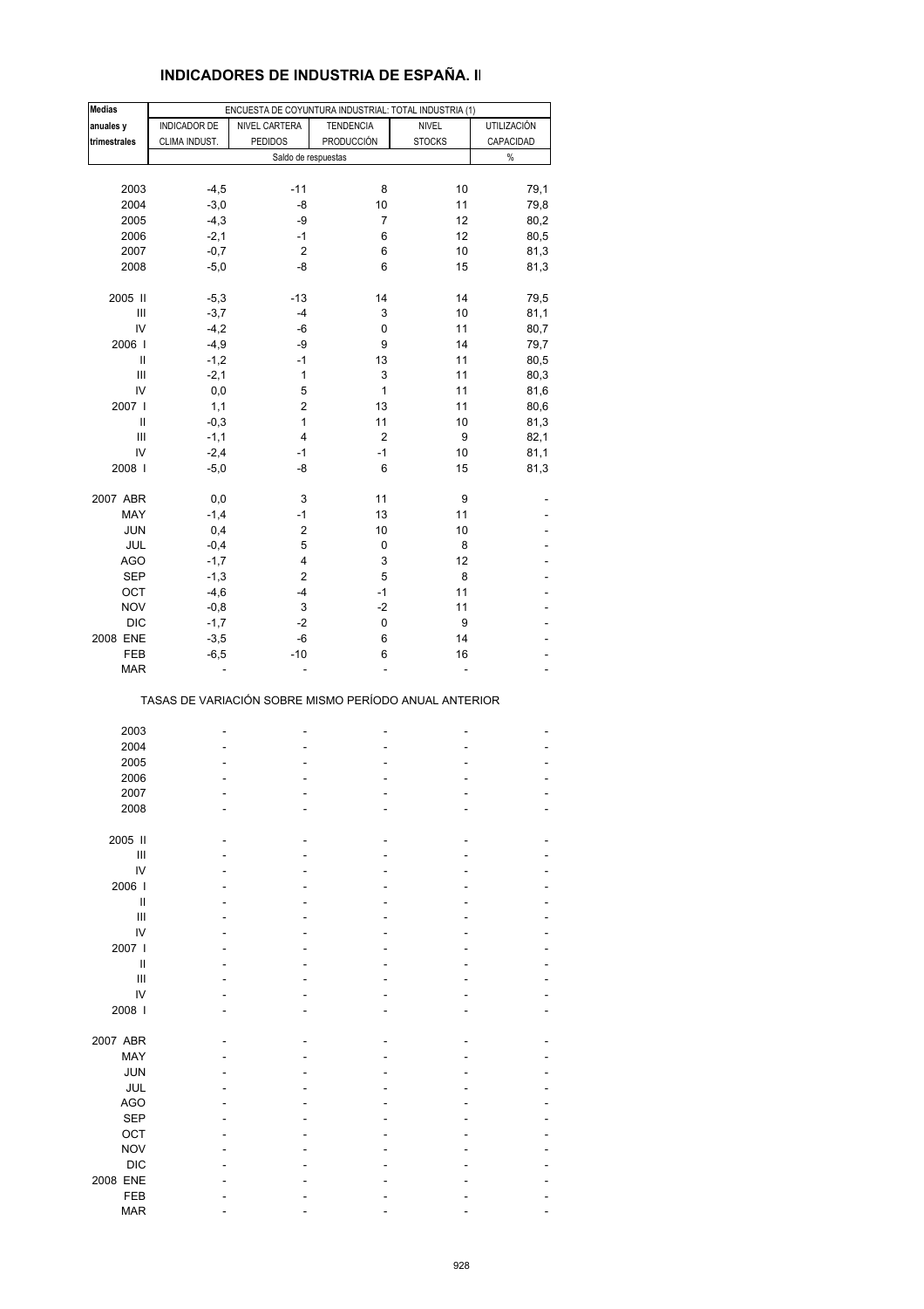| <b>INDICADORES DE INDUSTRIA DE ESPANA. II</b> |  |
|-----------------------------------------------|--|
|                                               |  |
|                                               |  |
|                                               |  |
|                                               |  |

| <b>Medias</b>                      |               | ENCUESTA DE COYUNTURA INDUSTRIAL: TOTAL INDUSTRIA (1) |                         |               |                    |
|------------------------------------|---------------|-------------------------------------------------------|-------------------------|---------------|--------------------|
| anuales y                          | INDICADOR DE  | NIVEL CARTERA                                         | <b>TENDENCIA</b>        | <b>NIVEL</b>  | <b>UTILIZACIÓN</b> |
| trimestrales                       | CLIMA INDUST. | <b>PEDIDOS</b>                                        | PRODUCCIÓN              | <b>STOCKS</b> | CAPACIDAD          |
|                                    |               | Saldo de respuestas                                   |                         |               | $\%$               |
|                                    |               |                                                       |                         |               |                    |
| 2003                               |               | $-11$                                                 | 8                       | 10            | 79,1               |
|                                    | $-4,5$        |                                                       |                         |               |                    |
| 2004                               | $-3,0$        | -8                                                    | 10                      | 11            | 79,8               |
| 2005                               | $-4,3$        | -9                                                    | 7                       | 12            | 80,2               |
| 2006                               | $-2,1$        | $-1$                                                  | 6                       | 12            | 80,5               |
| 2007                               | $-0,7$        | $\overline{c}$                                        | 6                       | 10            | 81,3               |
| 2008                               | $-5,0$        | -8                                                    | 6                       | 15            | 81,3               |
|                                    |               |                                                       |                         |               |                    |
| 2005 II                            | $-5,3$        | $-13$                                                 | 14                      | 14            | 79,5               |
| Ш                                  | $-3,7$        | -4                                                    | 3                       | 10            | 81,1               |
| IV                                 | $-4,2$        | -6                                                    | 0                       | 11            | 80,7               |
| 2006                               | $-4,9$        | -9                                                    | 9                       | 14            | 79,7               |
| Ш                                  | $-1,2$        | $-1$                                                  | 13                      | 11            | 80,5               |
| $\ensuremath{\mathsf{III}}\xspace$ | $-2,1$        | 1                                                     | 3                       | 11            | 80,3               |
| IV                                 | 0,0           | 5                                                     | $\mathbf{1}$            | 11            | 81,6               |
| 2007                               | 1,1           | 2                                                     | 13                      | 11            | 80,6               |
| Ш                                  | $-0,3$        | 1                                                     | 11                      | 10            | 81,3               |
| Ш                                  | $-1,1$        | $\overline{4}$                                        | $\overline{\mathbf{c}}$ | 9             | 82,1               |
| IV                                 | $-2,4$        | $-1$                                                  | $-1$                    | 10            | 81,1               |
| 2008                               | $-5,0$        | -8                                                    | 6                       | 15            | 81,3               |
|                                    |               |                                                       |                         |               |                    |
| 2007 ABR                           | 0,0           | 3                                                     | 11                      | 9             |                    |
| MAY                                | $-1,4$        | $-1$                                                  | 13                      | 11            |                    |
| JUN                                | 0,4           | 2                                                     | 10                      | 10            |                    |
| JUL                                | $-0,4$        | 5                                                     | 0                       | 8             |                    |
| <b>AGO</b>                         | $-1,7$        | 4                                                     | 3                       | 12            |                    |
| SEP                                | $-1,3$        | 2                                                     | 5                       | 8             |                    |
| OCT                                | $-4,6$        | $-4$                                                  | $-1$                    | 11            |                    |
|                                    |               |                                                       |                         |               |                    |
| <b>NOV</b>                         | $-0,8$        | 3                                                     | $-2$                    | 11            |                    |
| <b>DIC</b>                         | $-1,7$        | $-2$                                                  | 0                       | 9             |                    |
| 2008 ENE                           | $-3,5$        | -6                                                    | 6                       | 14            |                    |
| FEB                                | $-6,5$        | $-10$                                                 | 6                       | 16            |                    |
| <b>MAR</b>                         |               |                                                       |                         |               |                    |
|                                    |               | TASAS DE VARIACIÓN SOBRE MISMO PERÍODO ANUAL ANTERIOR |                         |               |                    |
|                                    |               |                                                       |                         |               |                    |
| 2003                               |               |                                                       |                         |               |                    |
| 2004                               |               |                                                       |                         |               |                    |
| 2005                               |               |                                                       |                         |               |                    |
| 2006                               |               |                                                       |                         |               |                    |
| 2007                               |               |                                                       |                         |               |                    |
| 2008                               |               |                                                       |                         |               |                    |
|                                    |               |                                                       |                         |               |                    |
| 2005 II                            |               |                                                       |                         |               |                    |
| Ш                                  |               |                                                       |                         |               |                    |
| IV                                 |               |                                                       |                         |               |                    |
| 2006                               |               |                                                       |                         |               |                    |
| $\sf II$                           |               |                                                       |                         |               |                    |
| Ш                                  |               |                                                       |                         |               |                    |
| IV                                 |               |                                                       |                         |               |                    |
| 2007 l                             |               |                                                       |                         |               |                    |
| Ш                                  |               |                                                       |                         |               |                    |
| Ш                                  |               |                                                       |                         |               |                    |
| IV                                 |               |                                                       |                         |               |                    |
| 2008 l                             |               |                                                       |                         |               |                    |
|                                    |               |                                                       |                         |               |                    |
| 2007 ABR                           |               |                                                       |                         |               |                    |
| MAY                                |               |                                                       |                         |               |                    |
| JUN                                |               |                                                       |                         |               |                    |
| JUL                                |               |                                                       |                         |               |                    |
| <b>AGO</b>                         |               |                                                       |                         |               |                    |
| <b>SEP</b>                         |               |                                                       |                         |               |                    |
| OCT                                |               |                                                       |                         |               |                    |
| <b>NOV</b>                         |               |                                                       |                         |               |                    |
|                                    |               |                                                       |                         |               |                    |
| <b>DIC</b>                         |               |                                                       |                         |               |                    |
| 2008 ENE                           |               |                                                       |                         |               |                    |
| FEB                                |               |                                                       |                         |               |                    |
| <b>MAR</b>                         |               |                                                       |                         |               |                    |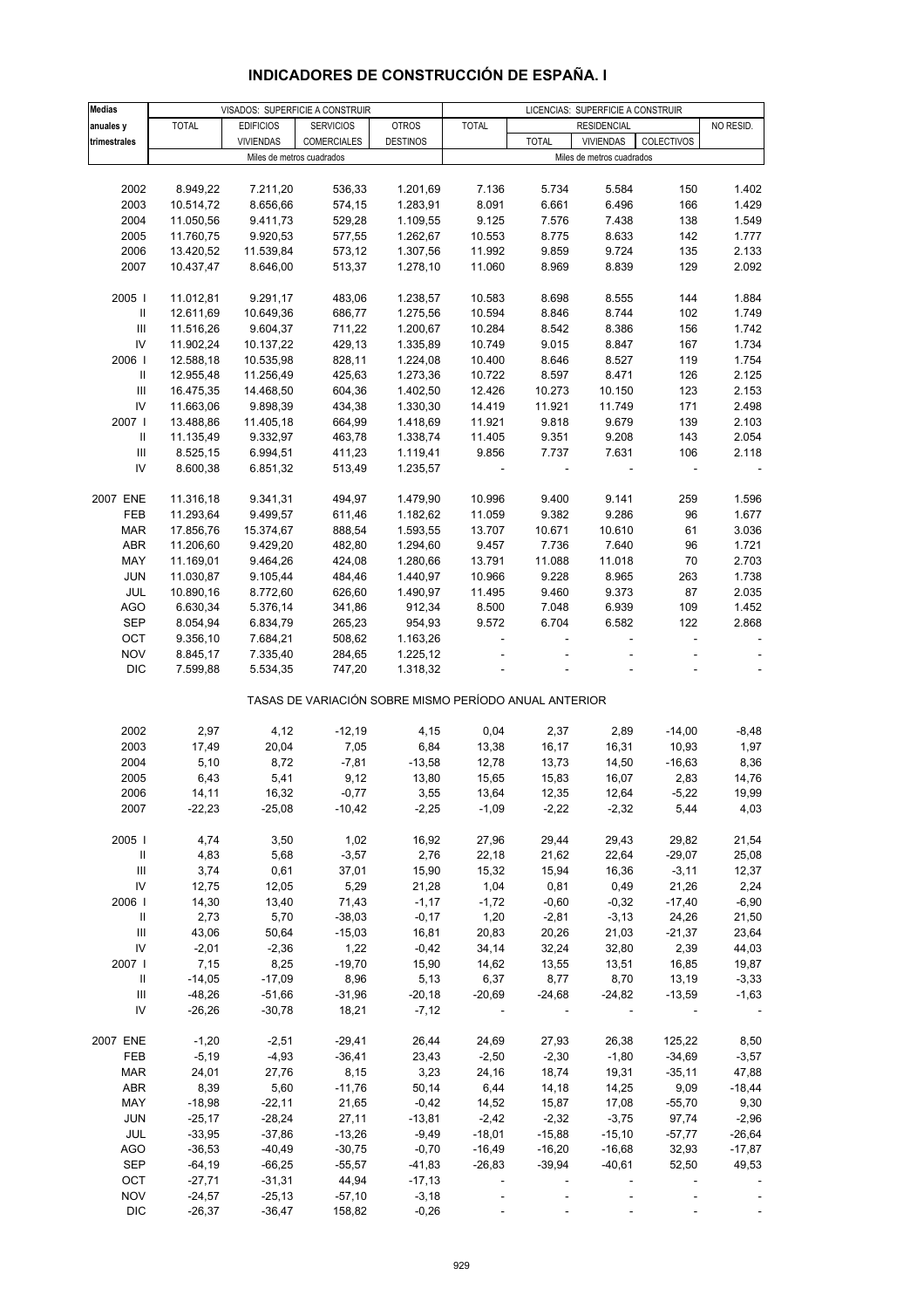| <b>Medias</b>                      |              |                           | VISADOS: SUPERFICIE A CONSTRUIR                       |                 | LICENCIAS: SUPERFICIE A CONSTRUIR |              |                           |                          |                          |
|------------------------------------|--------------|---------------------------|-------------------------------------------------------|-----------------|-----------------------------------|--------------|---------------------------|--------------------------|--------------------------|
| anuales y                          | <b>TOTAL</b> | <b>EDIFICIOS</b>          | <b>SERVICIOS</b>                                      | <b>OTROS</b>    | <b>TOTAL</b>                      |              | <b>RESIDENCIAL</b>        |                          | NO RESID.                |
| trimestrales                       |              | <b>VIVIENDAS</b>          | <b>COMERCIALES</b>                                    | <b>DESTINOS</b> |                                   | <b>TOTAL</b> | <b>VIVIENDAS</b>          | COLECTIVOS               |                          |
|                                    |              | Miles de metros cuadrados |                                                       |                 |                                   |              | Miles de metros cuadrados |                          |                          |
|                                    |              |                           |                                                       |                 |                                   |              |                           |                          |                          |
| 2002                               | 8.949,22     | 7.211,20                  | 536,33                                                | 1.201,69        | 7.136                             | 5.734        | 5.584                     | 150                      | 1.402                    |
| 2003                               | 10.514,72    | 8.656,66                  | 574,15                                                | 1.283,91        | 8.091                             | 6.661        | 6.496                     | 166                      | 1.429                    |
| 2004                               | 11.050,56    | 9.411,73                  | 529,28                                                | 1.109,55        | 9.125                             | 7.576        | 7.438                     | 138                      | 1.549                    |
| 2005                               | 11.760,75    | 9.920,53                  | 577,55                                                | 1.262,67        | 10.553                            | 8.775        | 8.633                     | 142                      | 1.777                    |
| 2006                               | 13.420,52    | 11.539,84                 | 573,12                                                | 1.307,56        | 11.992                            | 9.859        | 9.724                     | 135                      | 2.133                    |
| 2007                               | 10.437,47    | 8.646,00                  | 513,37                                                | 1.278,10        | 11.060                            | 8.969        | 8.839                     | 129                      | 2.092                    |
|                                    |              |                           |                                                       |                 |                                   |              |                           |                          |                          |
| 2005                               | 11.012,81    | 9.291,17                  | 483,06                                                | 1.238,57        | 10.583                            | 8.698        | 8.555                     | 144                      | 1.884                    |
| Ш                                  | 12.611,69    | 10.649,36                 | 686,77                                                | 1.275,56        | 10.594                            | 8.846        | 8.744                     | 102                      | 1.749                    |
| III                                | 11.516,26    | 9.604,37                  | 711,22                                                | 1.200,67        | 10.284                            | 8.542        | 8.386                     | 156                      | 1.742                    |
| IV                                 | 11.902,24    | 10.137,22                 | 429,13                                                | 1.335,89        | 10.749                            | 9.015        | 8.847                     | 167                      | 1.734                    |
| 2006                               | 12.588,18    | 10.535,98                 | 828,11                                                | 1.224,08        | 10.400                            | 8.646        | 8.527                     | 119                      | 1.754                    |
| Ш                                  | 12.955,48    | 11.256,49                 | 425,63                                                | 1.273,36        | 10.722                            | 8.597        | 8.471                     | 126                      | 2.125                    |
| $\ensuremath{\mathsf{III}}\xspace$ | 16.475,35    | 14.468,50                 | 604,36                                                | 1.402,50        | 12.426                            | 10.273       | 10.150                    | 123                      | 2.153                    |
| IV                                 | 11.663,06    | 9.898,39                  | 434,38                                                | 1.330,30        | 14.419                            | 11.921       | 11.749                    | 171                      | 2.498                    |
| 2007                               | 13.488,86    | 11.405,18                 | 664,99                                                | 1.418,69        | 11.921                            | 9.818        | 9.679                     | 139                      | 2.103                    |
| $\, \parallel$                     | 11.135,49    | 9.332,97                  | 463,78                                                | 1.338,74        | 11.405                            | 9.351        | 9.208                     | 143                      | 2.054                    |
| $\ensuremath{\mathsf{III}}\xspace$ | 8.525,15     | 6.994,51                  | 411,23                                                | 1.119,41        | 9.856                             | 7.737        | 7.631                     | 106                      | 2.118                    |
| IV                                 | 8.600,38     | 6.851,32                  | 513,49                                                | 1.235,57        |                                   |              |                           |                          |                          |
|                                    |              |                           |                                                       |                 |                                   |              |                           |                          |                          |
| 2007 ENE                           | 11.316,18    | 9.341,31                  | 494,97                                                | 1.479,90        | 10.996                            | 9.400        | 9.141                     | 259                      | 1.596                    |
| FEB                                | 11.293,64    | 9.499,57                  | 611,46                                                | 1.182,62        | 11.059                            | 9.382        | 9.286                     | 96                       | 1.677                    |
| <b>MAR</b>                         | 17.856,76    | 15.374,67                 | 888,54                                                | 1.593,55        | 13.707                            | 10.671       | 10.610                    | 61                       | 3.036                    |
| ABR                                | 11.206,60    | 9.429,20                  | 482,80                                                | 1.294,60        | 9.457                             | 7.736        | 7.640                     | 96                       | 1.721                    |
| MAY                                | 11.169,01    | 9.464,26                  | 424,08                                                | 1.280,66        | 13.791                            | 11.088       | 11.018                    | 70                       | 2.703                    |
| JUN                                | 11.030,87    | 9.105,44                  | 484,46                                                | 1.440,97        | 10.966                            | 9.228        | 8.965                     | 263                      | 1.738                    |
| JUL                                | 10.890,16    | 8.772,60                  | 626,60                                                | 1.490,97        | 11.495                            | 9.460        | 9.373                     | 87                       | 2.035                    |
| <b>AGO</b>                         | 6.630,34     | 5.376,14                  | 341,86                                                | 912,34          | 8.500                             | 7.048        | 6.939                     | 109                      | 1.452                    |
| <b>SEP</b>                         | 8.054,94     | 6.834,79                  | 265,23                                                | 954,93          | 9.572                             | 6.704        | 6.582                     | 122                      | 2.868                    |
| OCT                                | 9.356,10     | 7.684,21                  | 508,62                                                | 1.163,26        |                                   |              |                           | $\overline{\phantom{a}}$ | $\overline{\phantom{a}}$ |
| <b>NOV</b>                         | 8.845,17     | 7.335,40                  | 284,65                                                | 1.225,12        |                                   |              |                           | ÷,                       |                          |
| <b>DIC</b>                         | 7.599,88     | 5.534,35                  | 747,20                                                | 1.318,32        |                                   |              |                           |                          | $\Box$                   |
|                                    |              |                           | TASAS DE VARIACIÓN SOBRE MISMO PERÍODO ANUAL ANTERIOR |                 |                                   |              |                           |                          |                          |
|                                    |              |                           |                                                       |                 |                                   |              |                           |                          |                          |
| 2002                               | 2,97         | 4,12                      | $-12,19$                                              | 4,15            | 0,04                              | 2,37         | 2,89                      | $-14,00$                 | $-8,48$                  |
| 2003                               | 17,49        | 20,04                     | 7,05                                                  | 6,84            | 13,38                             | 16,17        | 16,31                     | 10,93                    | 1,97                     |
| 2004                               | 5,10         | 8,72                      | $-7,81$                                               | $-13,58$        | 12,78                             | 13,73        | 14,50                     | $-16,63$                 | 8,36                     |
| 2005                               | 6,43         | 5,41                      | 9,12                                                  | 13,80           | 15,65                             | 15,83        | 16,07                     | 2,83                     | 14,76                    |
| 2006                               | 14, 11       | 16,32                     | $-0,77$                                               | 3,55            | 13,64                             | 12,35        | 12,64                     | $-5,22$                  | 19,99                    |
| 2007                               | $-22,23$     | $-25,08$                  | $-10,42$                                              | $-2,25$         | $-1,09$                           | $-2,22$      | $-2,32$                   | 5,44                     | 4,03                     |
|                                    |              |                           |                                                       |                 |                                   |              |                           |                          |                          |
| 2005                               | 4,74         | 3,50                      | 1,02                                                  | 16,92           | 27,96                             | 29,44        | 29,43                     | 29,82                    | 21,54                    |
| Ш                                  | 4,83         | 5,68                      | $-3,57$                                               | 2,76            | 22,18                             | 21,62        | 22,64                     | $-29,07$                 | 25,08                    |
| $\ensuremath{\mathsf{III}}\xspace$ | 3,74         | 0,61                      | 37,01                                                 | 15,90           | 15,32                             | 15,94        | 16,36                     | $-3,11$                  | 12,37                    |
| IV                                 | 12,75        | 12,05                     | 5,29                                                  | 21,28           | 1,04                              | 0,81         | 0,49                      | 21,26                    | 2,24                     |
| 2006                               | 14,30        | 13,40                     | 71,43                                                 | $-1,17$         | $-1,72$                           | $-0,60$      | $-0,32$                   | $-17,40$                 | $-6,90$                  |
| $\mathbf{II}$                      | 2,73         | 5,70                      | $-38,03$                                              | $-0,17$         | 1,20                              | $-2,81$      | $-3, 13$                  | 24,26                    | 21,50                    |
| Ш                                  | 43,06        | 50,64                     | $-15,03$                                              | 16,81           | 20,83                             | 20,26        | 21,03                     | $-21,37$                 | 23,64                    |
| IV                                 | $-2,01$      | $-2,36$                   | 1,22                                                  | $-0,42$         | 34,14                             | 32,24        | 32,80                     | 2,39                     | 44,03                    |
| 2007                               | 7,15         | 8,25                      | $-19,70$                                              | 15,90           | 14,62                             | 13,55        | 13,51                     | 16,85                    | 19,87                    |
| $\mathbf{II}$                      | $-14,05$     | $-17,09$                  | 8,96                                                  | 5,13            | 6,37                              | 8,77         | 8,70                      | 13,19                    | $-3,33$                  |
| Ш                                  | $-48,26$     | $-51,66$                  | $-31,96$                                              | $-20,18$        | $-20,69$                          | $-24,68$     | $-24,82$                  | $-13,59$                 | $-1,63$                  |
| IV                                 | $-26,26$     | $-30,78$                  | 18,21                                                 | $-7,12$         |                                   |              |                           |                          |                          |
| 2007 ENE                           | $-1,20$      | $-2,51$                   | $-29,41$                                              | 26,44           | 24,69                             | 27,93        | 26,38                     | 125,22                   | 8,50                     |
| FEB                                |              |                           |                                                       |                 |                                   |              |                           |                          |                          |
|                                    | $-5,19$      | $-4,93$                   | $-36,41$                                              | 23,43           | $-2,50$                           | $-2,30$      | $-1,80$                   | $-34,69$                 | $-3,57$                  |
| <b>MAR</b>                         | 24,01        | 27,76                     | 8,15                                                  | 3,23            | 24,16                             | 18,74        | 19,31                     | $-35,11$                 | 47,88                    |
| ABR                                | 8,39         | 5,60                      | $-11,76$                                              | 50,14           | 6,44                              | 14,18        | 14,25                     | 9,09                     | $-18,44$                 |
| MAY                                | $-18,98$     | $-22,11$                  | 21,65                                                 | $-0,42$         | 14,52                             | 15,87        | 17,08                     | $-55,70$                 | 9,30                     |
| <b>JUN</b>                         | $-25,17$     | $-28,24$                  | 27,11                                                 | $-13,81$        | $-2,42$                           | $-2,32$      | $-3,75$                   | 97,74                    | $-2,96$                  |
| JUL                                | $-33,95$     | $-37,86$                  | $-13,26$                                              | $-9,49$         | $-18,01$                          | $-15,88$     | $-15,10$                  | $-57,77$                 | $-26,64$                 |
| <b>AGO</b>                         | $-36,53$     | $-40,49$                  | $-30,75$                                              | $-0,70$         | $-16,49$                          | $-16,20$     | $-16,68$                  | 32,93                    | $-17,87$                 |
| <b>SEP</b>                         | $-64,19$     | $-66,25$                  | $-55,57$                                              | $-41,83$        | $-26,83$                          | $-39,94$     | $-40,61$                  | 52,50                    | 49,53                    |
| OCT                                | $-27,71$     | $-31,31$                  | 44,94                                                 | $-17,13$        |                                   |              |                           |                          |                          |
| <b>NOV</b>                         | $-24,57$     | $-25,13$                  | $-57,10$                                              | $-3,18$         |                                   |              |                           |                          |                          |
| <b>DIC</b>                         | $-26,37$     | $-36,47$                  | 158,82                                                | $-0,26$         | $\overline{\phantom{a}}$          |              |                           |                          |                          |

# **INDICADORES DE CONSTRUCCIÓN DE ESPAÑA. I**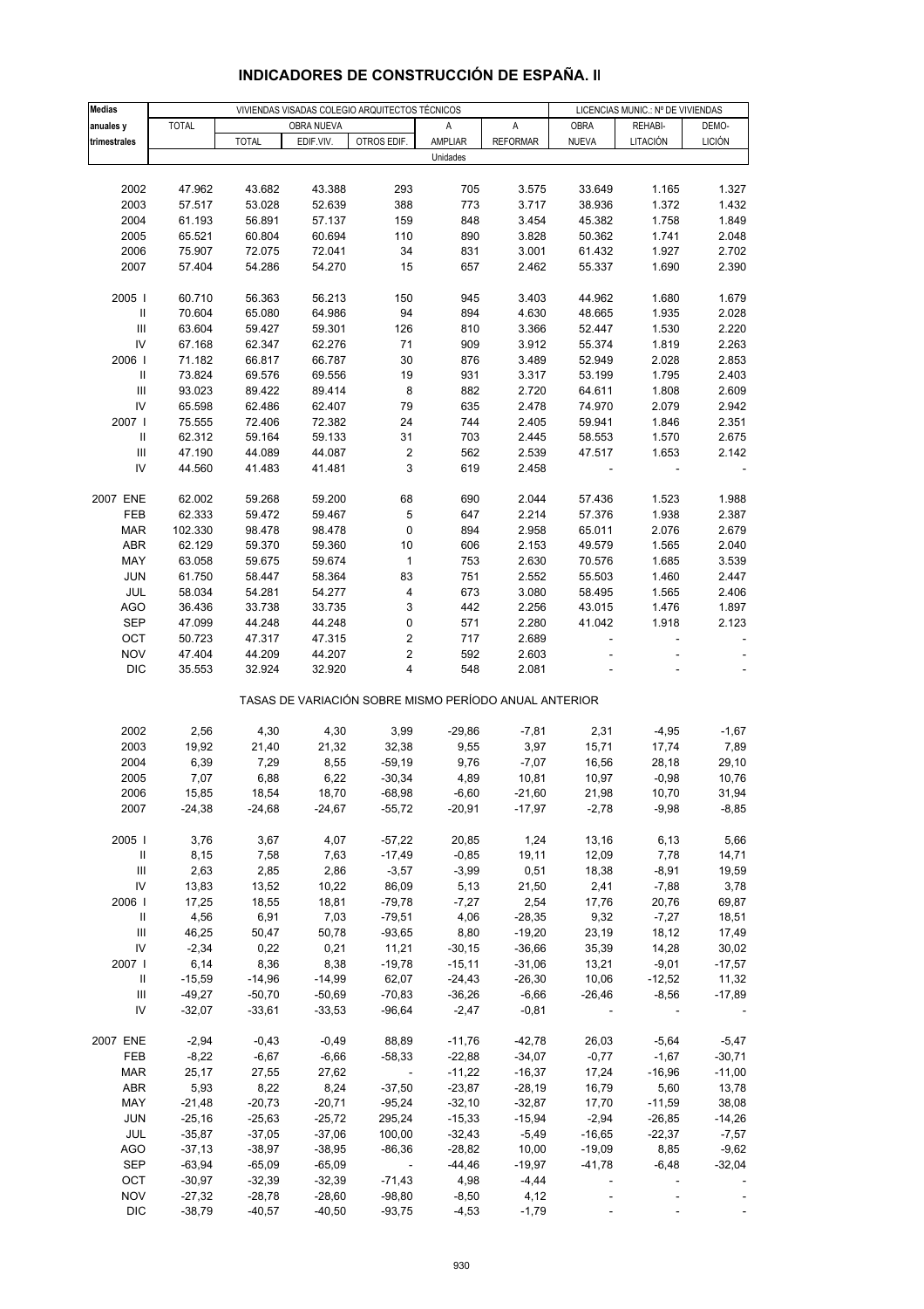| <b>Medias</b>                      |              |              | VIVIENDAS VISADAS COLEGIO ARQUITECTOS TÉCNICOS |                      | LICENCIAS MUNIC.: Nº DE VIVIENDAS                     |                 |                          |                          |               |
|------------------------------------|--------------|--------------|------------------------------------------------|----------------------|-------------------------------------------------------|-----------------|--------------------------|--------------------------|---------------|
| anuales y                          | <b>TOTAL</b> |              | OBRA NUEVA                                     |                      | Α                                                     | Α               | OBRA                     | REHABI-                  | DEMO-         |
| trimestrales                       |              | <b>TOTAL</b> | EDIF.VIV.                                      | OTROS EDIF.          | AMPLIAR                                               | <b>REFORMAR</b> | <b>NUEVA</b>             | LITACIÓN                 | <b>LICIÓN</b> |
|                                    |              |              |                                                |                      | Unidades                                              |                 |                          |                          |               |
|                                    |              |              |                                                |                      |                                                       |                 |                          |                          |               |
| 2002                               | 47.962       | 43.682       | 43.388                                         | 293                  | 705                                                   | 3.575           | 33.649                   | 1.165                    | 1.327         |
|                                    |              |              |                                                |                      |                                                       |                 |                          |                          |               |
| 2003                               | 57.517       | 53.028       | 52.639                                         | 388                  | 773                                                   | 3.717           | 38.936                   | 1.372                    | 1.432         |
| 2004                               | 61.193       | 56.891       | 57.137                                         | 159                  | 848                                                   | 3.454           | 45.382                   | 1.758                    | 1.849         |
| 2005                               | 65.521       | 60.804       | 60.694                                         | 110                  | 890                                                   | 3.828           | 50.362                   | 1.741                    | 2.048         |
| 2006                               | 75.907       | 72.075       | 72.041                                         | 34                   | 831                                                   | 3.001           | 61.432                   | 1.927                    | 2.702         |
| 2007                               | 57.404       | 54.286       | 54.270                                         | 15                   | 657                                                   | 2.462           | 55.337                   | 1.690                    | 2.390         |
|                                    |              |              |                                                |                      |                                                       |                 |                          |                          |               |
| 2005                               | 60.710       | 56.363       | 56.213                                         | 150                  | 945                                                   | 3.403           | 44.962                   | 1.680                    | 1.679         |
| $\,$ II                            | 70.604       | 65.080       | 64.986                                         | 94                   | 894                                                   | 4.630           | 48.665                   | 1.935                    | 2.028         |
| $\ensuremath{\mathsf{III}}\xspace$ | 63.604       | 59.427       | 59.301                                         | 126                  | 810                                                   | 3.366           | 52.447                   | 1.530                    | 2.220         |
| IV                                 | 67.168       | 62.347       | 62.276                                         | 71                   | 909                                                   | 3.912           | 55.374                   | 1.819                    | 2.263         |
| 2006                               | 71.182       | 66.817       | 66.787                                         | 30                   | 876                                                   | 3.489           | 52.949                   | 2.028                    | 2.853         |
| $\, \parallel$                     | 73.824       | 69.576       | 69.556                                         | 19                   | 931                                                   | 3.317           | 53.199                   | 1.795                    | 2.403         |
| $\ensuremath{\mathsf{III}}\xspace$ | 93.023       | 89.422       | 89.414                                         | 8                    | 882                                                   | 2.720           | 64.611                   | 1.808                    | 2.609         |
| IV                                 | 65.598       | 62.486       | 62.407                                         | 79                   | 635                                                   | 2.478           | 74.970                   | 2.079                    | 2.942         |
| 2007                               | 75.555       | 72.406       | 72.382                                         | 24                   | 744                                                   | 2.405           | 59.941                   | 1.846                    | 2.351         |
| $\, \parallel$                     | 62.312       | 59.164       | 59.133                                         | 31                   | 703                                                   | 2.445           | 58.553                   | 1.570                    | 2.675         |
| Ш                                  | 47.190       | 44.089       | 44.087                                         | $\boldsymbol{2}$     | 562                                                   | 2.539           | 47.517                   | 1.653                    | 2.142         |
| IV                                 | 44.560       | 41.483       | 41.481                                         | 3                    | 619                                                   | 2.458           |                          |                          |               |
|                                    |              |              |                                                |                      |                                                       |                 |                          |                          |               |
| 2007 ENE                           | 62.002       | 59.268       | 59.200                                         | 68                   | 690                                                   | 2.044           | 57.436                   | 1.523                    | 1.988         |
|                                    |              |              |                                                |                      | 647                                                   |                 | 57.376                   |                          | 2.387         |
| FEB                                | 62.333       | 59.472       | 59.467                                         | 5                    |                                                       | 2.214           |                          | 1.938                    |               |
| MAR                                | 102.330      | 98.478       | 98.478                                         | 0                    | 894                                                   | 2.958           | 65.011                   | 2.076                    | 2.679         |
| ABR                                | 62.129       | 59.370       | 59.360                                         | 10                   | 606                                                   | 2.153           | 49.579                   | 1.565                    | 2.040         |
| MAY                                | 63.058       | 59.675       | 59.674                                         | $\mathbf{1}$         | 753                                                   | 2.630           | 70.576                   | 1.685                    | 3.539         |
| <b>JUN</b>                         | 61.750       | 58.447       | 58.364                                         | 83                   | 751                                                   | 2.552           | 55.503                   | 1.460                    | 2.447         |
| JUL                                | 58.034       | 54.281       | 54.277                                         | 4                    | 673                                                   | 3.080           | 58.495                   | 1.565                    | 2.406         |
| <b>AGO</b>                         | 36.436       | 33.738       | 33.735                                         | 3                    | 442                                                   | 2.256           | 43.015                   | 1.476                    | 1.897         |
| <b>SEP</b>                         | 47.099       | 44.248       | 44.248                                         | 0                    | 571                                                   | 2.280           | 41.042                   | 1.918                    | 2.123         |
| OCT                                | 50.723       | 47.317       | 47.315                                         | 2                    | 717                                                   | 2.689           |                          |                          |               |
| <b>NOV</b>                         | 47.404       | 44.209       | 44.207                                         | 2                    | 592                                                   | 2.603           |                          |                          |               |
| <b>DIC</b>                         | 35.553       | 32.924       | 32.920                                         | 4                    | 548                                                   | 2.081           |                          |                          |               |
|                                    |              |              |                                                |                      | TASAS DE VARIACIÓN SOBRE MISMO PERÍODO ANUAL ANTERIOR |                 |                          |                          |               |
|                                    |              |              |                                                |                      |                                                       |                 |                          |                          |               |
| 2002                               | 2,56         | 4,30         | 4,30                                           | 3,99                 | $-29,86$                                              | $-7,81$         | 2,31                     | $-4,95$                  | -1,67         |
| 2003                               | 19,92        | 21,40        | 21,32                                          | 32,38                | 9,55                                                  | 3,97            | 15,71                    | 17,74                    | 7,89          |
| 2004                               | 6,39         | 7,29         | 8,55                                           | $-59,19$             | 9,76                                                  | $-7,07$         | 16,56                    | 28,18                    | 29,10         |
| 2005                               | 7,07         | 6,88         | 6,22                                           | $-30,34$             | 4,89                                                  | 10,81           | 10,97                    | $-0,98$                  | 10,76         |
| 2006                               | 15,85        | 18,54        | 18,70                                          | -68,98               | $-6,60$                                               | $-21,60$        | 21,98                    | 10,70                    | 31,94         |
| 2007                               | $-24,38$     | -24,68       | -24,67                                         | $-55,72$             | $-20.91$                                              | $-17,97$        | $-2,78$                  | $-9,98$                  | $-8,85$       |
|                                    |              |              |                                                |                      |                                                       |                 |                          |                          |               |
| 2005                               | 3,76         | 3,67         | 4,07                                           | $-57,22$             | 20,85                                                 | 1,24            | 13,16                    | 6,13                     | 5,66          |
| Ш                                  | 8,15         | 7,58         | 7,63                                           | $-17,49$             | $-0,85$                                               | 19,11           | 12,09                    | 7,78                     | 14,71         |
| Ш                                  | 2,63         | 2,85         | 2,86                                           | $-3,57$              | $-3,99$                                               | 0,51            | 18,38                    | $-8,91$                  | 19,59         |
| IV                                 | 13,83        | 13,52        | 10,22                                          | 86,09                | 5,13                                                  | 21,50           | 2,41                     | $-7,88$                  | 3,78          |
| 2006                               | 17,25        | 18,55        | 18,81                                          | $-79,78$             | $-7,27$                                               | 2,54            | 17,76                    | 20,76                    | 69,87         |
| Ш                                  | 4,56         | 6,91         | 7,03                                           | $-79,51$             | 4,06                                                  | $-28,35$        | 9,32                     | $-7,27$                  | 18,51         |
| $\ensuremath{\mathsf{III}}\xspace$ | 46,25        | 50,47        | 50,78                                          | $-93,65$             | 8,80                                                  | $-19,20$        | 23,19                    | 18,12                    | 17,49         |
| IV                                 | $-2,34$      | 0,22         | 0,21                                           | 11,21                | $-30,15$                                              | $-36,66$        | 35,39                    | 14,28                    | 30,02         |
| 2007                               | 6,14         | 8,36         | 8,38                                           | $-19,78$             | $-15,11$                                              | $-31,06$        | 13,21                    | $-9,01$                  | $-17,57$      |
| Ш                                  | $-15,59$     | $-14,96$     | $-14,99$                                       | 62,07                | $-24,43$                                              | $-26,30$        | 10,06                    | $-12,52$                 | 11,32         |
| Ш                                  | $-49,27$     | $-50,70$     | $-50,69$                                       | $-70,83$             | $-36,26$                                              | $-6,66$         | $-26,46$                 | $-8,56$                  | $-17,89$      |
| IV                                 | $-32,07$     | $-33,61$     | $-33,53$                                       | $-96,64$             | $-2,47$                                               | $-0,81$         | $\sim$                   | $\overline{\phantom{a}}$ |               |
|                                    |              |              |                                                |                      |                                                       |                 |                          |                          |               |
| 2007 ENE                           | $-2,94$      | $-0,43$      | $-0,49$                                        | 88,89                | $-11,76$                                              | $-42,78$        | 26,03                    | $-5,64$                  | $-5,47$       |
| FEB                                | $-8,22$      | $-6,67$      | $-6,66$                                        | $-58,33$             | $-22,88$                                              | $-34,07$        | $-0,77$                  | $-1,67$                  | $-30,71$      |
| MAR                                | 25,17        | 27,55        | 27,62                                          | $\sim 100$ m $^{-1}$ | $-11,22$                                              | $-16,37$        | 17,24                    | $-16,96$                 | $-11,00$      |
| <b>ABR</b>                         | 5,93         | 8,22         | 8,24                                           | $-37,50$             | $-23,87$                                              | $-28,19$        | 16,79                    | 5,60                     | 13,78         |
| MAY                                | $-21,48$     | $-20,73$     | $-20,71$                                       | $-95,24$             | $-32,10$                                              | $-32,87$        | 17,70                    | $-11,59$                 | 38,08         |
| JUN                                | $-25,16$     | $-25,63$     | $-25,72$                                       | 295,24               | $-15,33$                                              | $-15,94$        | $-2,94$                  | $-26,85$                 | $-14,26$      |
| JUL                                | $-35,87$     | $-37,05$     | $-37,06$                                       | 100,00               | $-32,43$                                              | $-5,49$         | $-16,65$                 | $-22,37$                 | $-7,57$       |
| <b>AGO</b>                         | $-37,13$     | $-38,97$     | $-38,95$                                       | $-86,36$             | $-28,82$                                              | 10,00           | $-19,09$                 | 8,85                     | $-9,62$       |
| <b>SEP</b>                         | $-63,94$     | $-65,09$     | $-65,09$                                       | $\sim 100$           | -44,46                                                | $-19,97$        | $-41,78$                 | $-6,48$                  | $-32,04$      |
| OCT                                |              | $-32,39$     | $-32,39$                                       |                      | 4,98                                                  |                 |                          |                          |               |
|                                    | $-30,97$     |              |                                                | $-71,43$             |                                                       | $-4,44$         | $\overline{\phantom{a}}$ |                          |               |
| <b>NOV</b>                         | $-27,32$     | $-28,78$     | $-28,60$                                       | $-98,80$             | $-8,50$                                               | 4,12            | $\overline{\phantom{a}}$ |                          |               |
| <b>DIC</b>                         | $-38,79$     | $-40,57$     | $-40,50$                                       | $-93,75$             | $-4,53$                                               | $-1,79$         | $\omega$                 |                          |               |

## **INDICADORES DE CONSTRUCCIÓN DE ESPAÑA. II**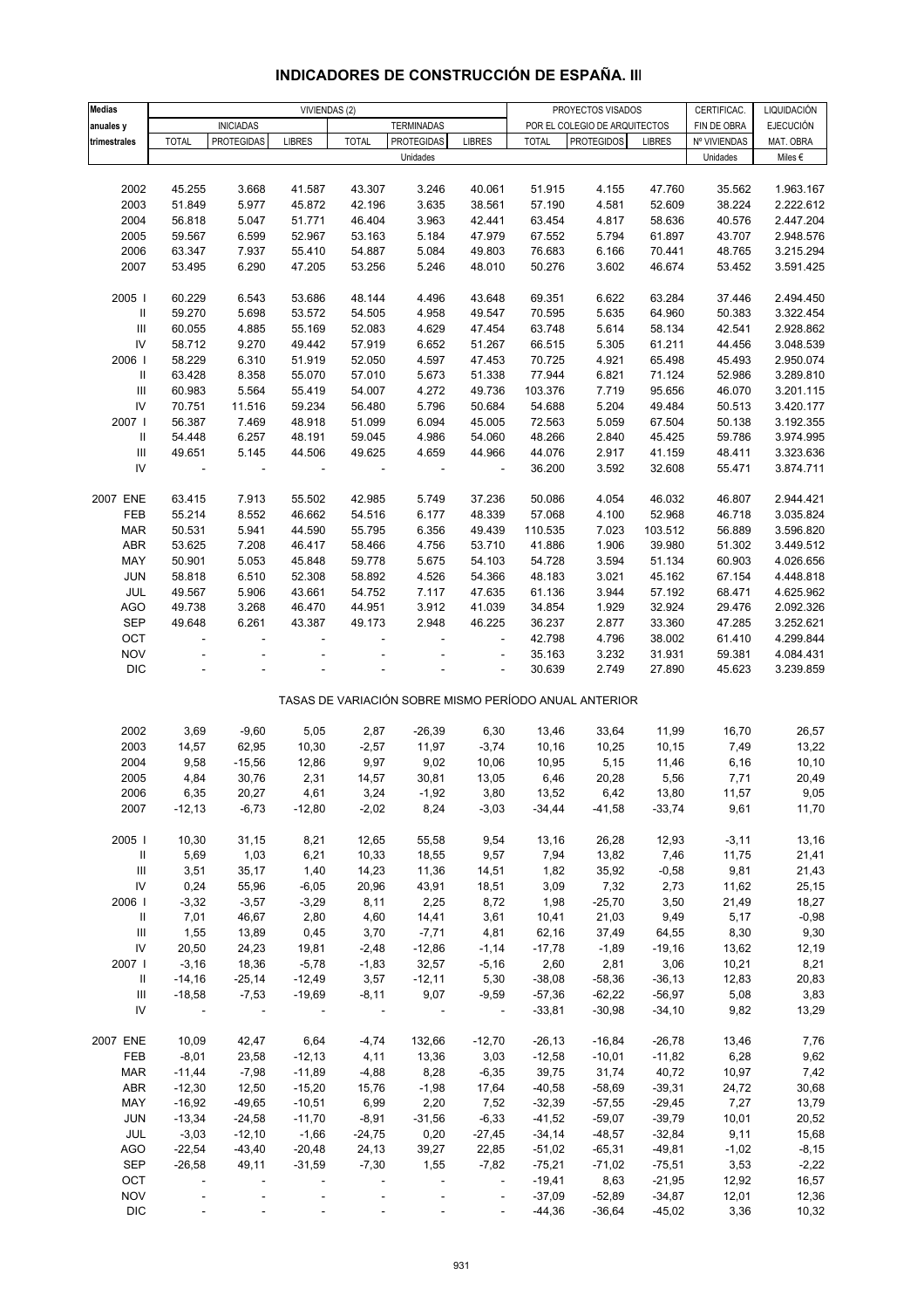| <b>Medias</b>                      |                          |                          | VIVIENDAS (2) |              |                               |                              |              | PROYECTOS VISADOS                                     |               | CERTIFICAC.  | LIQUIDACIÓN      |
|------------------------------------|--------------------------|--------------------------|---------------|--------------|-------------------------------|------------------------------|--------------|-------------------------------------------------------|---------------|--------------|------------------|
| anuales y                          |                          | <b>INICIADAS</b>         |               |              | <b>TERMINADAS</b>             |                              |              | POR EL COLEGIO DE ARQUITECTOS                         |               | FIN DE OBRA  | <b>EJECUCIÓN</b> |
| trimestrales                       | <b>TOTAL</b>             | <b>PROTEGIDAS</b>        | <b>LIBRES</b> | <b>TOTAL</b> | <b>PROTEGIDAS</b><br>Unidades | <b>LIBRES</b>                | <b>TOTAL</b> | <b>PROTEGIDOS</b>                                     | <b>LIBRES</b> | Nº VIVIENDAS | MAT. OBRA        |
|                                    |                          |                          |               |              |                               |                              |              |                                                       |               | Unidades     | Miles $\epsilon$ |
| 2002                               | 45.255                   | 3.668                    | 41.587        | 43.307       | 3.246                         | 40.061                       | 51.915       | 4.155                                                 | 47.760        | 35.562       | 1.963.167        |
|                                    |                          |                          |               |              |                               |                              |              |                                                       |               |              |                  |
| 2003                               | 51.849                   | 5.977                    | 45.872        | 42.196       | 3.635                         | 38.561                       | 57.190       | 4.581                                                 | 52.609        | 38.224       | 2.222.612        |
| 2004                               | 56.818                   | 5.047                    | 51.771        | 46.404       | 3.963                         | 42.441                       | 63.454       | 4.817                                                 | 58.636        | 40.576       | 2.447.204        |
| 2005                               | 59.567                   | 6.599                    | 52.967        | 53.163       | 5.184                         | 47.979                       | 67.552       | 5.794                                                 | 61.897        | 43.707       | 2.948.576        |
| 2006                               | 63.347                   | 7.937                    | 55.410        | 54.887       | 5.084                         | 49.803                       | 76.683       | 6.166                                                 | 70.441        | 48.765       | 3.215.294        |
| 2007                               | 53.495                   | 6.290                    | 47.205        | 53.256       | 5.246                         | 48.010                       | 50.276       | 3.602                                                 | 46.674        | 53.452       | 3.591.425        |
| 2005                               | 60.229                   | 6.543                    | 53.686        | 48.144       | 4.496                         | 43.648                       | 69.351       | 6.622                                                 | 63.284        | 37.446       | 2.494.450        |
| $\, \parallel$                     | 59.270                   | 5.698                    | 53.572        | 54.505       | 4.958                         | 49.547                       | 70.595       | 5.635                                                 | 64.960        | 50.383       | 3.322.454        |
| $\ensuremath{\mathsf{III}}\xspace$ | 60.055                   | 4.885                    | 55.169        | 52.083       | 4.629                         | 47.454                       | 63.748       | 5.614                                                 | 58.134        | 42.541       | 2.928.862        |
| $\mathsf{IV}$                      | 58.712                   | 9.270                    | 49.442        | 57.919       | 6.652                         | 51.267                       | 66.515       | 5.305                                                 | 61.211        | 44.456       | 3.048.539        |
| 2006                               | 58.229                   | 6.310                    | 51.919        | 52.050       | 4.597                         | 47.453                       | 70.725       | 4.921                                                 | 65.498        | 45.493       | 2.950.074        |
| Ш                                  | 63.428                   | 8.358                    | 55.070        | 57.010       | 5.673                         | 51.338                       | 77.944       | 6.821                                                 | 71.124        | 52.986       | 3.289.810        |
|                                    |                          |                          |               |              |                               |                              |              |                                                       |               |              |                  |
| $\mathbf{III}$                     | 60.983                   | 5.564                    | 55.419        | 54.007       | 4.272                         | 49.736                       | 103.376      | 7.719                                                 | 95.656        | 46.070       | 3.201.115        |
| IV                                 | 70.751                   | 11.516                   | 59.234        | 56.480       | 5.796                         | 50.684                       | 54.688       | 5.204                                                 | 49.484        | 50.513       | 3.420.177        |
| 2007                               | 56.387                   | 7.469                    | 48.918        | 51.099       | 6.094                         | 45.005                       | 72.563       | 5.059                                                 | 67.504        | 50.138       | 3.192.355        |
| $\, \parallel$                     | 54.448                   | 6.257                    | 48.191        | 59.045       | 4.986                         | 54.060                       | 48.266       | 2.840                                                 | 45.425        | 59.786       | 3.974.995        |
| $\ensuremath{\mathsf{III}}\xspace$ | 49.651                   | 5.145                    | 44.506        | 49.625       | 4.659                         | 44.966                       | 44.076       | 2.917                                                 | 41.159        | 48.411       | 3.323.636        |
| IV                                 |                          | $\blacksquare$           |               |              | ÷,                            | ÷,                           | 36.200       | 3.592                                                 | 32.608        | 55.471       | 3.874.711        |
| 2007 ENE                           |                          |                          |               | 42.985       |                               | 37.236                       |              |                                                       |               |              |                  |
|                                    | 63.415                   | 7.913                    | 55.502        |              | 5.749                         |                              | 50.086       | 4.054                                                 | 46.032        | 46.807       | 2.944.421        |
| FEB                                | 55.214                   | 8.552                    | 46.662        | 54.516       | 6.177                         | 48.339                       | 57.068       | 4.100                                                 | 52.968        | 46.718       | 3.035.824        |
| <b>MAR</b>                         | 50.531                   | 5.941                    | 44.590        | 55.795       | 6.356                         | 49.439                       | 110.535      | 7.023                                                 | 103.512       | 56.889       | 3.596.820        |
| <b>ABR</b>                         | 53.625                   | 7.208                    | 46.417        | 58.466       | 4.756                         | 53.710                       | 41.886       | 1.906                                                 | 39.980        | 51.302       | 3.449.512        |
| MAY                                | 50.901                   | 5.053                    | 45.848        | 59.778       | 5.675                         | 54.103                       | 54.728       | 3.594                                                 | 51.134        | 60.903       | 4.026.656        |
| JUN                                | 58.818                   | 6.510                    | 52.308        | 58.892       | 4.526                         | 54.366                       | 48.183       | 3.021                                                 | 45.162        | 67.154       | 4.448.818        |
| JUL                                | 49.567                   | 5.906                    | 43.661        | 54.752       | 7.117                         | 47.635                       | 61.136       | 3.944                                                 | 57.192        | 68.471       | 4.625.962        |
| <b>AGO</b>                         | 49.738                   | 3.268                    | 46.470        | 44.951       | 3.912                         | 41.039                       | 34.854       | 1.929                                                 | 32.924        | 29.476       | 2.092.326        |
| <b>SEP</b>                         | 49.648                   | 6.261                    | 43.387        | 49.173       | 2.948                         | 46.225                       | 36.237       | 2.877                                                 | 33.360        | 47.285       | 3.252.621        |
| OCT                                | $\overline{\phantom{a}}$ | $\blacksquare$           |               |              |                               | $\overline{\phantom{a}}$     | 42.798       | 4.796                                                 | 38.002        | 61.410       | 4.299.844        |
| <b>NOV</b>                         |                          |                          |               |              |                               |                              | 35.163       | 3.232                                                 | 31.931        | 59.381       | 4.084.431        |
| <b>DIC</b>                         |                          |                          |               |              |                               |                              | 30.639       | 2.749                                                 | 27.890        | 45.623       | 3.239.859        |
|                                    |                          |                          |               |              |                               |                              |              | TASAS DE VARIACIÓN SOBRE MISMO PERÍODO ANUAL ANTERIOR |               |              |                  |
|                                    |                          |                          |               |              |                               |                              |              |                                                       |               |              |                  |
| 2002                               | 3,69                     | $-9,60$                  | 5,05          | 2,87         | $-26,39$                      | 6,30                         | 13,46        | 33,64                                                 | 11,99         | 16,70        | 26,57            |
| 2003                               | 14,57                    | 62,95                    | 10,30         | $-2,57$      | 11,97                         | $-3,74$                      | 10,16        | 10,25                                                 | 10,15         | 7,49         | 13,22            |
| 2004                               | 9,58                     | $-15,56$                 | 12,86         | 9,97         | 9,02                          | 10,06                        | 10,95        | 5,15                                                  | 11,46         | 6,16         | 10, 10           |
| 2005                               | 4,84                     | 30,76                    | 2,31          | 14,57        | 30,81                         | 13,05                        | 6,46         | 20,28                                                 | 5,56          | 7,71         | 20,49            |
| 2006                               | 6,35                     | 20,27                    | 4,61          | 3,24         | -1,92                         | 3,80                         | 13,52        | 6,42                                                  | 13,80         | 11,57        | 9,05             |
| 2007                               | $-12,13$                 | $-6,73$                  | $-12,80$      | $-2,02$      | 8,24                          | $-3,03$                      | $-34,44$     | $-41,58$                                              | $-33,74$      | 9,61         | 11,70            |
|                                    |                          |                          |               |              |                               |                              |              |                                                       |               |              |                  |
| 2005                               | 10,30                    | 31,15                    | 8,21          | 12,65        | 55,58                         | 9,54                         | 13,16        | 26,28                                                 | 12,93         | $-3,11$      | 13,16            |
| $\, \parallel$                     | 5,69                     | 1,03                     | 6,21          | 10,33        | 18,55                         | 9,57                         | 7,94         | 13,82                                                 | 7,46          | 11,75        | 21,41            |
| $\mathbf{III}$                     | 3,51                     | 35,17                    | 1,40          | 14,23        | 11,36                         | 14,51                        | 1,82         | 35,92                                                 | $-0,58$       | 9,81         | 21,43            |
| ${\sf IV}$                         | 0,24                     | 55,96                    | $-6,05$       | 20,96        | 43,91                         | 18,51                        | 3,09         | 7,32                                                  | 2,73          | 11,62        | 25,15            |
| 2006                               | $-3,32$                  | $-3,57$                  | $-3,29$       | 8,11         | 2,25                          | 8,72                         | 1,98         | $-25,70$                                              | 3,50          | 21,49        | 18,27            |
| Ш                                  | 7,01                     | 46,67                    | 2,80          | 4,60         | 14,41                         | 3,61                         | 10,41        | 21,03                                                 | 9,49          | 5,17         | $-0,98$          |
| Ш                                  | 1,55                     | 13,89                    | 0,45          | 3,70         | $-7,71$                       | 4,81                         | 62,16        | 37,49                                                 | 64,55         | 8,30         | 9,30             |
| ${\sf IV}$                         | 20,50                    | 24,23                    | 19,81         | $-2,48$      | $-12,86$                      | $-1,14$                      | $-17,78$     | $-1,89$                                               | $-19,16$      | 13,62        | 12,19            |
| 2007                               | $-3,16$                  | 18,36                    | $-5,78$       | $-1,83$      | 32,57                         | $-5,16$                      | 2,60         | 2,81                                                  | 3,06          | 10,21        | 8,21             |
| Ш                                  | $-14,16$                 | $-25,14$                 | $-12,49$      | 3,57         | $-12,11$                      | 5,30                         | $-38,08$     | $-58,36$                                              | $-36,13$      | 12,83        | 20,83            |
| $\ensuremath{\mathsf{III}}\xspace$ | $-18,58$                 | $-7,53$                  | $-19,69$      | $-8,11$      | 9,07                          | $-9,59$                      | $-57,36$     | $-62,22$                                              | $-56,97$      | 5,08         | 3,83             |
| IV                                 |                          | $\sim$                   |               | $\sim$ $-$   | $\sim$ $-$                    | $\blacksquare$               | $-33,81$     | $-30,98$                                              | $-34,10$      | 9,82         | 13,29            |
|                                    |                          |                          |               |              |                               |                              |              |                                                       |               |              |                  |
| 2007 ENE                           | 10,09                    | 42,47                    | 6,64          | $-4,74$      | 132,66                        | $-12,70$                     | $-26, 13$    | $-16,84$                                              | $-26,78$      | 13,46        | 7,76             |
| FEB                                | $-8,01$                  | 23,58                    | $-12,13$      | 4,11         | 13,36                         | 3,03                         | $-12,58$     | $-10,01$                                              | $-11,82$      | 6,28         | 9,62             |
| <b>MAR</b>                         | $-11,44$                 | $-7,98$                  | $-11,89$      | $-4,88$      | 8,28                          | $-6,35$                      | 39,75        | 31,74                                                 | 40,72         | 10,97        | 7,42             |
| <b>ABR</b>                         | $-12,30$                 | 12,50                    | $-15,20$      | 15,76        | $-1,98$                       | 17,64                        | $-40,58$     | $-58,69$                                              | $-39,31$      | 24,72        | 30,68            |
| MAY                                | $-16,92$                 | $-49,65$                 | $-10,51$      | 6,99         | 2,20                          | 7,52                         | $-32,39$     | $-57,55$                                              | $-29,45$      | 7,27         | 13,79            |
| JUN                                | $-13,34$                 | $-24,58$                 | $-11,70$      | $-8,91$      | $-31,56$                      | $-6,33$                      | $-41,52$     | $-59,07$                                              | $-39,79$      | 10,01        | 20,52            |
| JUL                                | $-3,03$                  | $-12,10$                 | $-1,66$       | $-24,75$     | 0,20                          | $-27,45$                     | $-34,14$     | $-48,57$                                              | $-32,84$      | 9,11         | 15,68            |
| AGO                                | $-22,54$                 | $-43,40$                 | $-20,48$      | 24,13        | 39,27                         | 22,85                        | $-51,02$     | $-65,31$                                              | $-49,81$      | $-1,02$      | $-8,15$          |
| <b>SEP</b>                         | $-26,58$                 | 49,11                    | $-31,59$      | $-7,30$      | 1,55                          | $-7,82$                      | $-75,21$     | $-71,02$                                              | $-75,51$      | 3,53         | $-2,22$          |
| OCT                                | $\overline{\phantom{a}}$ | $\overline{\phantom{a}}$ |               |              | ÷,                            | $\overline{\phantom{a}}$     | $-19,41$     | 8,63                                                  | $-21,95$      | 12,92        | 16,57            |
| <b>NOV</b>                         |                          |                          |               |              |                               | $\qquad \qquad \blacksquare$ | $-37,09$     | $-52,89$                                              | $-34,87$      | 12,01        | 12,36            |
| DIC                                |                          |                          |               |              |                               |                              | $-44,36$     | $-36,64$                                              | $-45,02$      | 3,36         | 10,32            |

### **INDICADORES DE CONSTRUCCIÓN DE ESPAÑA. III**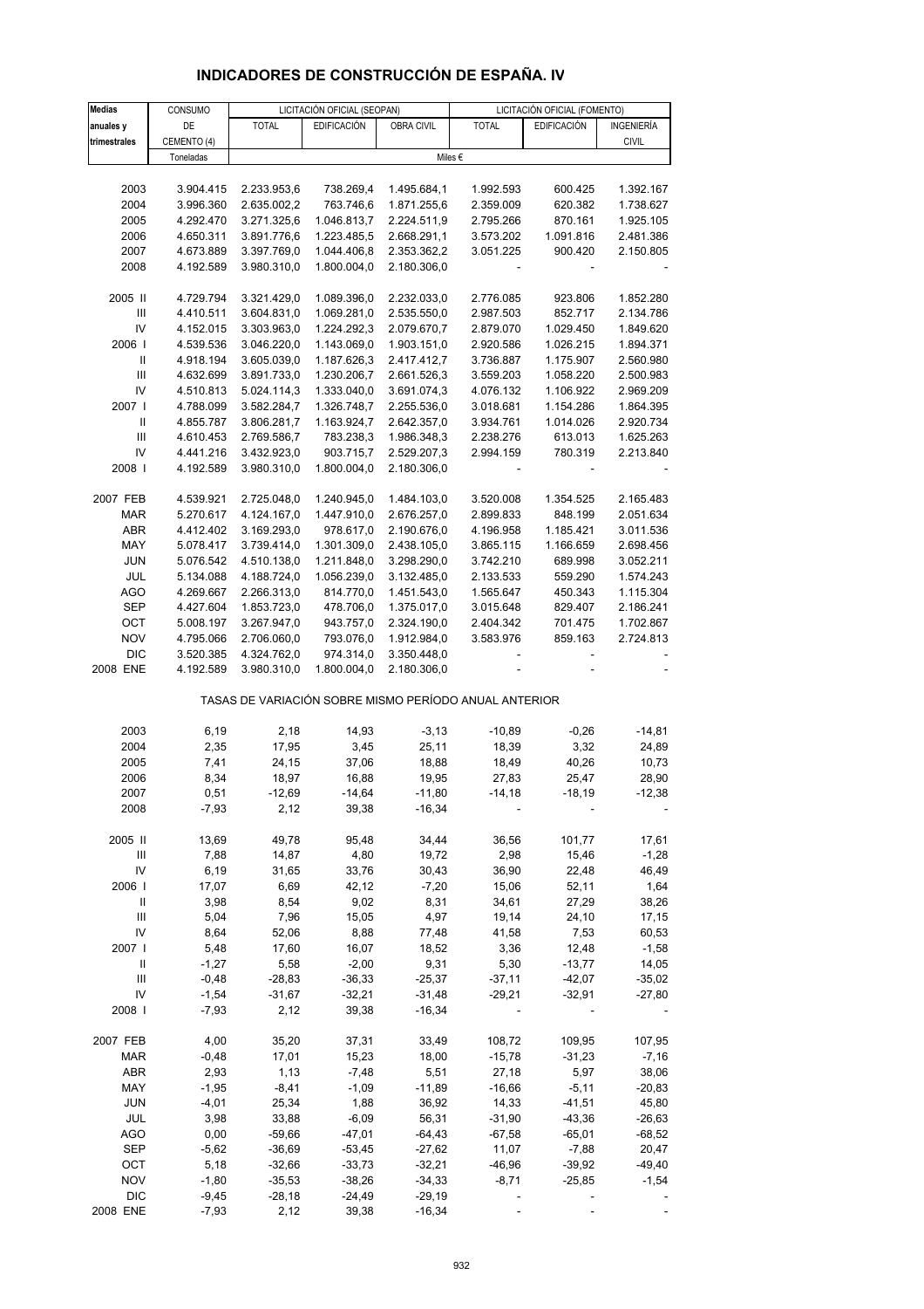# **INDICADORES DE CONSTRUCCIÓN DE ESPAÑA. IV**

| <b>Medias</b>                      | CONSUMO     |                                                       | LICITACIÓN OFICIAL (SEOPAN) |             |              | LICITACIÓN OFICIAL (FOMENTO) |              |
|------------------------------------|-------------|-------------------------------------------------------|-----------------------------|-------------|--------------|------------------------------|--------------|
| anuales y                          | DE          | <b>TOTAL</b>                                          | <b>EDIFICACIÓN</b>          | OBRA CIVIL  | <b>TOTAL</b> | <b>EDIFICACIÓN</b>           | INGENIERÍA   |
| trimestrales                       | CEMENTO (4) |                                                       |                             |             |              |                              | <b>CIVIL</b> |
|                                    | Toneladas   |                                                       |                             |             | Miles €      |                              |              |
|                                    |             |                                                       |                             |             |              |                              |              |
| 2003                               | 3.904.415   | 2.233.953,6                                           | 738.269,4                   | 1.495.684,1 | 1.992.593    | 600.425                      | 1.392.167    |
| 2004                               | 3.996.360   | 2.635.002,2                                           | 763.746,6                   | 1.871.255,6 | 2.359.009    | 620.382                      | 1.738.627    |
| 2005                               | 4.292.470   | 3.271.325,6                                           | 1.046.813,7                 | 2.224.511,9 | 2.795.266    | 870.161                      | 1.925.105    |
| 2006                               | 4.650.311   | 3.891.776,6                                           | 1.223.485,5                 | 2.668.291,1 | 3.573.202    | 1.091.816                    | 2.481.386    |
| 2007                               | 4.673.889   | 3.397.769,0                                           | 1.044.406,8                 | 2.353.362,2 | 3.051.225    | 900.420                      | 2.150.805    |
| 2008                               | 4.192.589   | 3.980.310,0                                           | 1.800.004,0                 | 2.180.306,0 |              |                              |              |
|                                    |             |                                                       |                             |             |              |                              |              |
| 2005 II                            | 4.729.794   | 3.321.429,0                                           | 1.089.396,0                 | 2.232.033,0 | 2.776.085    | 923.806                      | 1.852.280    |
| $\ensuremath{\mathsf{III}}\xspace$ | 4.410.511   | 3.604.831,0                                           | 1.069.281,0                 | 2.535.550,0 | 2.987.503    | 852.717                      | 2.134.786    |
| IV                                 | 4.152.015   | 3.303.963,0                                           | 1.224.292,3                 | 2.079.670,7 | 2.879.070    | 1.029.450                    | 1.849.620    |
| 2006                               | 4.539.536   | 3.046.220,0                                           | 1.143.069,0                 | 1.903.151,0 | 2.920.586    | 1.026.215                    | 1.894.371    |
| Ш                                  | 4.918.194   | 3.605.039,0                                           | 1.187.626,3                 | 2.417.412,7 | 3.736.887    | 1.175.907                    | 2.560.980    |
| Ш                                  | 4.632.699   | 3.891.733,0                                           | 1.230.206,7                 | 2.661.526,3 | 3.559.203    | 1.058.220                    | 2.500.983    |
| IV                                 | 4.510.813   | 5.024.114,3                                           | 1.333.040,0                 | 3.691.074,3 | 4.076.132    | 1.106.922                    | 2.969.209    |
| 2007                               | 4.788.099   | 3.582.284,7                                           | 1.326.748,7                 | 2.255.536,0 | 3.018.681    | 1.154.286                    | 1.864.395    |
| Ш                                  | 4.855.787   | 3.806.281,7                                           | 1.163.924,7                 | 2.642.357,0 | 3.934.761    | 1.014.026                    | 2.920.734    |
| $\ensuremath{\mathsf{III}}\xspace$ | 4.610.453   | 2.769.586,7                                           | 783.238,3                   | 1.986.348,3 | 2.238.276    | 613.013                      | 1.625.263    |
| IV                                 | 4.441.216   | 3.432.923,0                                           | 903.715,7                   | 2.529.207,3 | 2.994.159    | 780.319                      | 2.213.840    |
| 2008                               | 4.192.589   | 3.980.310,0                                           | 1.800.004,0                 | 2.180.306,0 |              |                              |              |
|                                    |             |                                                       |                             |             |              |                              |              |
| 2007 FEB                           | 4.539.921   | 2.725.048,0                                           | 1.240.945,0                 | 1.484.103,0 | 3.520.008    | 1.354.525                    | 2.165.483    |
| MAR                                | 5.270.617   | 4.124.167,0                                           | 1.447.910,0                 | 2.676.257,0 | 2.899.833    | 848.199                      | 2.051.634    |
| <b>ABR</b>                         | 4.412.402   | 3.169.293,0                                           | 978.617,0                   | 2.190.676,0 | 4.196.958    | 1.185.421                    | 3.011.536    |
| MAY                                | 5.078.417   | 3.739.414,0                                           | 1.301.309,0                 | 2.438.105,0 | 3.865.115    | 1.166.659                    | 2.698.456    |
| <b>JUN</b>                         | 5.076.542   | 4.510.138,0                                           | 1.211.848,0                 | 3.298.290,0 | 3.742.210    | 689.998                      | 3.052.211    |
| JUL                                | 5.134.088   | 4.188.724,0                                           | 1.056.239,0                 | 3.132.485,0 | 2.133.533    | 559.290                      | 1.574.243    |
| <b>AGO</b>                         | 4.269.667   | 2.266.313,0                                           | 814.770,0                   | 1.451.543,0 | 1.565.647    | 450.343                      | 1.115.304    |
| <b>SEP</b>                         | 4.427.604   | 1.853.723,0                                           | 478.706,0                   | 1.375.017,0 | 3.015.648    | 829.407                      | 2.186.241    |
| OCT                                | 5.008.197   | 3.267.947,0                                           | 943.757,0                   | 2.324.190,0 | 2.404.342    | 701.475                      | 1.702.867    |
| <b>NOV</b>                         | 4.795.066   | 2.706.060,0                                           | 793.076,0                   | 1.912.984,0 | 3.583.976    | 859.163                      | 2.724.813    |
| <b>DIC</b>                         | 3.520.385   | 4.324.762,0                                           | 974.314,0                   | 3.350.448,0 |              |                              |              |
| 2008 ENE                           | 4.192.589   | 3.980.310,0                                           | 1.800.004,0                 | 2.180.306,0 |              |                              |              |
|                                    |             |                                                       |                             |             |              |                              |              |
|                                    |             | TASAS DE VARIACIÓN SOBRE MISMO PERÍODO ANUAL ANTERIOR |                             |             |              |                              |              |
| 2003                               | 6,19        | 2,18                                                  | 14,93                       | $-3, 13$    | $-10,89$     | $-0,26$                      | $-14,81$     |
| 2004                               | 2,35        | 17,95                                                 | 3,45                        | 25,11       | 18,39        | 3,32                         | 24,89        |
| 2005                               | 7,41        | 24,15                                                 | 37,06                       | 18,88       | 18,49        | 40,26                        | 10,73        |
| 2006                               | 8,34        | 18,97                                                 | 16,88                       | 19,95       | 27,83        | 25,47                        | 28,90        |
| 2007                               | 0,51        | $-12,69$                                              | $-14,64$                    | -11,80      | $-14,18$     | -18,19                       | $-12,38$     |
| 2008                               | $-7,93$     | 2,12                                                  | 39,38                       | $-16,34$    |              |                              |              |
|                                    |             |                                                       |                             |             |              |                              |              |
| 2005 II                            | 13,69       | 49,78                                                 | 95,48                       | 34,44       | 36,56        | 101,77                       | 17,61        |
| Ш                                  | 7,88        | 14,87                                                 | 4,80                        | 19,72       | 2,98         | 15,46                        | $-1,28$      |
| IV                                 | 6,19        | 31,65                                                 | 33,76                       | 30,43       | 36,90        | 22,48                        | 46,49        |
| 2006                               | 17,07       | 6,69                                                  | 42,12                       | $-7,20$     | 15,06        | 52,11                        | 1,64         |
| Ш                                  | 3,98        | 8,54                                                  | 9,02                        | 8,31        | 34,61        | 27,29                        | 38,26        |
| Ш                                  | 5,04        | 7,96                                                  | 15,05                       | 4,97        | 19,14        | 24,10                        | 17,15        |
| IV                                 | 8,64        | 52,06                                                 | 8,88                        | 77,48       | 41,58        | 7,53                         | 60,53        |
| 2007 I                             | 5,48        | 17,60                                                 | 16,07                       | 18,52       | 3,36         | 12,48                        | $-1,58$      |
| Ш                                  | $-1,27$     | 5,58                                                  | $-2,00$                     | 9,31        | 5,30         | $-13,77$                     | 14,05        |
| Ш                                  | $-0,48$     | $-28,83$                                              | $-36,33$                    | $-25,37$    | $-37,11$     | $-42,07$                     | $-35,02$     |
| IV                                 | $-1,54$     | $-31,67$                                              | $-32,21$                    | $-31,48$    | $-29,21$     | $-32,91$                     | $-27,80$     |
| 2008                               | $-7,93$     | 2,12                                                  | 39,38                       | $-16,34$    |              |                              |              |
|                                    |             |                                                       |                             |             |              |                              |              |
| 2007 FEB                           | 4,00        | 35,20                                                 | 37,31                       | 33,49       | 108,72       | 109,95                       | 107,95       |
| <b>MAR</b>                         | $-0,48$     | 17,01                                                 | 15,23                       | 18,00       | $-15,78$     | $-31,23$                     | $-7,16$      |
| <b>ABR</b>                         | 2,93        | 1,13                                                  | $-7,48$                     | 5,51        | 27,18        | 5,97                         | 38,06        |
| MAY                                | $-1,95$     | $-8,41$                                               | $-1,09$                     | $-11,89$    | $-16,66$     | $-5,11$                      | $-20,83$     |
| <b>JUN</b>                         | $-4,01$     | 25,34                                                 | 1,88                        | 36,92       | 14,33        | $-41,51$                     | 45,80        |
| JUL                                | 3,98        | 33,88                                                 | $-6,09$                     | 56,31       | $-31,90$     | $-43,36$                     | $-26,63$     |
| <b>AGO</b>                         | 0,00        | $-59,66$                                              | $-47,01$                    | $-64,43$    | $-67,58$     | $-65,01$                     | $-68,52$     |
| SEP                                | $-5,62$     | $-36,69$                                              | $-53,45$                    | $-27,62$    | 11,07        | $-7,88$                      | 20,47        |
| OCT                                | 5,18        | $-32,66$                                              | $-33,73$                    | $-32,21$    | $-46,96$     | $-39,92$                     | $-49,40$     |
| <b>NOV</b>                         | $-1,80$     | $-35,53$                                              | $-38,26$                    | $-34,33$    | $-8,71$      | $-25,85$                     | $-1,54$      |
| <b>DIC</b>                         | $-9,45$     | $-28,18$                                              | $-24,49$                    | $-29,19$    |              |                              |              |
| 2008 ENE                           | $-7,93$     | 2,12                                                  | 39,38                       | $-16,34$    |              |                              |              |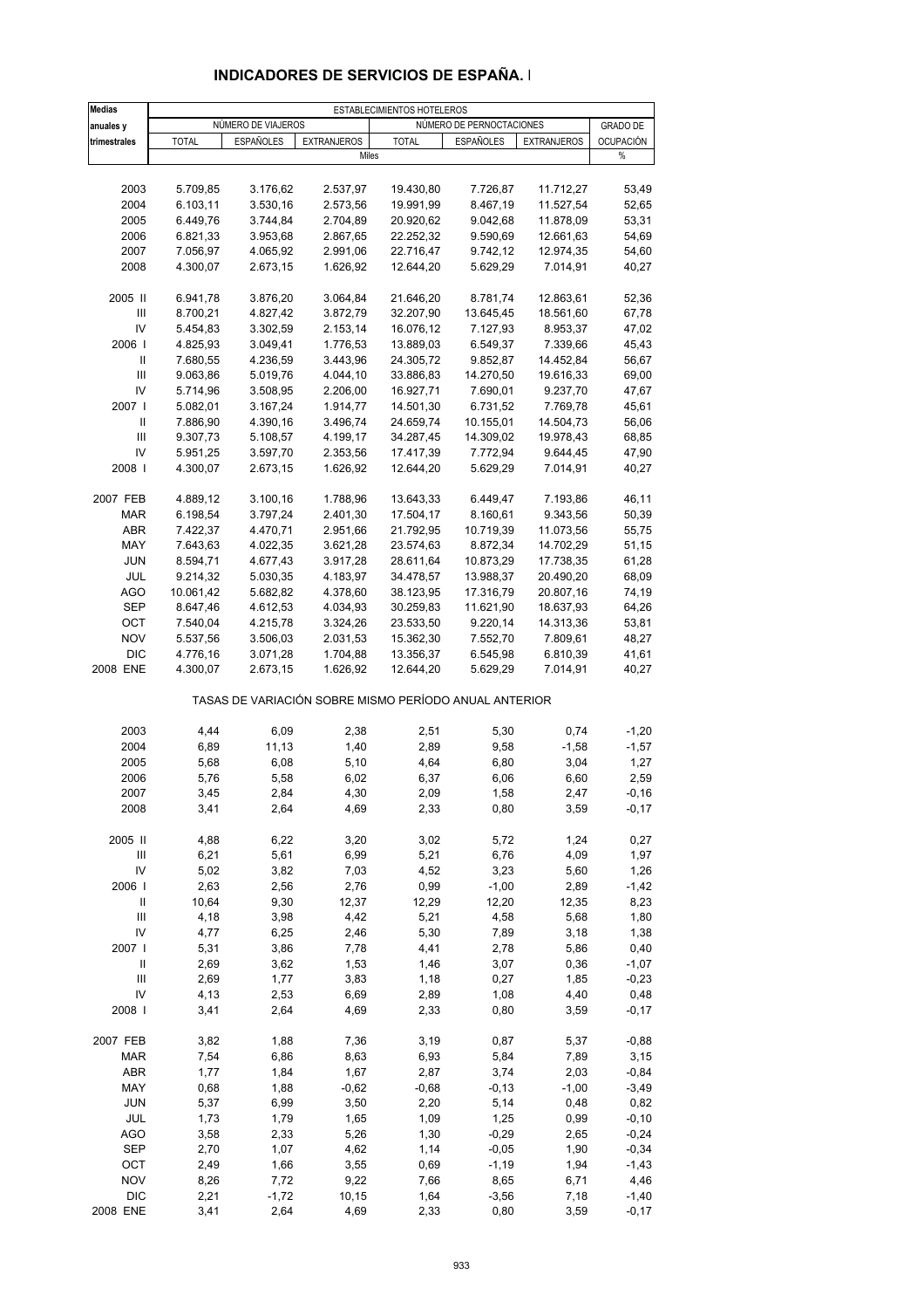| <b>Medias</b>                      |              |                    |                                                       | ESTABLECIMIENTOS HOTELEROS |                          |                    |                 |
|------------------------------------|--------------|--------------------|-------------------------------------------------------|----------------------------|--------------------------|--------------------|-----------------|
| anuales y                          |              | NÚMERO DE VIAJEROS |                                                       |                            | NÚMERO DE PERNOCTACIONES |                    | <b>GRADO DE</b> |
| trimestrales                       | <b>TOTAL</b> | <b>ESPAÑOLES</b>   | <b>EXTRANJEROS</b>                                    | <b>TOTAL</b>               | ESPAÑOLES                | <b>EXTRANJEROS</b> | OCUPACIÓN       |
|                                    |              |                    | Miles                                                 |                            |                          |                    | $\%$            |
|                                    |              |                    |                                                       |                            |                          |                    |                 |
| 2003                               | 5.709,85     | 3.176,62           | 2.537,97                                              | 19.430,80                  | 7.726,87                 | 11.712,27          | 53,49           |
| 2004                               | 6.103,11     | 3.530,16           | 2.573,56                                              | 19.991,99                  | 8.467,19                 | 11.527,54          | 52,65           |
| 2005                               | 6.449,76     | 3.744,84           | 2.704,89                                              | 20.920,62                  | 9.042,68                 | 11.878,09          | 53,31           |
| 2006                               | 6.821,33     | 3.953,68           | 2.867,65                                              | 22.252,32                  | 9.590,69                 | 12.661,63          | 54,69           |
| 2007                               | 7.056,97     | 4.065,92           | 2.991,06                                              | 22.716,47                  | 9.742,12                 | 12.974,35          | 54,60           |
| 2008                               | 4.300,07     | 2.673,15           | 1.626,92                                              | 12.644,20                  | 5.629,29                 | 7.014,91           | 40,27           |
| 2005 II                            | 6.941,78     | 3.876,20           | 3.064,84                                              | 21.646,20                  | 8.781,74                 | 12.863,61          | 52,36           |
| $\ensuremath{\mathsf{III}}\xspace$ | 8.700,21     | 4.827,42           | 3.872,79                                              | 32.207,90                  | 13.645,45                | 18.561,60          | 67,78           |
| IV                                 | 5.454,83     | 3.302,59           | 2.153,14                                              | 16.076,12                  | 7.127,93                 | 8.953,37           | 47,02           |
| 2006                               | 4.825,93     | 3.049,41           | 1.776,53                                              | 13.889,03                  | 6.549,37                 | 7.339,66           | 45,43           |
| Ш                                  | 7.680,55     | 4.236,59           | 3.443,96                                              | 24.305,72                  | 9.852,87                 | 14.452,84          | 56,67           |
| $\ensuremath{\mathsf{III}}\xspace$ | 9.063,86     | 5.019,76           | 4.044,10                                              | 33.886,83                  | 14.270,50                | 19.616,33          | 69,00           |
| IV                                 | 5.714,96     | 3.508,95           | 2.206,00                                              | 16.927,71                  | 7.690,01                 | 9.237,70           | 47,67           |
| 2007                               | 5.082,01     | 3.167,24           | 1.914,77                                              | 14.501,30                  | 6.731,52                 | 7.769,78           | 45,61           |
| Ш                                  | 7.886,90     | 4.390,16           | 3.496,74                                              | 24.659,74                  | 10.155,01                | 14.504,73          | 56,06           |
| $\ensuremath{\mathsf{III}}\xspace$ | 9.307,73     | 5.108,57           | 4.199,17                                              | 34.287,45                  | 14.309,02                | 19.978,43          | 68,85           |
| IV                                 | 5.951,25     | 3.597,70           | 2.353,56                                              | 17.417,39                  | 7.772,94                 | 9.644,45           | 47,90           |
| 2008                               | 4.300,07     | 2.673,15           | 1.626,92                                              | 12.644,20                  | 5.629,29                 | 7.014,91           | 40,27           |
|                                    |              |                    |                                                       |                            |                          |                    |                 |
| 2007 FEB                           | 4.889,12     | 3.100,16           | 1.788,96                                              | 13.643,33                  | 6.449,47                 | 7.193,86           | 46,11           |
| <b>MAR</b>                         | 6.198,54     | 3.797,24           | 2.401,30                                              | 17.504,17                  | 8.160,61                 | 9.343,56           | 50,39           |
| <b>ABR</b>                         | 7.422,37     | 4.470,71           | 2.951,66                                              | 21.792,95                  | 10.719,39                | 11.073,56          | 55,75           |
| MAY                                | 7.643,63     | 4.022,35           | 3.621,28                                              | 23.574,63                  | 8.872,34                 | 14.702,29          | 51,15           |
| <b>JUN</b>                         | 8.594,71     | 4.677,43           | 3.917,28                                              | 28.611,64                  | 10.873,29                | 17.738,35          | 61,28           |
| JUL                                | 9.214,32     | 5.030,35           | 4.183,97                                              | 34.478,57                  | 13.988,37                | 20.490,20          | 68,09           |
| <b>AGO</b>                         | 10.061,42    | 5.682,82           | 4.378,60                                              | 38.123,95                  | 17.316,79                | 20.807,16          | 74,19           |
| <b>SEP</b>                         | 8.647,46     | 4.612,53           | 4.034,93                                              | 30.259,83                  | 11.621,90                | 18.637,93          | 64,26           |
| OCT                                | 7.540,04     | 4.215,78           | 3.324,26                                              | 23.533,50                  | 9.220,14                 | 14.313,36          | 53,81           |
| <b>NOV</b>                         | 5.537,56     | 3.506,03           | 2.031,53                                              | 15.362,30                  | 7.552,70                 | 7.809,61           | 48,27           |
| <b>DIC</b>                         | 4.776,16     | 3.071,28           | 1.704,88                                              | 13.356,37                  | 6.545,98                 | 6.810,39           | 41,61           |
| 2008 ENE                           | 4.300,07     | 2.673,15           | 1.626,92                                              | 12.644,20                  | 5.629,29                 | 7.014,91           | 40,27           |
|                                    |              |                    | TASAS DE VARIACIÓN SOBRE MISMO PERÍODO ANUAL ANTERIOR |                            |                          |                    |                 |
| 2003                               | 4,44         | 6,09               | 2,38                                                  | 2,51                       | 5,30                     | 0,74               | $-1,20$         |
| 2004                               | 6,89         | 11,13              | 1,40                                                  | 2,89                       | 9,58                     | $-1,58$            | $-1,57$         |
| 2005                               | 5,68         | 6,08               | 5,10                                                  | 4,64                       | 6,80                     | 3,04               | 1,27            |
| 2006                               | 5,76         | 5,58               | 6,02                                                  | 6,37                       | 6,06                     | 6,60               | 2,59            |
| 2007                               | 3,45         | 2,84               | 4,30                                                  | 2,09                       | 1,58                     | 2,47               | $-0, 16$        |
| 2008                               | 3,41         | 2,64               | 4,69                                                  | 2,33                       | 0,80                     | 3,59               | $-0,17$         |
| 2005 II                            | 4,88         | 6,22               | 3,20                                                  | 3,02                       | 5,72                     | 1,24               |                 |
| $\ensuremath{\mathsf{III}}\xspace$ | 6,21         | 5,61               | 6,99                                                  | 5,21                       | 6,76                     | 4,09               | 0,27<br>1,97    |
| IV                                 | 5,02         | 3,82               | 7,03                                                  | 4,52                       | 3,23                     | 5,60               | 1,26            |
| 2006                               | 2,63         | 2,56               | 2,76                                                  | 0,99                       | $-1,00$                  | 2,89               | $-1,42$         |
| Ш                                  | 10,64        | 9,30               | 12,37                                                 | 12,29                      | 12,20                    | 12,35              | 8,23            |
| $\ensuremath{\mathsf{III}}\xspace$ | 4,18         |                    | 4,42                                                  | 5,21                       | 4,58                     | 5,68               | 1,80            |
| IV                                 | 4,77         | 3,98<br>6,25       | 2,46                                                  | 5,30                       | 7,89                     | 3,18               | 1,38            |
| 2007 l                             | 5,31         | 3,86               | 7,78                                                  | 4,41                       | 2,78                     | 5,86               | 0,40            |
|                                    |              |                    |                                                       |                            |                          |                    |                 |
| Ш<br>Ш                             | 2,69         | 3,62               | 1,53                                                  | 1,46                       | 3,07                     | 0,36               | $-1,07$         |
|                                    | 2,69         | 1,77               | 3,83                                                  | 1,18                       | 0,27                     | 1,85               | $-0,23$         |
| IV                                 | 4,13         | 2,53               | 6,69                                                  | 2,89                       | 1,08                     | 4,40               | 0,48            |
| 2008                               | 3,41         | 2,64               | 4,69                                                  | 2,33                       | 0,80                     | 3,59               | $-0,17$         |
| 2007 FEB                           | 3,82         | 1,88               | 7,36                                                  | 3,19                       | 0,87                     | 5,37               | $-0,88$         |
| MAR                                | 7,54         | 6,86               | 8,63                                                  | 6,93                       | 5,84                     | 7,89               | 3,15            |
| ABR                                | 1,77         | 1,84               | 1,67                                                  | 2,87                       | 3,74                     | 2,03               | $-0,84$         |
| MAY                                | 0,68         | 1,88               | $-0,62$                                               | $-0,68$                    | $-0,13$                  | $-1,00$            | $-3,49$         |
| <b>JUN</b>                         | 5,37         | 6,99               | 3,50                                                  | 2,20                       | 5,14                     | 0,48               | 0,82            |
| JUL                                | 1,73         | 1,79               | 1,65                                                  | 1,09                       | 1,25                     | 0,99               | $-0, 10$        |
| AGO                                | 3,58         | 2,33               | 5,26                                                  | 1,30                       | $-0,29$                  | 2,65               | $-0,24$         |
| SEP                                | 2,70         | 1,07               | 4,62                                                  | 1,14                       | $-0,05$                  | 1,90               | $-0,34$         |
| OCT                                | 2,49         | 1,66               | 3,55                                                  | 0,69                       | $-1,19$                  | 1,94               | $-1,43$         |
| <b>NOV</b>                         | 8,26         | 7,72               | 9,22                                                  | 7,66                       | 8,65                     | 6,71               | 4,46            |
| $DIC$                              | 2,21         | $-1,72$            | 10,15                                                 | 1,64                       | $-3,56$                  | 7,18               | $-1,40$         |
| 2008 ENE                           | 3,41         | 2,64               | 4,69                                                  | 2,33                       | 0,80                     | 3,59               | $-0,17$         |

### **INDICADORES DE SERVICIOS DE ESPAÑA. I**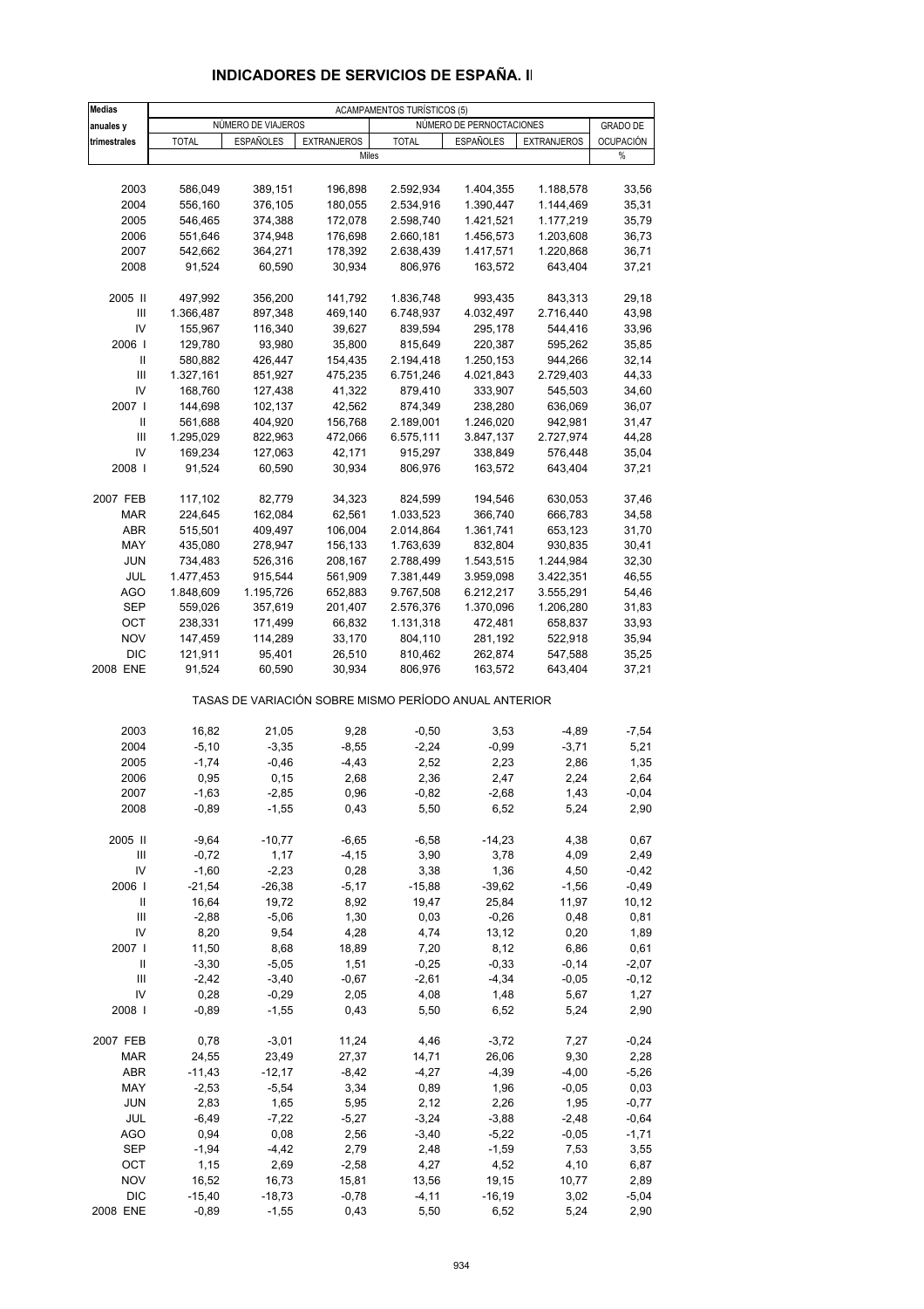| <b>Medias</b>                      | <b>ACAMPAMENTOS TURÍSTICOS (5)</b> |                    |                                                       |                    |                          |                    |                    |  |
|------------------------------------|------------------------------------|--------------------|-------------------------------------------------------|--------------------|--------------------------|--------------------|--------------------|--|
| anuales y                          |                                    | NUMERO DE VIAJEROS |                                                       |                    | NÚMERO DE PERNOCTACIONES |                    | <b>GRADO DE</b>    |  |
| trimestrales                       | <b>TOTAL</b>                       | <b>ESPAÑOLES</b>   | <b>EXTRANJEROS</b>                                    | <b>TOTAL</b>       | <b>ESPAÑOLES</b>         | <b>EXTRANJEROS</b> | <b>OCUPACIÓN</b>   |  |
|                                    |                                    |                    | Miles                                                 |                    |                          |                    | %                  |  |
|                                    |                                    |                    |                                                       |                    |                          |                    |                    |  |
| 2003                               | 586,049                            | 389,151            | 196,898                                               | 2.592,934          | 1.404,355                | 1.188,578          | 33,56              |  |
| 2004                               | 556,160                            | 376,105            | 180,055                                               | 2.534,916          | 1.390,447                | 1.144,469          | 35,31              |  |
| 2005                               | 546,465                            | 374,388            | 172,078                                               | 2.598,740          | 1.421,521                | 1.177,219          | 35,79              |  |
| 2006                               | 551,646                            | 374,948            | 176,698                                               | 2.660,181          | 1.456,573                | 1.203,608          | 36,73              |  |
| 2007                               | 542,662                            | 364,271            | 178,392                                               | 2.638,439          | 1.417,571                | 1.220,868          | 36,71              |  |
| 2008                               | 91,524                             | 60,590             | 30,934                                                | 806,976            | 163,572                  | 643,404            | 37,21              |  |
| 2005 II                            | 497,992                            | 356,200            | 141,792                                               | 1.836,748          | 993,435                  | 843,313            | 29,18              |  |
| Ш                                  | 1.366,487                          | 897,348            | 469,140                                               | 6.748,937          | 4.032,497                | 2.716,440          | 43,98              |  |
| IV                                 | 155,967                            | 116,340            | 39,627                                                | 839,594            | 295,178                  | 544,416            | 33,96              |  |
| 2006                               | 129,780                            | 93,980             | 35,800                                                | 815,649            | 220,387                  | 595,262            | 35,85              |  |
| Ш                                  | 580,882                            | 426,447            | 154,435                                               | 2.194,418          | 1.250,153                | 944,266            | 32,14              |  |
| Ш                                  | 1.327,161                          | 851,927            | 475,235                                               | 6.751,246          | 4.021,843                | 2.729,403          | 44,33              |  |
| IV                                 | 168,760                            | 127,438            | 41,322                                                | 879,410            | 333,907                  | 545,503            | 34,60              |  |
| 2007 l                             | 144,698                            | 102,137            | 42,562                                                | 874,349            | 238,280                  | 636,069            | 36,07              |  |
| Ш                                  | 561,688                            | 404,920            | 156,768                                               | 2.189,001          | 1.246,020                | 942,981            | 31,47              |  |
| $\ensuremath{\mathsf{III}}\xspace$ | 1.295,029                          | 822,963            | 472,066                                               | 6.575,111          | 3.847,137                | 2.727,974          | 44,28              |  |
| IV                                 | 169,234                            | 127,063            | 42,171                                                | 915,297            | 338,849                  | 576,448            | 35,04              |  |
| 2008                               | 91,524                             | 60,590             | 30,934                                                | 806,976            | 163,572                  | 643,404            | 37,21              |  |
|                                    |                                    |                    |                                                       |                    |                          |                    |                    |  |
| 2007 FEB                           | 117,102                            | 82,779             | 34,323                                                | 824,599            | 194,546                  | 630,053            | 37,46              |  |
| <b>MAR</b>                         | 224,645                            | 162,084            | 62,561                                                | 1.033,523          | 366,740                  | 666,783            | 34,58              |  |
| ABR                                | 515,501                            | 409,497            | 106,004                                               | 2.014,864          | 1.361,741                | 653,123            | 31,70              |  |
| MAY                                | 435,080                            | 278,947            | 156,133                                               | 1.763,639          | 832,804                  | 930,835            | 30,41              |  |
| <b>JUN</b>                         | 734,483                            | 526,316            | 208,167                                               | 2.788,499          | 1.543,515                | 1.244,984          | 32,30              |  |
| JUL                                | 1.477,453                          | 915,544            | 561,909                                               | 7.381,449          | 3.959,098                | 3.422,351          | 46,55              |  |
| AGO                                | 1.848,609                          | 1.195,726          | 652,883                                               | 9.767,508          | 6.212,217                | 3.555,291          | 54,46              |  |
| <b>SEP</b>                         | 559,026                            | 357,619            | 201,407                                               | 2.576,376          | 1.370,096                | 1.206,280          | 31,83              |  |
| OCT                                | 238,331                            | 171,499            | 66,832                                                | 1.131,318          | 472,481                  | 658,837            | 33,93              |  |
| <b>NOV</b>                         | 147,459                            | 114,289            | 33,170                                                | 804,110            | 281,192                  | 522,918            | 35,94              |  |
| <b>DIC</b>                         | 121,911                            | 95,401             | 26,510                                                | 810,462            | 262,874                  | 547,588            | 35,25              |  |
| 2008 ENE                           | 91,524                             | 60,590             | 30,934                                                | 806,976            | 163,572                  | 643,404            | 37,21              |  |
|                                    |                                    |                    | TASAS DE VARIACIÓN SOBRE MISMO PERÍODO ANUAL ANTERIOR |                    |                          |                    |                    |  |
| 2003                               | 16,82                              | 21,05              | 9,28                                                  | $-0,50$            | 3,53                     | $-4,89$            | $-7,54$            |  |
| 2004                               | $-5,10$                            | $-3,35$            | $-8,55$                                               | $-2,24$            | $-0,99$                  | $-3,71$            | 5,21               |  |
| 2005                               | $-1,74$                            | $-0,46$            | $-4,43$                                               | 2,52               | 2,23                     | 2,86               | 1,35               |  |
| 2006                               | 0,95                               | 0, 15              | 2,68                                                  | 2,36               | 2,47                     | 2,24               | 2,64               |  |
| 2007                               | $-1,63$                            | $-2,85$            | 0,96                                                  | $-0,82$            | $-2,68$                  | 1,43               | $-0,04$            |  |
| 2008                               | $-0,89$                            | $-1,55$            | 0,43                                                  | 5,50               | 6,52                     | 5,24               | 2,90               |  |
|                                    |                                    |                    |                                                       |                    |                          |                    |                    |  |
| 2005 II                            | $-9,64$                            | $-10,77$           | $-6,65$                                               | $-6,58$            | $-14,23$                 | 4,38               | 0,67               |  |
| Ш<br>IV                            | $-0,72$                            | 1,17               | $-4, 15$                                              | 3,90               | 3,78                     | 4,09               | 2,49               |  |
|                                    | $-1,60$<br>$-21,54$                | $-2,23$            | 0,28                                                  | 3,38               | 1,36                     | 4,50               | $-0,42$            |  |
| 2006  <br>Ш                        | 16,64                              | $-26,38$<br>19,72  | $-5,17$<br>8,92                                       | $-15,88$<br>19,47  | $-39,62$<br>25,84        | $-1,56$<br>11,97   | $-0,49$<br>10, 12  |  |
| Ш                                  | $-2,88$                            | $-5,06$            | 1,30                                                  | 0,03               | $-0,26$                  | 0,48               | 0,81               |  |
| IV                                 | 8,20                               | 9,54               | 4,28                                                  | 4,74               | 13,12                    | 0,20               | 1,89               |  |
| 2007                               | 11,50                              | 8,68               | 18,89                                                 | 7,20               | 8,12                     | 6,86               | 0,61               |  |
|                                    |                                    |                    |                                                       |                    |                          |                    |                    |  |
| Ш<br>Ш                             | $-3,30$<br>$-2,42$                 | $-5,05$<br>$-3,40$ | 1,51<br>$-0,67$                                       | $-0,25$<br>$-2,61$ | $-0,33$<br>$-4,34$       | $-0,14$<br>$-0,05$ | $-2,07$<br>$-0,12$ |  |
| IV                                 | 0,28                               |                    |                                                       |                    |                          |                    |                    |  |
| 2008                               | $-0,89$                            | $-0,29$<br>$-1,55$ | 2,05<br>0,43                                          | 4,08<br>5,50       | 1,48<br>6,52             | 5,67<br>5,24       | 1,27<br>2,90       |  |
|                                    |                                    |                    |                                                       |                    |                          |                    |                    |  |
| 2007 FEB                           | 0,78                               | $-3,01$            | 11,24                                                 | 4,46               | $-3,72$                  | 7,27               | $-0,24$            |  |
| <b>MAR</b>                         | 24,55                              | 23,49              | 27,37                                                 | 14,71              | 26,06                    | 9,30               | 2,28               |  |
| ABR                                | $-11,43$                           | $-12,17$           | $-8,42$                                               | $-4,27$            | $-4,39$                  | $-4,00$            | $-5,26$            |  |
| MAY                                | $-2,53$                            | $-5,54$            | 3,34                                                  | 0,89               | 1,96                     | $-0,05$            | 0,03               |  |
| <b>JUN</b>                         | 2,83                               | 1,65               | 5,95                                                  | 2,12               | 2,26                     | 1,95               | $-0,77$            |  |
| JUL                                | $-6,49$                            | $-7,22$            | $-5,27$                                               | $-3,24$            | $-3,88$                  | $-2,48$            | $-0,64$            |  |
| AGO                                | 0,94                               | 0,08               | 2,56                                                  | $-3,40$            | $-5,22$                  | $-0,05$            | $-1,71$            |  |
| SEP                                | $-1,94$                            | $-4,42$            | 2,79                                                  | 2,48               | $-1,59$                  | 7,53               | 3,55               |  |
| OCT                                | 1,15                               | 2,69               | $-2,58$                                               | 4,27               | 4,52                     | 4,10               | 6,87               |  |
| <b>NOV</b>                         | 16,52                              | 16,73              | 15,81                                                 | 13,56              | 19,15                    | 10,77              | 2,89               |  |
| <b>DIC</b>                         | $-15,40$                           | $-18,73$           | $-0,78$                                               | $-4, 11$           | $-16,19$                 | 3,02               | $-5,04$            |  |
| 2008 ENE                           | $-0,89$                            | $-1,55$            | 0,43                                                  | 5,50               | 6,52                     | 5,24               | 2,90               |  |

## **INDICADORES DE SERVICIOS DE ESPAÑA. II**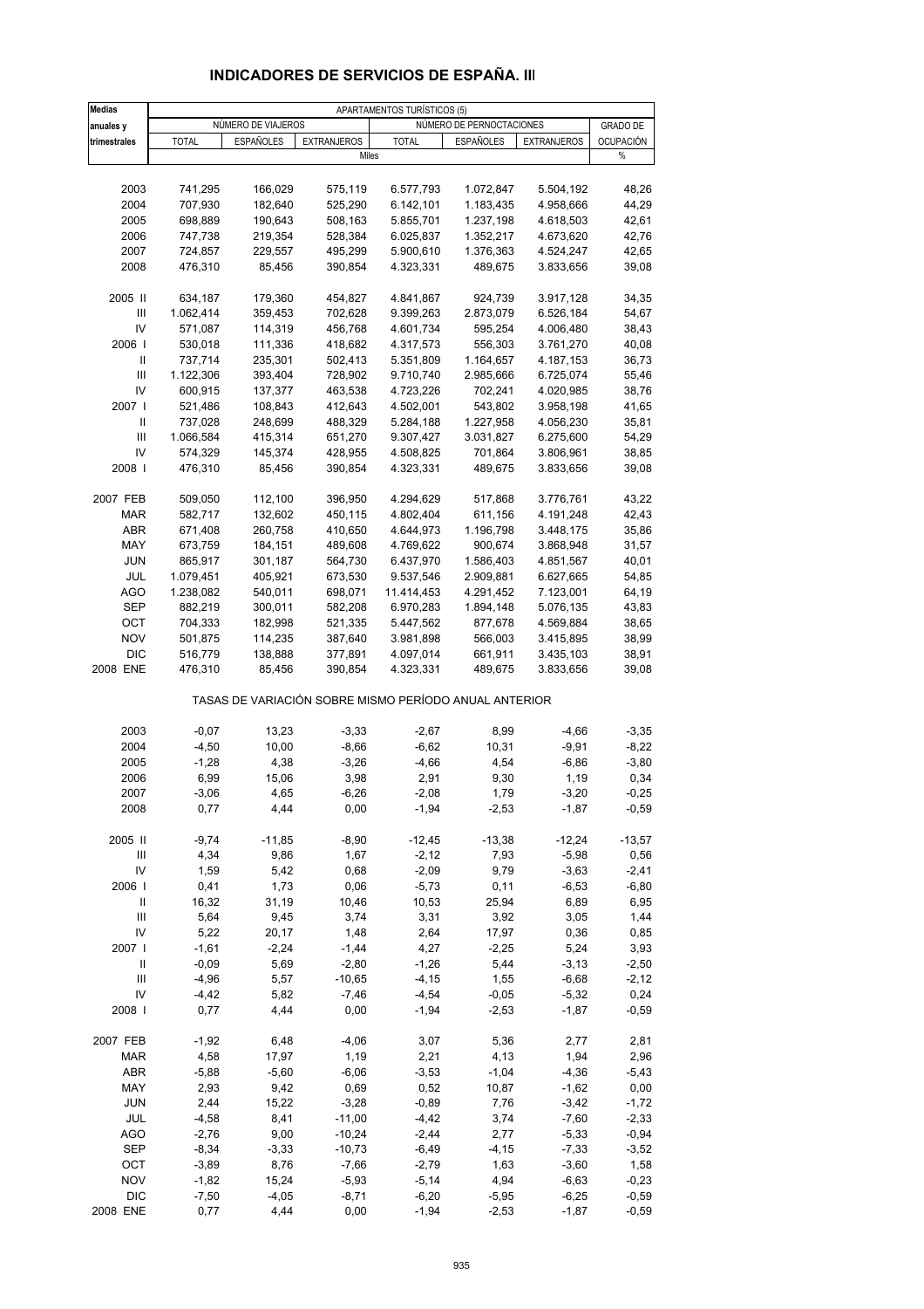| <b>Medias</b>                      |                        |                    |                                                       | APARTAMENTOS TURÍSTICOS (5) |                          |                        |                  |
|------------------------------------|------------------------|--------------------|-------------------------------------------------------|-----------------------------|--------------------------|------------------------|------------------|
| anuales y                          |                        | NÚMERO DE VIAJEROS |                                                       |                             | NÚMERO DE PERNOCTACIONES |                        | <b>GRADO DE</b>  |
| trimestrales                       | <b>TOTAL</b>           | <b>ESPAÑOLES</b>   | <b>EXTRANJEROS</b>                                    | <b>TOTAL</b>                | <b>ESPAÑOLES</b>         | <b>EXTRANJEROS</b>     | <b>OCUPACIÓN</b> |
|                                    |                        |                    | Miles                                                 |                             |                          |                        | %                |
| 2003                               | 741,295                | 166,029            | 575,119                                               | 6.577,793                   | 1.072,847                | 5.504,192              | 48,26            |
| 2004                               | 707,930                | 182,640            | 525,290                                               | 6.142,101                   | 1.183,435                | 4.958,666              | 44,29            |
| 2005                               | 698,889                | 190,643            | 508,163                                               | 5.855,701                   | 1.237,198                | 4.618,503              | 42,61            |
| 2006                               | 747,738                | 219,354            | 528,384                                               | 6.025,837                   | 1.352,217                | 4.673,620              | 42,76            |
| 2007                               | 724,857                | 229,557            | 495,299                                               | 5.900,610                   | 1.376,363                | 4.524,247              | 42,65            |
| 2008                               | 476,310                | 85,456             | 390,854                                               | 4.323,331                   | 489,675                  | 3.833,656              | 39,08            |
|                                    |                        |                    |                                                       |                             |                          |                        |                  |
| 2005 II                            | 634,187                | 179,360            | 454,827                                               | 4.841,867                   | 924,739                  | 3.917,128              | 34,35            |
| $\ensuremath{\mathsf{III}}\xspace$ | 1.062,414              | 359,453            | 702,628                                               | 9.399,263                   | 2.873,079                | 6.526,184              | 54,67            |
| IV                                 | 571,087                | 114,319            | 456,768                                               | 4.601,734                   | 595,254                  | 4.006,480              | 38,43            |
| 2006                               | 530,018                | 111,336            | 418,682                                               | 4.317,573                   | 556,303                  | 3.761,270              | 40,08            |
| Ш<br>Ш                             | 737,714<br>1.122,306   | 235,301<br>393,404 | 502,413<br>728,902                                    | 5.351,809<br>9.710,740      | 1.164,657<br>2.985,666   | 4.187,153<br>6.725,074 | 36,73<br>55,46   |
| IV                                 | 600,915                | 137,377            | 463,538                                               | 4.723,226                   | 702,241                  | 4.020,985              | 38,76            |
| 2007 l                             | 521,486                | 108,843            | 412,643                                               | 4.502,001                   | 543,802                  | 3.958,198              | 41,65            |
| Ш                                  | 737,028                | 248,699            | 488,329                                               | 5.284,188                   | 1.227,958                | 4.056,230              | 35,81            |
| $\ensuremath{\mathsf{III}}\xspace$ | 1.066,584              | 415,314            | 651,270                                               | 9.307,427                   | 3.031,827                | 6.275,600              | 54,29            |
| IV                                 | 574,329                | 145,374            | 428,955                                               | 4.508,825                   | 701,864                  | 3.806,961              | 38,85            |
| 2008                               | 476,310                | 85,456             | 390,854                                               | 4.323,331                   | 489,675                  | 3.833,656              | 39,08            |
|                                    |                        |                    |                                                       |                             |                          |                        |                  |
| 2007 FEB                           | 509,050                | 112,100            | 396,950                                               | 4.294,629                   | 517,868                  | 3.776,761              | 43,22            |
| <b>MAR</b>                         | 582,717                | 132,602            | 450,115                                               | 4.802,404                   | 611,156                  | 4.191,248              | 42,43            |
| <b>ABR</b>                         | 671,408                | 260,758            | 410,650                                               | 4.644,973                   | 1.196,798                | 3.448,175              | 35,86            |
| MAY                                | 673,759                | 184,151            | 489,608                                               | 4.769,622                   | 900,674                  | 3.868,948              | 31,57            |
| <b>JUN</b>                         | 865,917                | 301,187            | 564,730                                               | 6.437,970                   | 1.586,403                | 4.851,567              | 40,01            |
| JUL<br>AGO                         | 1.079,451<br>1.238,082 | 405,921<br>540,011 | 673,530<br>698,071                                    | 9.537,546<br>11.414,453     | 2.909,881<br>4.291,452   | 6.627,665<br>7.123,001 | 54,85<br>64,19   |
| <b>SEP</b>                         | 882,219                | 300,011            | 582,208                                               | 6.970,283                   | 1.894,148                | 5.076,135              | 43,83            |
| OCT                                | 704,333                | 182,998            | 521,335                                               | 5.447,562                   | 877,678                  | 4.569,884              | 38,65            |
| <b>NOV</b>                         | 501,875                | 114,235            | 387,640                                               | 3.981,898                   | 566,003                  | 3.415,895              | 38,99            |
| <b>DIC</b>                         | 516,779                | 138,888            | 377,891                                               | 4.097,014                   | 661,911                  | 3.435,103              | 38,91            |
| 2008 ENE                           | 476,310                | 85,456             | 390,854                                               | 4.323,331                   | 489,675                  | 3.833,656              | 39,08            |
|                                    |                        |                    | TASAS DE VARIACIÓN SOBRE MISMO PERÍODO ANUAL ANTERIOR |                             |                          |                        |                  |
| 2003                               | $-0,07$                | 13,23              | $-3,33$                                               | $-2,67$                     | 8,99                     | $-4,66$                | $-3,35$          |
| 2004                               | $-4,50$                | 10,00              | $-8,66$                                               | $-6,62$                     | 10,31                    | $-9,91$                | $-8,22$          |
| 2005                               | $-1,28$                | 4,38               | $-3,26$                                               | $-4,66$                     | 4,54                     | $-6,86$                | $-3,80$          |
| 2006                               | 6,99                   | 15,06              | 3,98                                                  | 2,91                        | 9,30                     | 1,19                   | 0,34             |
| 2007                               | $-3,06$                | 4,65               | $-6,26$                                               | $-2,08$                     | 1,79                     | $-3,20$                | $-0,25$          |
| 2008                               | 0,77                   | 4,44               | 0,00                                                  | $-1,94$                     | $-2,53$                  | $-1,87$                | $-0,59$          |
| 2005 II                            | $-9,74$                | $-11,85$           | $-8,90$                                               | $-12,45$                    | $-13,38$                 | $-12,24$               | $-13,57$         |
| Ш                                  | 4,34                   | 9,86               | 1,67                                                  | $-2,12$                     | 7,93                     | $-5,98$                | 0,56             |
| IV                                 | 1,59                   | 5,42               | 0,68                                                  | $-2,09$                     | 9,79                     | $-3,63$                | $-2,41$          |
| 2006                               | 0,41                   | 1,73               | 0,06                                                  | $-5,73$                     | 0,11                     | $-6,53$                | $-6,80$          |
| Ш                                  | 16,32                  | 31,19              | 10,46                                                 | 10,53                       | 25,94                    | 6,89                   | 6,95             |
| Ш                                  | 5,64                   | 9,45               | 3,74                                                  | 3,31                        | 3,92                     | 3,05                   | 1,44             |
| IV                                 | 5,22                   | 20,17              | 1,48                                                  | 2,64                        | 17,97                    | 0,36                   | 0,85             |
| 2007                               | $-1,61$                | $-2,24$            | $-1,44$                                               | 4,27                        | $-2,25$                  | 5,24                   | 3,93             |
| Ш                                  | $-0,09$                | 5,69               | $-2,80$                                               | $-1,26$                     | 5,44                     | $-3,13$                | $-2,50$          |
| Ш                                  | $-4,96$                | 5,57               | $-10,65$                                              | $-4, 15$                    | 1,55                     | $-6,68$                | $-2,12$          |
| IV                                 | $-4,42$                | 5,82               | $-7,46$                                               | $-4,54$                     | $-0,05$                  | $-5,32$                | 0,24             |
| 2008                               | 0,77                   | 4,44               | 0,00                                                  | $-1,94$                     | $-2,53$                  | $-1,87$                | $-0,59$          |
| 2007 FEB                           | $-1,92$                | 6,48               | $-4,06$                                               | 3,07                        | 5,36                     | 2,77                   | 2,81             |
| MAR                                | 4,58                   | 17,97              | 1,19                                                  | 2,21                        | 4,13                     | 1,94                   | 2,96             |
| ABR                                | $-5,88$                | $-5,60$            | $-6,06$                                               | $-3,53$                     | $-1,04$                  | $-4,36$                | $-5,43$          |
| MAY                                | 2,93                   | 9,42               | 0,69                                                  | 0,52                        | 10,87                    | $-1,62$                | 0,00             |
| <b>JUN</b>                         | 2,44                   | 15,22              | $-3,28$                                               | $-0,89$                     | 7,76                     | $-3,42$                | $-1,72$          |
| JUL                                | $-4,58$                | 8,41               | $-11,00$                                              | $-4,42$                     | 3,74                     | $-7,60$                | $-2,33$          |
| AGO                                | $-2,76$                | 9,00               | $-10,24$                                              | $-2,44$                     | 2,77                     | $-5,33$                | $-0,94$          |
| SEP<br>OCT                         | $-8,34$<br>$-3,89$     | $-3,33$<br>8,76    | $-10,73$<br>$-7,66$                                   | $-6,49$<br>$-2,79$          | $-4, 15$<br>1,63         | $-7,33$<br>$-3,60$     | $-3,52$<br>1,58  |
| <b>NOV</b>                         | $-1,82$                | 15,24              | $-5,93$                                               | $-5,14$                     | 4,94                     | $-6,63$                | $-0,23$          |
| <b>DIC</b>                         | $-7,50$                | $-4,05$            | $-8,71$                                               | $-6,20$                     | $-5,95$                  | $-6,25$                | $-0,59$          |
| 2008 ENE                           | 0,77                   | 4,44               | 0,00                                                  | $-1,94$                     | $-2,53$                  | $-1,87$                | $-0,59$          |

### **INDICADORES DE SERVICIOS DE ESPAÑA. III**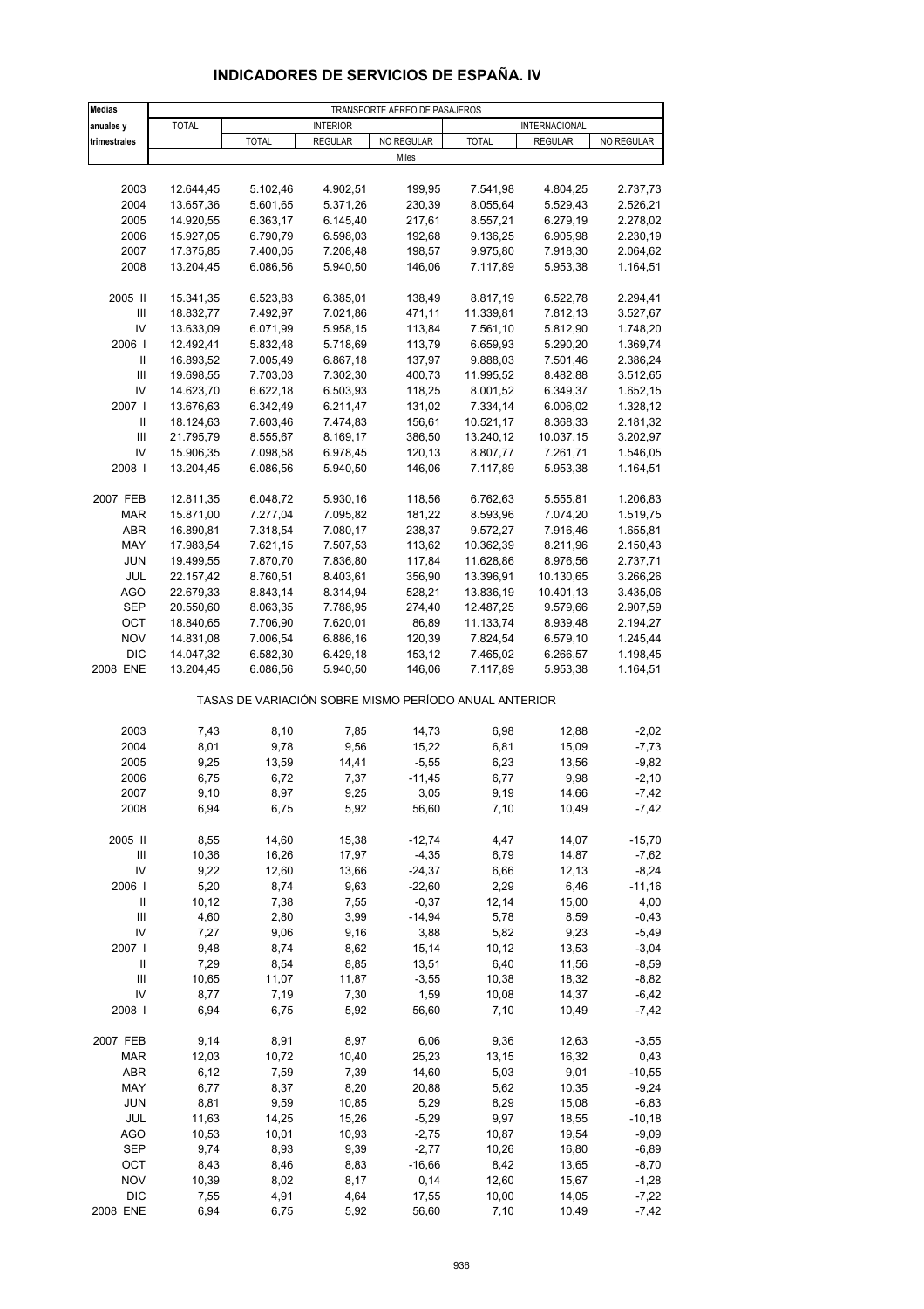| Medias                             |              |                                                       |                 | TRANSPORTE AÉREO DE PASAJEROS |              |                        |            |
|------------------------------------|--------------|-------------------------------------------------------|-----------------|-------------------------------|--------------|------------------------|------------|
| anuales y                          | <b>TOTAL</b> |                                                       | <b>INTERIOR</b> |                               |              | INTERNACIONAL          |            |
| trimestrales                       |              | <b>TOTAL</b>                                          | <b>REGULAR</b>  | NO REGULAR                    | <b>TOTAL</b> | <b>REGULAR</b>         | NO REGULAR |
|                                    |              |                                                       |                 | Miles                         |              |                        |            |
|                                    |              |                                                       |                 |                               |              |                        |            |
| 2003                               | 12.644,45    | 5.102,46                                              | 4.902,51        | 199,95                        | 7.541,98     | 4.804,25               | 2.737,73   |
| 2004                               | 13.657,36    | 5.601,65                                              | 5.371,26        | 230,39                        | 8.055,64     | 5.529,43               | 2.526,21   |
| 2005                               | 14.920,55    | 6.363,17                                              | 6.145,40        | 217,61                        | 8.557,21     | 6.279,19               | 2.278,02   |
| 2006                               | 15.927,05    | 6.790,79                                              | 6.598,03        | 192,68                        | 9.136,25     | 6.905,98               | 2.230,19   |
| 2007                               | 17.375,85    | 7.400,05                                              | 7.208,48        | 198,57                        | 9.975,80     | 7.918,30               | 2.064,62   |
| 2008                               | 13.204,45    | 6.086,56                                              | 5.940,50        | 146,06                        | 7.117,89     | 5.953,38               | 1.164,51   |
|                                    |              |                                                       |                 |                               |              |                        |            |
| 2005 II                            | 15.341,35    | 6.523,83                                              | 6.385,01        | 138,49                        | 8.817,19     | 6.522,78               | 2.294,41   |
| Ш                                  | 18.832,77    | 7.492,97                                              | 7.021,86        | 471,11                        | 11.339,81    | 7.812,13               | 3.527,67   |
| IV                                 | 13.633,09    | 6.071,99                                              | 5.958,15        | 113,84                        | 7.561,10     | 5.812,90               | 1.748,20   |
| 2006                               | 12.492,41    | 5.832,48                                              | 5.718,69        | 113,79                        | 6.659,93     | 5.290,20               | 1.369,74   |
| Ш                                  | 16.893,52    | 7.005,49                                              | 6.867,18        | 137,97                        | 9.888,03     | 7.501,46               | 2.386,24   |
| $\ensuremath{\mathsf{III}}\xspace$ | 19.698,55    | 7.703,03                                              | 7.302,30        | 400,73                        | 11.995,52    | 8.482,88               | 3.512,65   |
| IV                                 | 14.623,70    | 6.622,18                                              | 6.503,93        | 118,25                        | 8.001,52     | 6.349,37               | 1.652,15   |
| 2007 l                             | 13.676,63    | 6.342,49                                              | 6.211,47        | 131,02                        | 7.334,14     | 6.006,02               | 1.328,12   |
| Ш                                  | 18.124,63    | 7.603,46                                              | 7.474,83        | 156,61                        | 10.521,17    | 8.368,33               | 2.181,32   |
| $\ensuremath{\mathsf{III}}\xspace$ | 21.795,79    | 8.555,67                                              | 8.169,17        | 386,50                        | 13.240,12    | 10.037,15              | 3.202,97   |
| IV                                 | 15.906,35    | 7.098,58                                              | 6.978,45        | 120,13                        | 8.807,77     | 7.261,71               | 1.546,05   |
| 2008                               | 13.204,45    | 6.086,56                                              | 5.940,50        | 146,06                        | 7.117,89     | 5.953,38               | 1.164,51   |
|                                    |              |                                                       |                 |                               |              |                        |            |
| 2007 FEB                           | 12.811,35    | 6.048,72                                              | 5.930,16        | 118,56                        | 6.762,63     | 5.555,81               | 1.206,83   |
| <b>MAR</b>                         | 15.871,00    | 7.277,04                                              | 7.095,82        | 181,22                        | 8.593,96     | 7.074,20               | 1.519,75   |
| <b>ABR</b>                         |              |                                                       |                 |                               | 9.572,27     |                        |            |
|                                    | 16.890,81    | 7.318,54                                              | 7.080,17        | 238,37                        |              | 7.916,46               | 1.655,81   |
| MAY                                | 17.983,54    | 7.621,15                                              | 7.507,53        | 113,62                        | 10.362,39    | 8.211,96               | 2.150,43   |
| <b>JUN</b>                         | 19.499,55    | 7.870,70                                              | 7.836,80        | 117,84                        | 11.628,86    | 8.976,56               | 2.737,71   |
| JUL                                | 22.157,42    | 8.760,51                                              | 8.403,61        | 356,90                        | 13.396,91    | 10.130,65<br>10.401,13 | 3.266,26   |
| <b>AGO</b>                         | 22.679,33    | 8.843,14                                              | 8.314,94        | 528,21                        | 13.836,19    |                        | 3.435,06   |
| <b>SEP</b>                         | 20.550,60    | 8.063,35                                              | 7.788,95        | 274,40                        | 12.487,25    | 9.579,66               | 2.907,59   |
| OCT                                | 18.840,65    | 7.706,90                                              | 7.620,01        | 86,89                         | 11.133,74    | 8.939,48               | 2.194,27   |
| <b>NOV</b><br><b>DIC</b>           | 14.831,08    | 7.006,54                                              | 6.886,16        | 120,39                        | 7.824,54     | 6.579,10               | 1.245,44   |
|                                    | 14.047,32    | 6.582,30                                              | 6.429,18        | 153,12                        | 7.465,02     | 6.266,57               | 1.198,45   |
| 2008 ENE                           | 13.204,45    | 6.086,56                                              | 5.940,50        | 146,06                        | 7.117,89     | 5.953,38               | 1.164,51   |
|                                    |              | TASAS DE VARIACIÓN SOBRE MISMO PERÍODO ANUAL ANTERIOR |                 |                               |              |                        |            |
| 2003                               | 7,43         | 8,10                                                  | 7,85            | 14,73                         | 6,98         | 12,88                  | $-2,02$    |
| 2004                               | 8,01         | 9,78                                                  | 9,56            | 15,22                         | 6,81         | 15,09                  | $-7,73$    |
| 2005                               | 9,25         | 13,59                                                 | 14,41           | $-5,55$                       | 6,23         | 13,56                  | $-9,82$    |
| 2006                               | 6,75         | 6,72                                                  | 7,37            | $-11,45$                      | 6,77         | 9,98                   | $-2,10$    |
| 2007                               | 9,10         | 8,97                                                  | 9,25            | 3,05                          | 9,19         | 14,66                  | $-7,42$    |
| 2008                               | 6,94         | 6,75                                                  | 5,92            | 56,60                         | 7,10         | 10,49                  | $-7,42$    |
|                                    |              |                                                       |                 |                               |              |                        |            |
| 2005 II                            | 8,55         | 14,60                                                 | 15,38           | $-12,74$                      | 4,47         | 14,07                  | $-15,70$   |
| Ш                                  | 10,36        | 16,26                                                 | 17,97           | $-4,35$                       | 6,79         | 14,87                  | $-7,62$    |
| IV                                 | 9,22         | 12,60                                                 | 13,66           | $-24,37$                      | 6,66         | 12,13                  | $-8,24$    |
| 2006                               | 5,20         | 8,74                                                  | 9,63            | $-22,60$                      | 2,29         | 6,46                   | $-11,16$   |
| Ш                                  | 10, 12       | 7,38                                                  | 7,55            | $-0,37$                       | 12,14        | 15,00                  | 4,00       |
| $\ensuremath{\mathsf{III}}\xspace$ | 4,60         | 2,80                                                  | 3,99            | $-14,94$                      | 5,78         | 8,59                   | $-0,43$    |
| IV                                 | 7,27         | 9,06                                                  | 9,16            | 3,88                          | 5,82         | 9,23                   | $-5,49$    |
| 2007 l                             | 9,48         | 8,74                                                  | 8,62            | 15,14                         | 10, 12       | 13,53                  | $-3,04$    |
| Ш                                  | 7,29         | 8,54                                                  | 8,85            | 13,51                         | 6,40         | 11,56                  | $-8,59$    |
| $\mathbf{III}$                     | 10,65        | 11,07                                                 | 11,87           | $-3,55$                       | 10,38        | 18,32                  | $-8,82$    |
| IV                                 | 8,77         | 7,19                                                  | 7,30            | 1,59                          | 10,08        | 14,37                  | $-6,42$    |
| 2008                               | 6,94         | 6,75                                                  | 5,92            | 56,60                         | 7,10         | 10,49                  | $-7,42$    |
| 2007 FEB                           | 9,14         | 8,91                                                  | 8,97            | 6,06                          | 9,36         | 12,63                  | $-3,55$    |
| <b>MAR</b>                         | 12,03        | 10,72                                                 | 10,40           | 25,23                         | 13,15        | 16,32                  | 0,43       |
| <b>ABR</b>                         | 6, 12        | 7,59                                                  | 7,39            | 14,60                         | 5,03         | 9,01                   | $-10,55$   |
| MAY                                | 6,77         | 8,37                                                  | 8,20            | 20,88                         | 5,62         | 10,35                  | $-9,24$    |
| <b>JUN</b>                         | 8,81         | 9,59                                                  | 10,85           | 5,29                          | 8,29         | 15,08                  | $-6,83$    |
| JUL                                | 11,63        | 14,25                                                 | 15,26           | $-5,29$                       | 9,97         | 18,55                  | $-10,18$   |
| <b>AGO</b>                         | 10,53        | 10,01                                                 | 10,93           | $-2,75$                       | 10,87        | 19,54                  | $-9,09$    |
| SEP                                | 9,74         | 8,93                                                  | 9,39            | $-2,77$                       | 10,26        | 16,80                  | $-6,89$    |
| OCT                                | 8,43         | 8,46                                                  | 8,83            | $-16,66$                      | 8,42         | 13,65                  | $-8,70$    |
| <b>NOV</b>                         | 10,39        | 8,02                                                  | 8,17            | 0,14                          | 12,60        | 15,67                  | $-1,28$    |
| <b>DIC</b>                         | 7,55         | 4,91                                                  | 4,64            | 17,55                         | 10,00        | 14,05                  | $-7,22$    |
| 2008 ENE                           | 6,94         | 6,75                                                  | 5,92            | 56,60                         | 7,10         | 10,49                  | $-7,42$    |

## **INDICADORES DE SERVICIOS DE ESPAÑA. IV**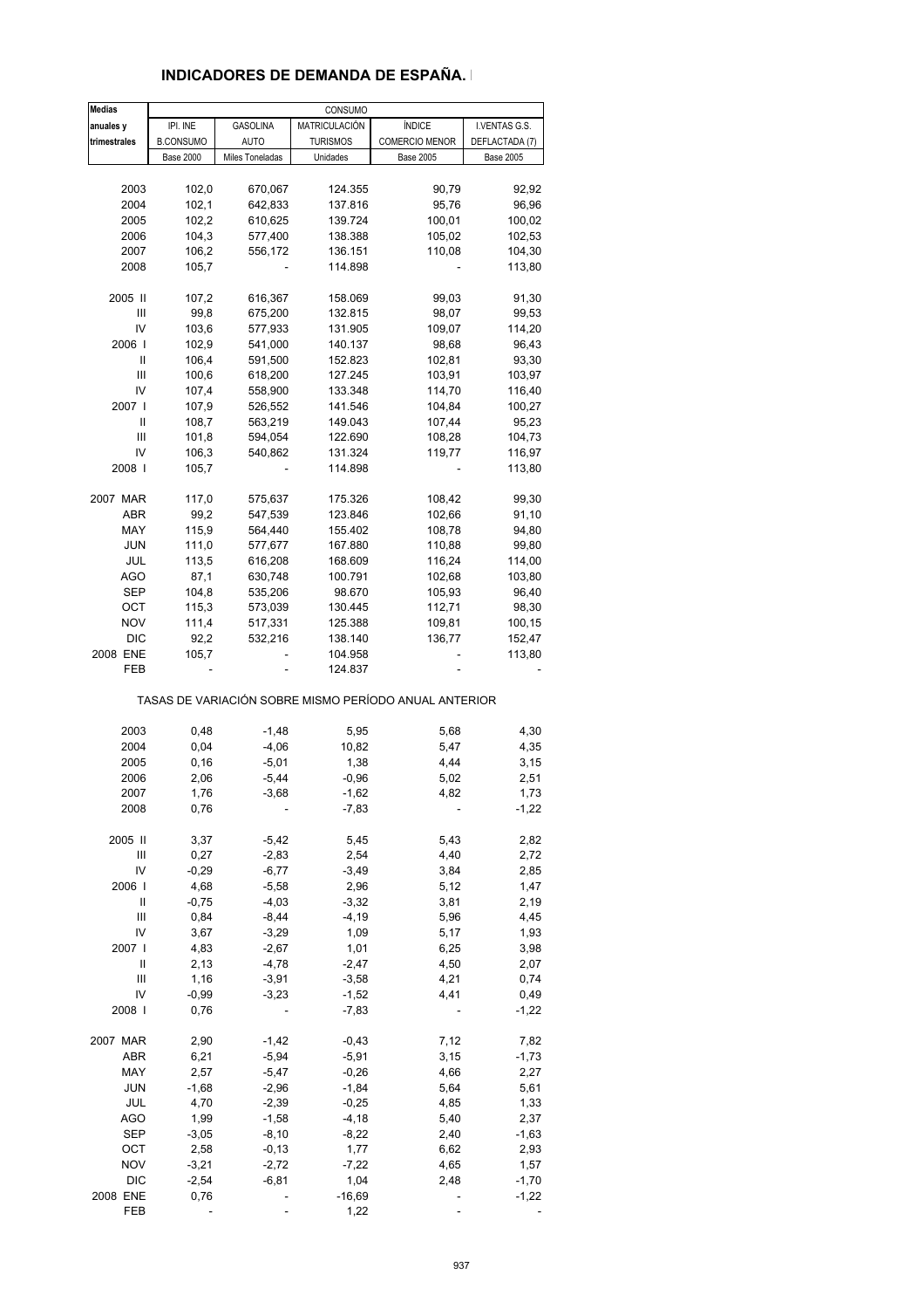### **INDICADORES DE DEMANDA DE ESPAÑA. I**

| <b>Medias</b> |                  |                 | CONSUMO         |                                                       |                  |
|---------------|------------------|-----------------|-----------------|-------------------------------------------------------|------------------|
| anuales y     | IPI. INE         | <b>GASOLINA</b> | MATRICULACIÓN   | <b>ÍNDICE</b>                                         | I.VENTAS G.S.    |
| trimestrales  | <b>B.CONSUMO</b> | <b>AUTO</b>     | <b>TURISMOS</b> | COMERCIO MENOR                                        | DEFLACTADA (7)   |
|               | <b>Base 2000</b> | Miles Toneladas | Unidades        | <b>Base 2005</b>                                      | <b>Base 2005</b> |
|               |                  |                 |                 |                                                       |                  |
| 2003          | 102,0            | 670,067         | 124.355         | 90,79                                                 | 92,92            |
| 2004          | 102,1            | 642,833         | 137.816         | 95,76                                                 | 96,96            |
| 2005          | 102,2            | 610,625         | 139.724         | 100,01                                                | 100,02           |
| 2006          | 104,3            | 577,400         | 138.388         | 105,02                                                | 102,53           |
| 2007          | 106,2            | 556,172         | 136.151         | 110,08                                                | 104,30           |
| 2008          | 105,7            |                 | 114.898         |                                                       | 113,80           |
|               |                  |                 |                 |                                                       |                  |
| 2005 II       | 107,2            | 616,367         | 158.069         | 99,03                                                 | 91,30            |
| Ш             | 99,8             | 675,200         | 132.815         | 98,07                                                 | 99,53            |
| IV            | 103,6            | 577,933         | 131.905         | 109,07                                                | 114,20           |
| 2006          | 102,9            | 541,000         | 140.137         | 98,68                                                 | 96,43            |
| Ш             | 106,4            | 591,500         | 152.823         | 102,81                                                | 93,30            |
| Ш             | 100,6            | 618,200         | 127.245         | 103,91                                                | 103,97           |
| IV            | 107,4            | 558,900         | 133.348         | 114,70                                                | 116,40           |
| 2007 l        | 107,9            | 526,552         | 141.546         | 104,84                                                | 100,27           |
| Ш             | 108,7            | 563,219         | 149.043         | 107,44                                                | 95,23            |
| Ш             | 101,8            | 594,054         | 122.690         | 108,28                                                | 104,73           |
| IV            | 106,3            | 540,862         | 131.324         | 119,77                                                | 116,97           |
| 2008          | 105,7            |                 | 114.898         |                                                       | 113,80           |
|               |                  |                 |                 |                                                       |                  |
| 2007 MAR      | 117,0            | 575,637         | 175.326         | 108,42                                                | 99,30            |
| <b>ABR</b>    | 99,2             | 547,539         | 123.846         | 102,66                                                | 91,10            |
| MAY           | 115,9            | 564,440         | 155.402         | 108,78                                                | 94,80            |
| <b>JUN</b>    | 111,0            | 577,677         | 167.880         | 110,88                                                | 99,80            |
| JUL           | 113,5            | 616,208         | 168.609         | 116,24                                                | 114,00           |
| <b>AGO</b>    | 87,1             | 630,748         | 100.791         | 102,68                                                | 103,80           |
| SEP           | 104,8            | 535,206         | 98.670          | 105,93                                                | 96,40            |
| OCT           | 115,3            | 573,039         | 130.445         | 112,71                                                | 98,30            |
| <b>NOV</b>    | 111,4            | 517,331         |                 |                                                       |                  |
|               |                  |                 | 125.388         | 109,81                                                | 100,15           |
| DIC           | 92,2             | 532,216         | 138.140         | 136,77                                                | 152,47           |
| 2008 ENE      | 105,7            |                 | 104.958         |                                                       | 113,80           |
| FEB           |                  |                 | 124.837         |                                                       |                  |
|               |                  |                 |                 | TASAS DE VARIACIÓN SOBRE MISMO PERÍODO ANUAL ANTERIOR |                  |
| 2003          | 0,48             | $-1,48$         | 5,95            | 5,68                                                  | 4,30             |
| 2004          | 0,04             | $-4,06$         | 10,82           | 5,47                                                  | 4,35             |
| 2005          | 0, 16            | $-5,01$         | 1,38            | 4,44                                                  | 3,15             |
| 2006          | 2,06             | $-5,44$         | $-0,96$         | 5,02                                                  | 2,51             |
| 2007          | 1.76             | $-3,68$         | $-1,62$         | 4.82                                                  | 1,73             |
| 2008          | 0,76             |                 | $-7,83$         |                                                       | $-1,22$          |
|               |                  |                 |                 |                                                       |                  |
| 2005 II       | 3,37             | $-5,42$         | 5,45            | 5,43                                                  | 2,82             |
| Ш             | 0,27             | $-2,83$         | 2,54            | 4,40                                                  | 2,72             |
| IV            | $-0,29$          | $-6,77$         | $-3,49$         | 3,84                                                  | 2,85             |
| 2006          | 4,68             | $-5,58$         | 2,96            | 5,12                                                  | 1,47             |
| Ш             | $-0,75$          | $-4,03$         | $-3,32$         | 3,81                                                  | 2,19             |
| Ш             | 0,84             | $-8,44$         | $-4,19$         | 5,96                                                  | 4,45             |
| IV            | 3,67             | $-3,29$         | 1,09            | 5,17                                                  | 1,93             |
| 2007 l        | 4,83             | $-2,67$         | 1,01            | 6,25                                                  | 3,98             |
| Ш             | 2,13             | $-4,78$         | $-2,47$         | 4,50                                                  | 2,07             |
| Ш             | 1,16             | $-3,91$         | $-3,58$         | 4,21                                                  | 0,74             |
| IV            | $-0,99$          | $-3,23$         | $-1,52$         | 4,41                                                  | 0,49             |
| 2008          | 0,76             |                 | $-7,83$         |                                                       | $-1,22$          |
|               |                  |                 |                 |                                                       |                  |
| 2007 MAR      | 2,90             | $-1,42$         | $-0,43$         | 7,12                                                  | 7,82             |
| ABR           | 6,21             | $-5,94$         | $-5,91$         | 3,15                                                  | $-1,73$          |
| MAY           | 2,57             | $-5,47$         | $-0,26$         | 4,66                                                  | 2,27             |
| <b>JUN</b>    | $-1,68$          | $-2,96$         | $-1,84$         | 5,64                                                  | 5,61             |
| JUL           | 4,70             | $-2,39$         | $-0,25$         | 4,85                                                  | 1,33             |
| <b>AGO</b>    | 1,99             | $-1,58$         | $-4,18$         | 5,40                                                  | 2,37             |
| <b>SEP</b>    | $-3,05$          | $-8,10$         | $-8,22$         | 2,40                                                  | $-1,63$          |
| ОСТ           | 2,58             | $-0, 13$        | 1,77            | 6,62                                                  | 2,93             |
| <b>NOV</b>    | $-3,21$          | $-2,72$         | $-7,22$         | 4,65                                                  | 1,57             |
| <b>DIC</b>    | $-2,54$          | $-6, 81$        | 1,04            | 2,48                                                  | $-1,70$          |
| 2008 ENE      | 0,76             |                 | $-16,69$        |                                                       | $-1,22$          |
| FEB           |                  |                 | 1,22            |                                                       |                  |
|               |                  |                 |                 |                                                       |                  |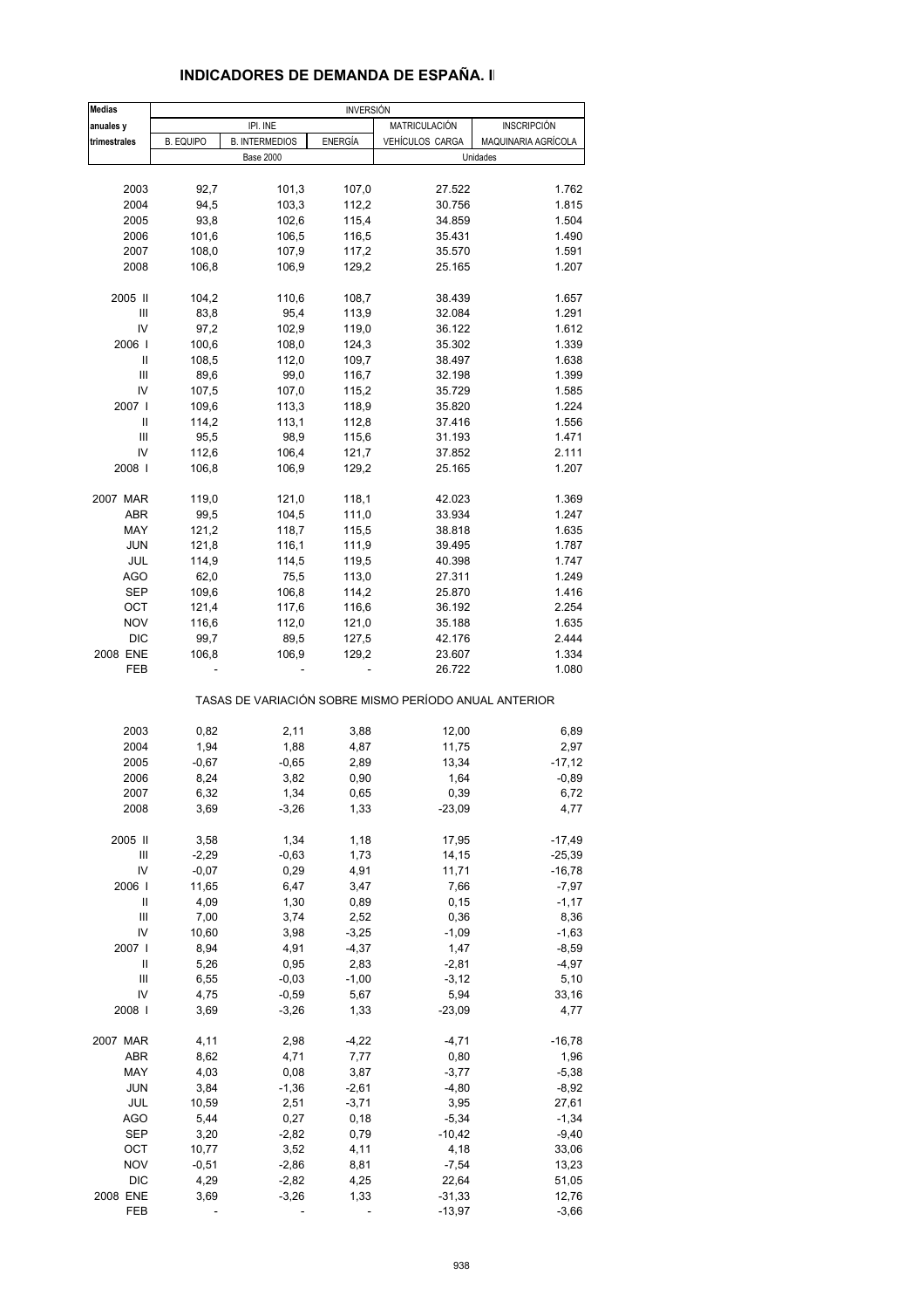| <b>Medias</b>                         | <b>INVERSIÓN</b> |                       |                |                                                       |                     |
|---------------------------------------|------------------|-----------------------|----------------|-------------------------------------------------------|---------------------|
| anuales y                             |                  | IPI. INE              |                | MATRICULACIÓN                                         | INSCRIPCIÓN         |
| trimestrales                          | <b>B. EQUIPO</b> | <b>B. INTERMEDIOS</b> | <b>ENERGÍA</b> | VEHÍCULOS CARGA                                       | MAQUINARIA AGRÍCOLA |
|                                       |                  | <b>Base 2000</b>      |                |                                                       | Unidades            |
| 2003                                  | 92,7             | 101,3                 | 107,0          | 27.522                                                | 1.762               |
| 2004                                  | 94,5             | 103,3                 | 112,2          | 30.756                                                | 1.815               |
| 2005                                  | 93,8             | 102,6                 | 115,4          | 34.859                                                | 1.504               |
| 2006                                  | 101,6            | 106,5                 | 116,5          | 35.431                                                | 1.490               |
| 2007                                  | 108,0            | 107,9                 | 117,2          | 35.570                                                | 1.591               |
| 2008                                  | 106,8            | 106,9                 | 129,2          | 25.165                                                | 1.207               |
|                                       |                  |                       |                |                                                       |                     |
| 2005 II                               | 104,2            | 110,6                 | 108,7          | 38.439                                                | 1.657               |
| Ш                                     | 83,8             | 95,4                  | 113,9          | 32.084                                                | 1.291               |
| IV                                    | 97,2             | 102,9                 | 119,0          | 36.122                                                | 1.612               |
| 2006                                  | 100,6            | 108,0                 | 124,3          | 35.302                                                | 1.339               |
| Ш                                     | 108,5            | 112,0                 | 109,7          | 38.497                                                | 1.638               |
| Ш                                     | 89,6             | 99,0                  | 116,7          | 32.198                                                | 1.399               |
| IV                                    | 107,5            | 107,0                 | 115,2          | 35.729                                                | 1.585               |
| 2007 l                                | 109,6            | 113,3                 | 118,9          | 35.820                                                | 1.224               |
| Ш                                     | 114,2            | 113,1                 | 112,8          | 37.416                                                | 1.556               |
| Ш                                     | 95,5             | 98,9                  | 115,6          | 31.193                                                | 1.471               |
| IV                                    | 112,6            | 106,4                 | 121,7          | 37.852                                                | 2.111               |
| 2008                                  | 106,8            | 106,9                 | 129,2          | 25.165                                                | 1.207               |
| 2007 MAR                              | 119,0            | 121,0                 | 118,1          | 42.023                                                | 1.369               |
| <b>ABR</b>                            | 99,5             | 104,5                 | 111,0          | 33.934                                                | 1.247               |
| MAY                                   | 121,2            | 118,7                 | 115,5          | 38.818                                                | 1.635               |
| <b>JUN</b>                            | 121,8            | 116,1                 | 111,9          | 39.495                                                | 1.787               |
| JUL                                   | 114,9            | 114,5                 | 119,5          | 40.398                                                | 1.747               |
| <b>AGO</b>                            | 62,0             | 75,5                  | 113,0          | 27.311                                                | 1.249               |
| <b>SEP</b>                            | 109,6            | 106,8                 | 114,2          | 25.870                                                | 1.416               |
| OCT                                   | 121,4            | 117,6                 | 116,6          | 36.192                                                | 2.254               |
| <b>NOV</b>                            | 116,6            | 112,0                 | 121,0          | 35.188                                                | 1.635               |
| <b>DIC</b>                            | 99,7             | 89,5                  | 127,5          | 42.176                                                | 2.444               |
| 2008 ENE<br>FEB                       | 106,8            | 106,9                 | 129,2          | 23.607<br>26.722                                      | 1.334<br>1.080      |
|                                       |                  |                       |                | TASAS DE VARIACIÓN SOBRE MISMO PERÍODO ANUAL ANTERIOR |                     |
| 2003                                  | 0,82             | 2,11                  | 3,88           | 12,00                                                 | 6,89                |
| 2004                                  | 1,94             | 1,88                  | 4,87           | 11,75                                                 | 2,97                |
| 2005                                  | $-0,67$          | $-0,65$               | 2,89           | 13,34                                                 | $-17,12$            |
| 2006                                  | 8,24             | 3,82                  | 0,90           | 1,64                                                  | $-0,89$             |
| 2007                                  | 6,32             | 1,34                  | 0,65           | 0,39                                                  | 6,72                |
| 2008                                  | 3,69             | $-3,26$               | 1,33           | $-23,09$                                              | 4,77                |
| 2005 II                               | 3,58             | 1,34                  | 1,18           | 17,95                                                 | $-17,49$            |
| Ш                                     | $-2,29$          | $-0,63$               | 1,73           |                                                       | $-25,39$            |
| IV                                    | $-0,07$          | 0,29                  | 4,91           | 14,15<br>11,71                                        | $-16,78$            |
| 2006                                  | 11,65            | 6,47                  | 3,47           | 7,66                                                  | $-7,97$             |
| $\begin{array}{c} \hline \end{array}$ | 4,09             | 1,30                  | 0,89           | 0, 15                                                 | $-1,17$             |
| Ш                                     | 7,00             | 3,74                  | 2,52           | 0,36                                                  | 8,36                |
| IV                                    | 10,60            | 3,98                  | $-3,25$        | $-1,09$                                               | $-1,63$             |
| 2007                                  | 8,94             | 4,91                  | $-4,37$        | 1,47                                                  | $-8,59$             |
| $\begin{array}{c} \hline \end{array}$ | 5,26             | 0,95                  | 2,83           | $-2,81$                                               | $-4,97$             |
| Ш                                     | 6,55             | $-0,03$               | $-1,00$        | $-3,12$                                               | 5,10                |
| IV                                    | 4,75             | $-0,59$               | 5,67           | 5,94                                                  | 33,16               |
| 2008                                  | 3,69             | $-3,26$               | 1,33           | $-23,09$                                              | 4,77                |
|                                       |                  |                       |                |                                                       |                     |
| 2007 MAR                              | 4,11             | 2,98                  | $-4,22$        | $-4,71$                                               | $-16,78$            |
| ABR                                   | 8,62             | 4,71                  | 7,77           | 0,80                                                  | 1,96                |
| MAY                                   | 4,03             | 0,08                  | 3,87           | $-3,77$                                               | $-5,38$             |
| <b>JUN</b>                            | 3,84             | $-1,36$               | $-2,61$        | $-4,80$                                               | $-8,92$             |
| JUL                                   | 10,59            | 2,51                  | $-3,71$        | 3,95                                                  | 27,61               |
| <b>AGO</b>                            | 5,44             | 0,27                  | 0,18           | $-5,34$                                               | $-1,34$             |
| <b>SEP</b>                            | 3,20             | $-2,82$               | 0,79           | $-10,42$                                              | $-9,40$             |
| OCT                                   | 10,77            | 3,52                  | 4,11           | 4,18                                                  | 33,06               |
| <b>NOV</b>                            | $-0,51$          | $-2,86$               | 8,81           | $-7,54$                                               | 13,23               |
| <b>DIC</b>                            | 4,29             | $-2,82$               | 4,25           | 22,64                                                 | 51,05               |
| 2008 ENE                              | 3,69             | $-3,26$               | 1,33           | $-31,33$                                              | 12,76               |

#### **INDICADORES DE DEMANDA DE ESPAÑA. II**

FEB - - - - - - - - - - - - - - - -3,97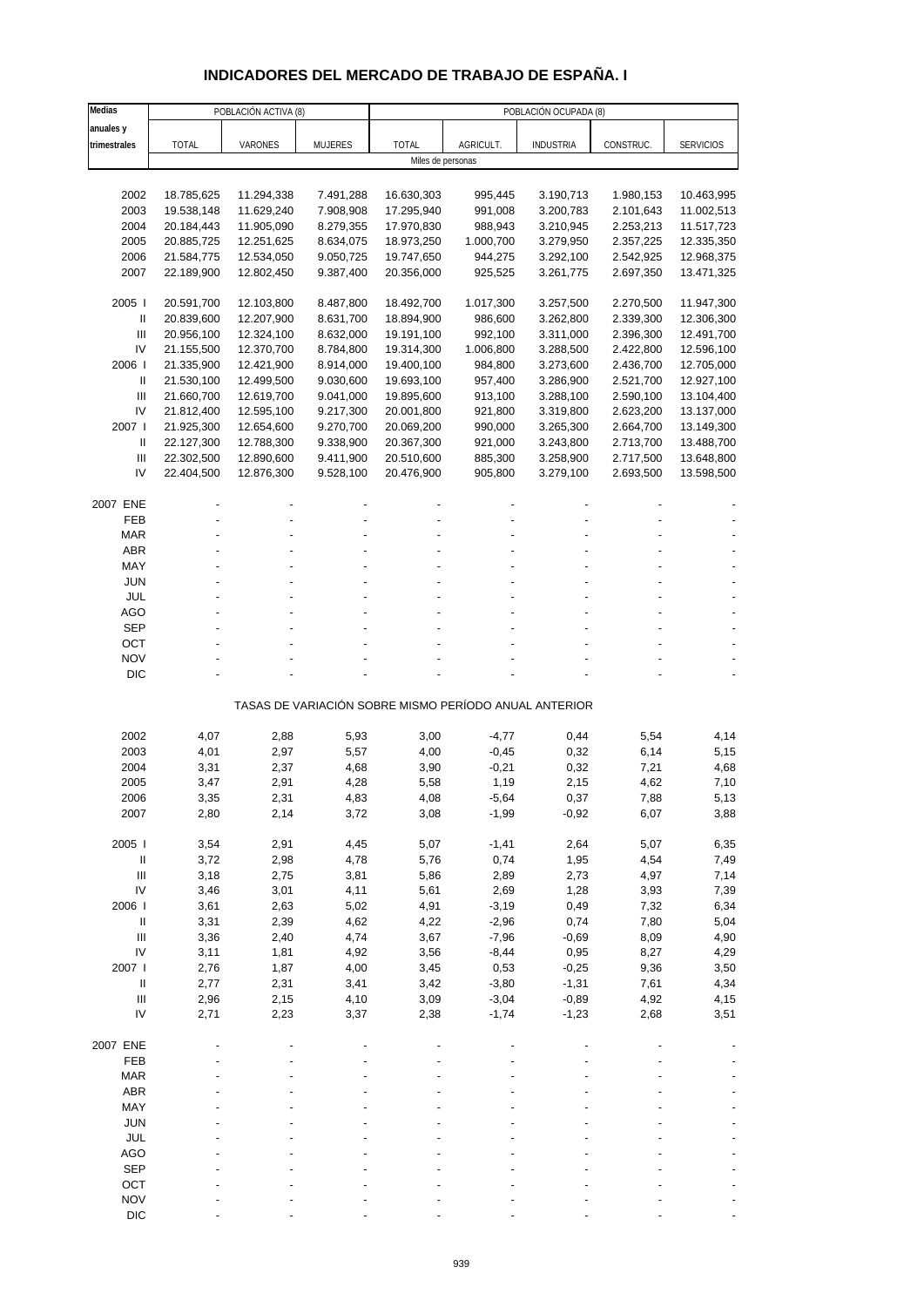## **INDICADORES DEL MERCADO DE TRABAJO DE ESPAÑA. I**

| Medias                             |                          | POBLACIÓN ACTIVA (8)     |                        | POBLACIÓN OCUPADA (8)    |                                                       |                        |                        |                          |  |
|------------------------------------|--------------------------|--------------------------|------------------------|--------------------------|-------------------------------------------------------|------------------------|------------------------|--------------------------|--|
| anuales y                          |                          |                          |                        |                          |                                                       |                        |                        |                          |  |
| trimestrales                       | <b>TOTAL</b>             | VARONES                  | MUJERES                | <b>TOTAL</b>             | AGRICULT.                                             | <b>INDUSTRIA</b>       | CONSTRUC.              | <b>SERVICIOS</b>         |  |
|                                    |                          |                          |                        | Miles de personas        |                                                       |                        |                        |                          |  |
|                                    |                          |                          |                        |                          |                                                       |                        |                        |                          |  |
| 2002                               | 18.785,625               | 11.294,338<br>11.629,240 | 7.491,288              | 16.630,303               | 995,445                                               | 3.190,713              | 1.980,153              | 10.463,995               |  |
| 2003<br>2004                       | 19.538,148<br>20.184,443 | 11.905,090               | 7.908,908<br>8.279,355 | 17.295,940<br>17.970,830 | 991,008<br>988,943                                    | 3.200,783<br>3.210,945 | 2.101,643<br>2.253,213 | 11.002,513<br>11.517,723 |  |
| 2005                               | 20.885,725               | 12.251,625               | 8.634,075              | 18.973,250               | 1.000,700                                             | 3.279,950              | 2.357,225              | 12.335,350               |  |
| 2006                               | 21.584,775               | 12.534,050               | 9.050,725              | 19.747,650               | 944,275                                               | 3.292,100              | 2.542,925              | 12.968,375               |  |
| 2007                               | 22.189,900               | 12.802,450               | 9.387,400              | 20.356,000               | 925,525                                               | 3.261,775              | 2.697,350              | 13.471,325               |  |
|                                    |                          |                          |                        |                          |                                                       |                        |                        |                          |  |
| 2005                               | 20.591,700               | 12.103,800               | 8.487,800              | 18.492,700               | 1.017,300                                             | 3.257,500              | 2.270,500              | 11.947,300               |  |
| $\mathbf{II}$                      | 20.839,600               | 12.207,900               | 8.631,700              | 18.894,900               | 986,600                                               | 3.262,800              | 2.339,300              | 12.306,300               |  |
| III                                | 20.956,100               | 12.324,100               | 8.632,000              | 19.191,100               | 992,100                                               | 3.311,000              | 2.396,300              | 12.491,700               |  |
| IV                                 | 21.155,500               | 12.370,700               | 8.784,800              | 19.314,300               | 1.006,800                                             | 3.288,500              | 2.422,800              | 12.596,100               |  |
| 2006                               | 21.335,900               | 12.421,900               | 8.914,000              | 19.400,100               | 984,800                                               | 3.273,600              | 2.436,700              | 12.705,000               |  |
| $\mathbf{II}$                      | 21.530,100               | 12.499,500               | 9.030,600              | 19.693,100               | 957,400                                               | 3.286,900              | 2.521,700              | 12.927,100               |  |
| Ш                                  | 21.660,700               | 12.619,700               | 9.041,000              | 19.895,600               | 913,100                                               | 3.288,100              | 2.590,100              | 13.104,400               |  |
| IV<br>2007 l                       | 21.812,400               | 12.595,100               | 9.217,300              | 20.001,800<br>20.069,200 | 921,800                                               | 3.319,800<br>3.265,300 | 2.623,200              | 13.137,000               |  |
| $\mathbf{II}$                      | 21.925,300<br>22.127,300 | 12.654,600<br>12.788,300 | 9.270,700<br>9.338,900 | 20.367,300               | 990,000<br>921,000                                    | 3.243,800              | 2.664,700<br>2.713,700 | 13.149,300<br>13.488,700 |  |
| $\ensuremath{\mathsf{III}}\xspace$ | 22.302,500               | 12.890,600               | 9.411,900              | 20.510,600               | 885,300                                               | 3.258,900              | 2.717,500              | 13.648,800               |  |
| IV                                 | 22.404,500               | 12.876,300               | 9.528,100              | 20.476,900               | 905,800                                               | 3.279,100              | 2.693,500              | 13.598,500               |  |
|                                    |                          |                          |                        |                          |                                                       |                        |                        |                          |  |
| 2007 ENE                           |                          |                          |                        |                          |                                                       |                        |                        |                          |  |
| FEB                                |                          |                          |                        |                          |                                                       |                        |                        |                          |  |
| <b>MAR</b>                         |                          |                          |                        |                          |                                                       |                        |                        |                          |  |
| <b>ABR</b>                         |                          |                          |                        |                          |                                                       |                        |                        |                          |  |
| MAY                                |                          |                          |                        |                          |                                                       |                        |                        |                          |  |
| <b>JUN</b>                         |                          |                          |                        |                          |                                                       |                        |                        |                          |  |
| JUL                                |                          |                          |                        |                          |                                                       |                        |                        |                          |  |
| AGO                                |                          |                          |                        |                          |                                                       |                        |                        |                          |  |
| <b>SEP</b>                         |                          |                          |                        |                          |                                                       |                        |                        |                          |  |
| OCT<br><b>NOV</b>                  |                          |                          |                        |                          |                                                       |                        |                        |                          |  |
| <b>DIC</b>                         |                          |                          |                        |                          |                                                       |                        |                        |                          |  |
|                                    |                          |                          |                        |                          |                                                       |                        |                        |                          |  |
|                                    |                          |                          |                        |                          | TASAS DE VARIACIÓN SOBRE MISMO PERÍODO ANUAL ANTERIOR |                        |                        |                          |  |
|                                    |                          |                          |                        |                          |                                                       |                        |                        |                          |  |
| 2002                               | 4,07                     | 2,88                     | 5,93                   | 3,00                     | $-4,77$                                               | 0,44                   | 5,54                   | 4,14                     |  |
| 2003                               | 4,01                     | 2,97                     | 5,57                   | 4,00                     | $-0,45$                                               | 0,32                   | 6,14                   | 5,15                     |  |
| 2004                               | 3,31                     | 2,37                     | 4,68                   | 3,90                     | $-0,21$                                               | 0,32                   | 7,21                   | 4,68                     |  |
| 2005                               | 3,47                     | 2,91                     | 4,28                   | 5,58                     | 1,19                                                  | 2,15                   | 4,62                   | 7,10                     |  |
| 2006                               | 3,35                     | 2,31                     | 4,83                   | 4,08                     | -5,64                                                 | 0,37                   | 7,88                   | 5,13                     |  |
| 2007                               | 2,80                     | 2,14                     | 3,72                   | 3,08                     | $-1,99$                                               | $-0,92$                | 6,07                   | 3,88                     |  |
| 2005                               | 3,54                     | 2,91                     | 4,45                   | 5,07                     | $-1,41$                                               | 2,64                   | 5,07                   | 6,35                     |  |
| $\, \parallel$                     | 3,72                     | 2,98                     | 4,78                   | 5,76                     | 0,74                                                  | 1,95                   | 4,54                   | 7,49                     |  |
| $\mathop{\mathrm{III}}\nolimits$   | 3,18                     | 2,75                     | 3,81                   | 5,86                     | 2,89                                                  | 2,73                   | 4,97                   | 7,14                     |  |
| IV                                 | 3,46                     | 3,01                     | 4,11                   | 5,61                     | 2,69                                                  | 1,28                   | 3,93                   | 7,39                     |  |
| 2006                               | 3,61                     | 2,63                     | 5,02                   | 4,91                     | $-3,19$                                               | 0,49                   | 7,32                   | 6,34                     |  |
| $\, \parallel$                     | 3,31                     | 2,39                     | 4,62                   | 4,22                     | $-2,96$                                               | 0,74                   | 7,80                   | 5,04                     |  |
| $\ensuremath{\mathsf{III}}\xspace$ | 3,36                     | 2,40                     | 4,74                   | 3,67                     | $-7,96$                                               | $-0,69$                | 8,09                   | 4,90                     |  |
| IV                                 | 3,11                     | 1,81                     | 4,92                   | 3,56                     | $-8,44$                                               | 0,95                   | 8,27                   | 4,29                     |  |
| 2007 l                             | 2,76                     | 1,87                     | 4,00                   | 3,45                     | 0,53                                                  | $-0,25$                | 9,36                   | 3,50                     |  |
| $\, \parallel$                     | 2,77                     | 2,31                     | 3,41                   | 3,42                     | $-3,80$                                               | $-1,31$                | 7,61                   | 4,34                     |  |
| $\ensuremath{\mathsf{III}}\xspace$ | 2,96                     | 2,15                     | 4,10                   | 3,09                     | $-3,04$                                               | $-0,89$                | 4,92                   | 4,15                     |  |
| IV                                 | 2,71                     | 2,23                     | 3,37                   | 2,38                     | $-1,74$                                               | $-1,23$                | 2,68                   | 3,51                     |  |
|                                    |                          |                          |                        |                          |                                                       |                        |                        |                          |  |
| 2007 ENE<br>FEB                    |                          |                          |                        |                          |                                                       |                        |                        |                          |  |
|                                    |                          |                          |                        |                          |                                                       |                        |                        |                          |  |
| <b>MAR</b><br>ABR                  |                          |                          |                        |                          |                                                       |                        |                        |                          |  |
| MAY                                |                          |                          |                        |                          |                                                       |                        |                        |                          |  |
| <b>JUN</b>                         |                          |                          |                        |                          |                                                       |                        |                        |                          |  |
| <b>JUL</b>                         |                          |                          |                        |                          |                                                       |                        |                        |                          |  |
| AGO                                |                          |                          |                        |                          |                                                       |                        |                        |                          |  |
| <b>SEP</b>                         |                          |                          |                        |                          |                                                       |                        |                        |                          |  |
| OCT                                |                          |                          |                        |                          |                                                       |                        |                        |                          |  |
| <b>NOV</b>                         |                          |                          |                        |                          |                                                       |                        |                        |                          |  |
| <b>DIC</b>                         |                          |                          |                        |                          |                                                       |                        |                        |                          |  |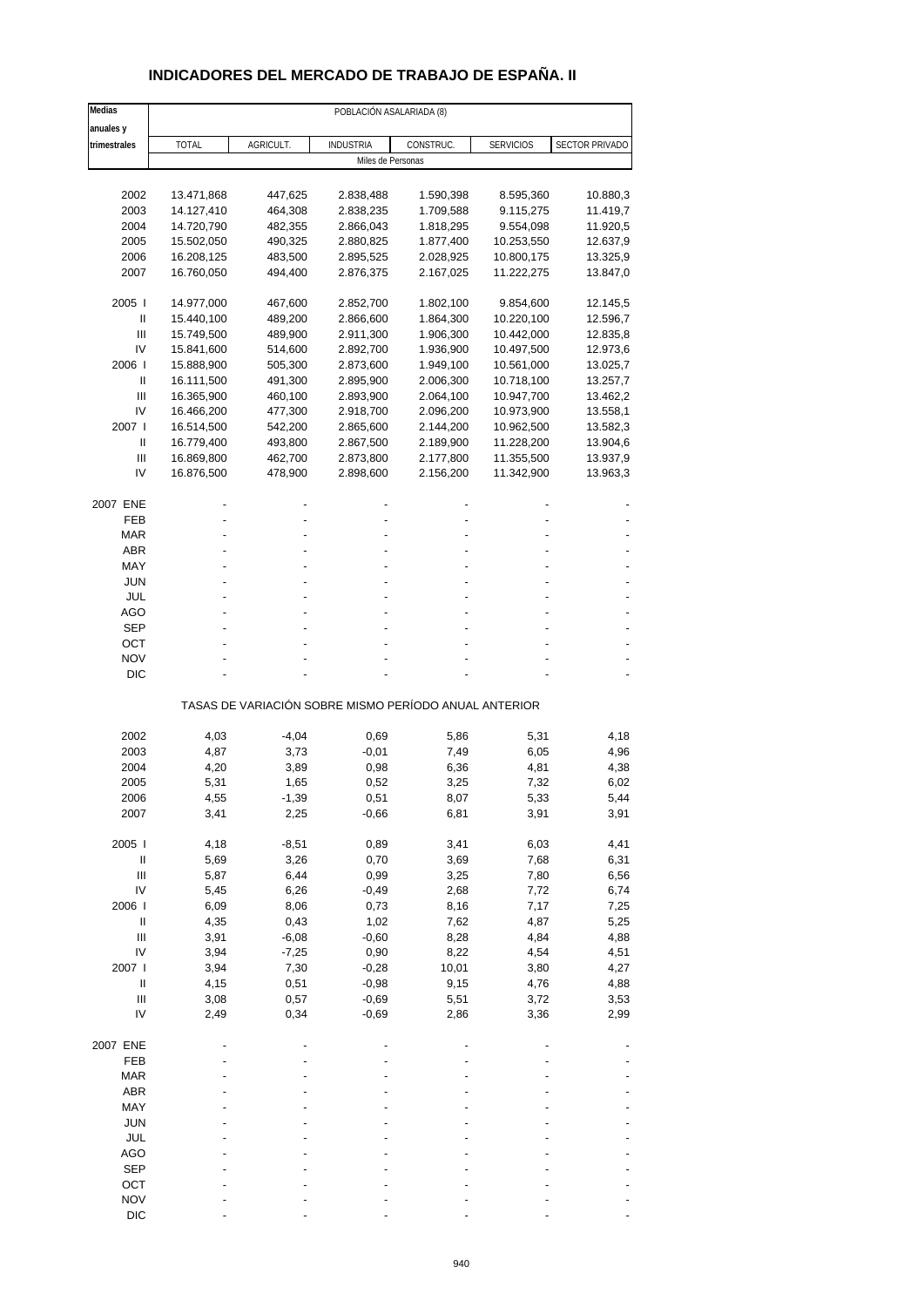### **INDICADORES DEL MERCADO DE TRABAJO DE ESPAÑA. II**

| Medias                             |              |           | POBLACIÓN ASALARIADA (8) |                                                       |                  |                |
|------------------------------------|--------------|-----------|--------------------------|-------------------------------------------------------|------------------|----------------|
| anuales y                          |              |           |                          |                                                       |                  |                |
| trimestrales                       | <b>TOTAL</b> | AGRICULT. | <b>INDUSTRIA</b>         | CONSTRUC.                                             | <b>SERVICIOS</b> | SECTOR PRIVADO |
|                                    |              |           | Miles de Personas        |                                                       |                  |                |
|                                    |              |           |                          |                                                       |                  |                |
| 2002                               | 13.471,868   | 447,625   | 2.838,488                | 1.590,398                                             | 8.595,360        | 10.880,3       |
| 2003                               | 14.127,410   | 464,308   | 2.838,235                | 1.709,588                                             | 9.115,275        | 11.419,7       |
| 2004                               | 14.720,790   | 482,355   | 2.866,043                | 1.818,295                                             | 9.554,098        | 11.920,5       |
| 2005                               | 15.502,050   | 490,325   | 2.880,825                | 1.877,400                                             | 10.253,550       | 12.637,9       |
| 2006                               | 16.208,125   | 483,500   | 2.895,525                | 2.028,925                                             | 10.800,175       | 13.325,9       |
| 2007                               | 16.760,050   | 494,400   | 2.876,375                | 2.167,025                                             | 11.222,275       | 13.847,0       |
| 2005                               | 14.977,000   | 467,600   | 2.852,700                | 1.802,100                                             | 9.854,600        | 12.145,5       |
| Ш                                  | 15.440,100   | 489,200   | 2.866,600                | 1.864,300                                             | 10.220,100       | 12.596,7       |
| Ш                                  | 15.749,500   | 489,900   | 2.911,300                | 1.906,300                                             | 10.442,000       | 12.835,8       |
| IV                                 | 15.841,600   | 514,600   | 2.892,700                | 1.936,900                                             | 10.497,500       | 12.973,6       |
| 2006                               | 15.888,900   | 505,300   | 2.873,600                | 1.949,100                                             | 10.561,000       | 13.025,7       |
| Ш                                  | 16.111,500   | 491,300   | 2.895,900                | 2.006,300                                             | 10.718,100       | 13.257,7       |
| Ш                                  | 16.365,900   | 460,100   | 2.893,900                | 2.064,100                                             | 10.947,700       | 13.462,2       |
| IV                                 | 16.466,200   | 477,300   | 2.918,700                | 2.096,200                                             | 10.973,900       | 13.558,1       |
| 2007 l                             | 16.514,500   | 542,200   | 2.865,600                | 2.144,200                                             | 10.962,500       | 13.582,3       |
| Ш                                  | 16.779,400   | 493,800   | 2.867,500                | 2.189,900                                             | 11.228,200       | 13.904,6       |
| Ш                                  | 16.869,800   | 462,700   | 2.873,800                | 2.177,800                                             | 11.355,500       | 13.937,9       |
| IV                                 | 16.876,500   | 478,900   | 2.898,600                | 2.156,200                                             | 11.342,900       | 13.963,3       |
| 2007 ENE                           |              |           |                          |                                                       |                  |                |
| FEB                                |              |           |                          |                                                       |                  |                |
| <b>MAR</b>                         |              |           |                          |                                                       |                  |                |
| <b>ABR</b>                         |              |           |                          |                                                       |                  |                |
| MAY                                |              |           |                          |                                                       |                  |                |
| <b>JUN</b>                         |              |           |                          |                                                       |                  |                |
| JUL                                |              |           |                          |                                                       |                  |                |
| <b>AGO</b>                         |              |           |                          |                                                       |                  |                |
| SEP                                |              |           |                          |                                                       |                  |                |
| ОСТ                                |              |           |                          |                                                       |                  |                |
| <b>NOV</b>                         |              |           |                          |                                                       |                  |                |
| <b>DIC</b>                         |              |           |                          |                                                       |                  |                |
|                                    |              |           |                          | TASAS DE VARIACIÓN SOBRE MISMO PERÍODO ANUAL ANTERIOR |                  |                |
| 2002                               |              | $-4,04$   |                          |                                                       |                  | 4,18           |
| 2003                               | 4,03<br>4,87 | 3,73      | 0,69<br>$-0,01$          | 5,86<br>7,49                                          | 5,31<br>6,05     | 4,96           |
| 2004                               | 4,20         | 3,89      | 0,98                     | 6,36                                                  | 4,81             | 4,38           |
| 2005                               | 5,31         | 1,65      | 0,52                     | 3,25                                                  | 7,32             | 6,02           |
| 2006                               | 4,55         | -1,39     | 0,51                     | 8,07                                                  | 5,33             | 5,44           |
| 2007                               | 3,41         | 2,25      | $-0,66$                  | 6,81                                                  | 3,91             | 3,91           |
|                                    |              |           |                          |                                                       |                  |                |
| 2005 l                             | 4,18         | $-8,51$   | 0,89                     | 3,41                                                  | 6,03             | 4,41           |
| $\ensuremath{\mathsf{II}}$         | 5,69         | 3,26      | 0,70                     | 3,69                                                  | 7,68             | 6,31           |
| $\mathsf{III}$                     | 5,87         | 6,44      | 0,99                     | 3,25                                                  | 7,80             | 6,56           |
| IV                                 | 5,45         | 6,26      | $-0,49$                  | 2,68                                                  | 7,72             | 6,74           |
| 2006                               | 6,09         | 8,06      | 0,73                     | 8,16                                                  | 7,17             | 7,25           |
| $\ensuremath{\mathsf{II}}$         | 4,35         | 0,43      | 1,02                     | 7,62                                                  | 4,87             | 5,25           |
| $\ensuremath{\mathsf{III}}\xspace$ | 3,91         | $-6,08$   | $-0,60$                  | 8,28                                                  | 4,84             | 4,88           |
| IV                                 | 3,94         | $-7,25$   | 0,90                     | 8,22                                                  | 4,54             | 4,51           |
| 2007 l                             | 3,94         | 7,30      | $-0,28$                  | 10,01                                                 | 3,80             | 4,27           |
| $\ensuremath{\mathsf{II}}$         | 4,15         | 0,51      | $-0,98$                  | 9,15                                                  | 4,76             | 4,88           |
| $\ensuremath{\mathsf{III}}\xspace$ | 3,08         | 0,57      | $-0,69$                  | 5,51                                                  | 3,72             | 3,53           |
| IV                                 | 2,49         | 0,34      | $-0,69$                  | 2,86                                                  | 3,36             | 2,99           |
| 2007 ENE                           |              |           |                          |                                                       |                  |                |
| FEB                                |              |           |                          |                                                       |                  |                |
| <b>MAR</b>                         |              |           |                          |                                                       |                  |                |
| <b>ABR</b>                         |              |           |                          |                                                       |                  |                |
| MAY                                |              |           |                          |                                                       |                  |                |
| JUN                                |              |           |                          |                                                       |                  |                |
| JUL                                |              |           |                          |                                                       |                  |                |
| <b>AGO</b>                         |              |           |                          |                                                       |                  |                |
| <b>SEP</b>                         |              |           |                          |                                                       |                  |                |
| ОСТ                                |              |           |                          |                                                       |                  |                |
| <b>NOV</b>                         |              |           |                          |                                                       |                  |                |
| <b>DIC</b>                         |              |           |                          |                                                       |                  |                |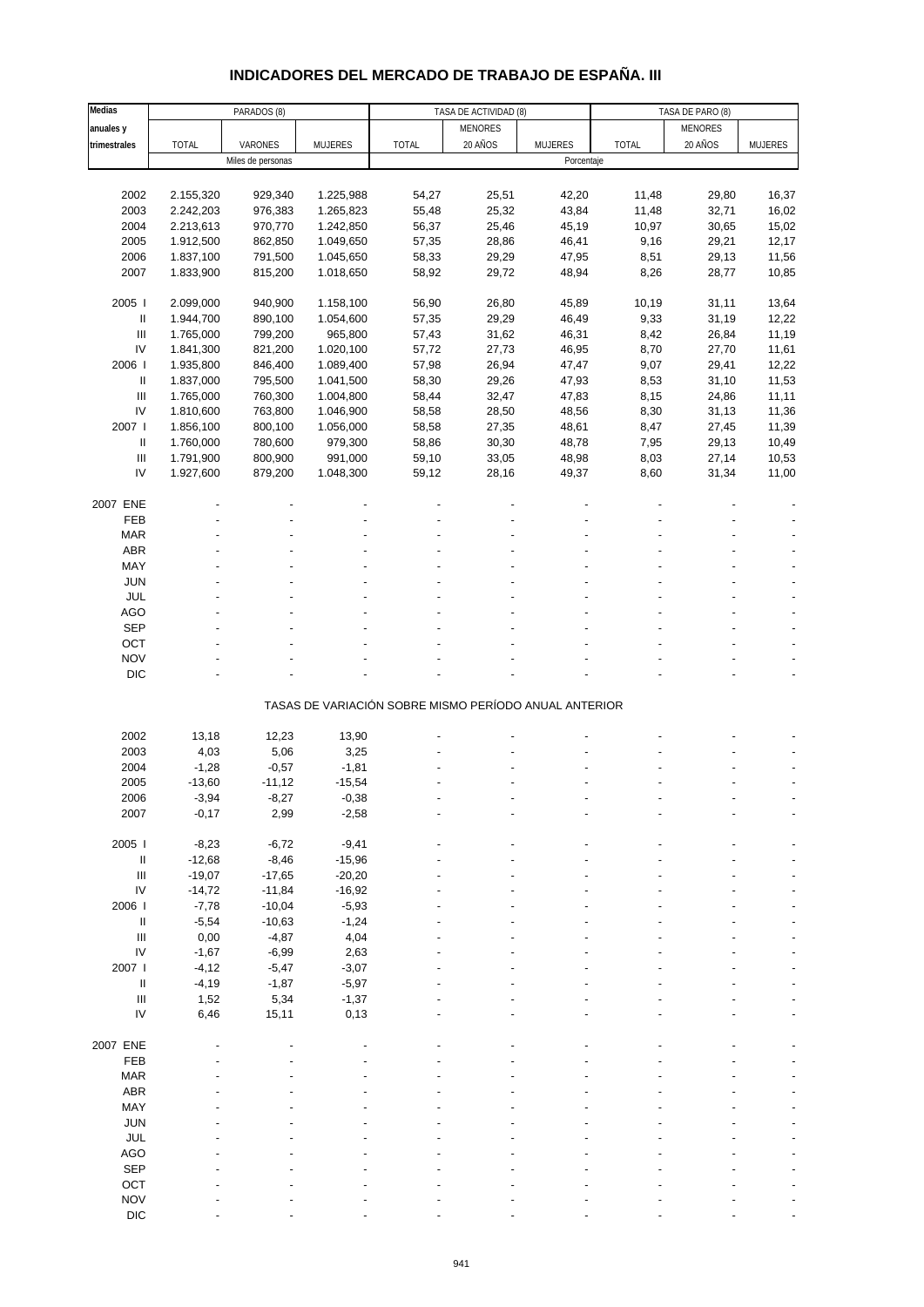# **INDICADORES DEL MERCADO DE TRABAJO DE ESPAÑA. III**

| Medias                             |              | PARADOS (8)       |           |                                                       | TASA DE ACTIVIDAD (8) |                |              | TASA DE PARO (8) |         |
|------------------------------------|--------------|-------------------|-----------|-------------------------------------------------------|-----------------------|----------------|--------------|------------------|---------|
| anuales y                          |              |                   |           |                                                       | <b>MENORES</b>        |                |              | <b>MENORES</b>   |         |
| trimestrales                       | <b>TOTAL</b> | VARONES           | MUJERES   | <b>TOTAL</b>                                          | 20 AÑOS               | <b>MUJERES</b> | <b>TOTAL</b> | 20 AÑOS          | MUJERES |
|                                    |              | Miles de personas |           |                                                       |                       | Porcentaje     |              |                  |         |
|                                    |              |                   |           |                                                       |                       |                |              |                  |         |
|                                    |              |                   |           |                                                       |                       |                |              |                  |         |
| 2002                               | 2.155,320    | 929,340           | 1.225,988 | 54,27                                                 | 25,51                 | 42,20          | 11,48        | 29,80            | 16,37   |
| 2003                               | 2.242,203    | 976,383           | 1.265,823 | 55,48                                                 | 25,32                 | 43,84          | 11,48        | 32,71            | 16,02   |
| 2004                               | 2.213,613    | 970,770           | 1.242,850 | 56,37                                                 | 25,46                 | 45,19          | 10,97        | 30,65            | 15,02   |
| 2005                               | 1.912,500    | 862,850           | 1.049,650 | 57,35                                                 | 28,86                 | 46,41          | 9,16         | 29,21            | 12,17   |
| 2006                               | 1.837,100    | 791,500           | 1.045,650 | 58,33                                                 | 29,29                 | 47,95          | 8,51         | 29,13            | 11,56   |
| 2007                               | 1.833,900    | 815,200           | 1.018,650 | 58,92                                                 | 29,72                 | 48,94          | 8,26         | 28,77            | 10,85   |
|                                    |              |                   |           |                                                       |                       |                |              |                  |         |
| 2005                               | 2.099,000    | 940,900           | 1.158,100 | 56,90                                                 | 26,80                 | 45,89          | 10,19        | 31,11            | 13,64   |
| Ш                                  | 1.944,700    | 890,100           | 1.054,600 | 57,35                                                 | 29,29                 | 46,49          | 9,33         | 31,19            | 12,22   |
| Ш                                  | 1.765,000    | 799,200           | 965,800   | 57,43                                                 | 31,62                 | 46,31          | 8,42         | 26,84            | 11,19   |
| IV                                 |              |                   |           |                                                       |                       |                |              |                  |         |
|                                    | 1.841,300    | 821,200           | 1.020,100 | 57,72                                                 | 27,73                 | 46,95          | 8,70         | 27,70            | 11,61   |
| 2006                               | 1.935,800    | 846,400           | 1.089,400 | 57,98                                                 | 26,94                 | 47,47          | 9,07         | 29,41            | 12,22   |
| Ш                                  | 1.837,000    | 795,500           | 1.041,500 | 58,30                                                 | 29,26                 | 47,93          | 8,53         | 31,10            | 11,53   |
| $\ensuremath{\mathsf{III}}\xspace$ | 1.765,000    | 760,300           | 1.004,800 | 58,44                                                 | 32,47                 | 47,83          | 8,15         | 24,86            | 11,11   |
| IV                                 | 1.810,600    | 763,800           | 1.046,900 | 58,58                                                 | 28,50                 | 48,56          | 8,30         | 31,13            | 11,36   |
| 2007                               | 1.856,100    | 800,100           | 1.056,000 | 58,58                                                 | 27,35                 | 48,61          | 8,47         | 27,45            | 11,39   |
| Ш                                  | 1.760,000    | 780,600           | 979,300   | 58,86                                                 | 30,30                 | 48,78          | 7,95         | 29,13            | 10,49   |
| $\ensuremath{\mathsf{III}}\xspace$ | 1.791,900    | 800,900           | 991,000   | 59,10                                                 | 33,05                 | 48,98          | 8,03         | 27,14            | 10,53   |
| IV                                 | 1.927,600    | 879,200           | 1.048,300 | 59,12                                                 | 28,16                 | 49,37          | 8,60         | 31,34            | 11,00   |
|                                    |              |                   |           |                                                       |                       |                |              |                  |         |
|                                    |              |                   |           |                                                       |                       |                |              |                  |         |
| 2007 ENE                           |              |                   |           |                                                       |                       |                |              |                  |         |
| FEB                                |              |                   |           |                                                       |                       |                |              |                  |         |
| <b>MAR</b>                         |              |                   |           |                                                       |                       |                |              |                  |         |
| ABR                                |              |                   |           |                                                       |                       |                |              |                  |         |
| MAY                                |              |                   |           |                                                       |                       |                |              |                  |         |
| <b>JUN</b>                         |              |                   |           |                                                       |                       |                |              |                  |         |
| JUL                                |              |                   |           |                                                       |                       |                |              |                  |         |
| AGO                                |              |                   |           |                                                       |                       |                |              |                  |         |
| <b>SEP</b>                         |              |                   |           |                                                       |                       |                |              |                  |         |
|                                    |              |                   |           |                                                       |                       |                |              |                  |         |
| OCT                                |              |                   |           |                                                       |                       |                |              |                  |         |
| <b>NOV</b>                         |              |                   |           |                                                       |                       |                |              |                  |         |
| <b>DIC</b>                         |              |                   |           |                                                       |                       |                |              |                  |         |
|                                    |              |                   |           |                                                       |                       |                |              |                  |         |
|                                    |              |                   |           | TASAS DE VARIACIÓN SOBRE MISMO PERÍODO ANUAL ANTERIOR |                       |                |              |                  |         |
|                                    |              |                   |           |                                                       |                       |                |              |                  |         |
| 2002                               | 13,18        | 12,23             | 13,90     |                                                       |                       |                |              |                  |         |
| 2003                               | 4,03         | 5,06              | 3,25      |                                                       |                       |                |              |                  |         |
| 2004                               | $-1,28$      | $-0,57$           | $-1,81$   |                                                       |                       |                |              |                  |         |
| 2005                               | $-13,60$     | $-11,12$          | $-15,54$  |                                                       |                       |                |              |                  |         |
| 2006                               | $-3,94$      | -8,27             | $-0,38$   |                                                       |                       |                |              |                  |         |
| 2007                               | $-0,17$      | 2,99              | $-2,58$   |                                                       |                       |                |              |                  |         |
|                                    |              |                   |           |                                                       |                       |                |              |                  |         |
| 2005 l                             | $-8,23$      | $-6,72$           | $-9,41$   |                                                       |                       |                |              |                  |         |
|                                    |              |                   |           |                                                       |                       |                |              |                  |         |
| Ш                                  | $-12,68$     | $-8,46$           | $-15,96$  |                                                       |                       |                |              |                  |         |
| $\ensuremath{\mathsf{III}}\xspace$ | $-19,07$     | $-17,65$          | $-20,20$  |                                                       |                       |                |              |                  |         |
| ${\sf IV}$                         | $-14,72$     | $-11,84$          | $-16,92$  |                                                       |                       |                |              |                  |         |
| 2006                               | $-7,78$      | $-10,04$          | $-5,93$   |                                                       |                       |                |              |                  |         |
| Ш                                  | $-5,54$      | $-10,63$          | $-1,24$   |                                                       |                       |                |              |                  |         |
| $\ensuremath{\mathsf{III}}\xspace$ | 0,00         | $-4,87$           | 4,04      |                                                       |                       |                |              |                  |         |
| ${\sf IV}$                         | $-1,67$      | $-6,99$           | 2,63      |                                                       |                       |                |              |                  |         |
| 2007 l                             | $-4, 12$     | $-5,47$           | $-3,07$   |                                                       |                       |                |              |                  |         |
| $\ensuremath{\mathsf{II}}$         | $-4,19$      | $-1,87$           | $-5,97$   |                                                       |                       |                |              |                  |         |
| $\ensuremath{\mathsf{III}}\xspace$ | 1,52         | 5,34              | $-1,37$   |                                                       |                       |                |              |                  |         |
| IV                                 | 6,46         | 15,11             | 0,13      |                                                       |                       |                |              |                  |         |
|                                    |              |                   |           |                                                       |                       |                |              |                  |         |
|                                    |              |                   |           |                                                       |                       |                |              |                  |         |
| 2007 ENE                           |              |                   |           |                                                       |                       |                |              |                  |         |
| FEB                                |              |                   |           |                                                       |                       |                |              |                  |         |
| <b>MAR</b>                         |              |                   |           |                                                       |                       |                |              |                  |         |
| ABR                                |              |                   |           |                                                       |                       |                |              |                  |         |
| MAY                                |              |                   |           |                                                       |                       |                |              |                  |         |
| JUN                                |              |                   |           |                                                       |                       |                |              |                  |         |
| JUL                                |              |                   |           |                                                       |                       |                |              |                  |         |
| <b>AGO</b>                         |              |                   |           |                                                       |                       |                |              |                  |         |
| SEP                                |              |                   |           |                                                       |                       |                |              |                  |         |
|                                    |              |                   |           |                                                       |                       |                |              |                  |         |
| OCT                                |              |                   |           |                                                       |                       |                |              |                  |         |
| <b>NOV</b>                         |              |                   |           |                                                       |                       |                |              |                  |         |
| <b>DIC</b>                         |              |                   |           |                                                       |                       |                |              |                  |         |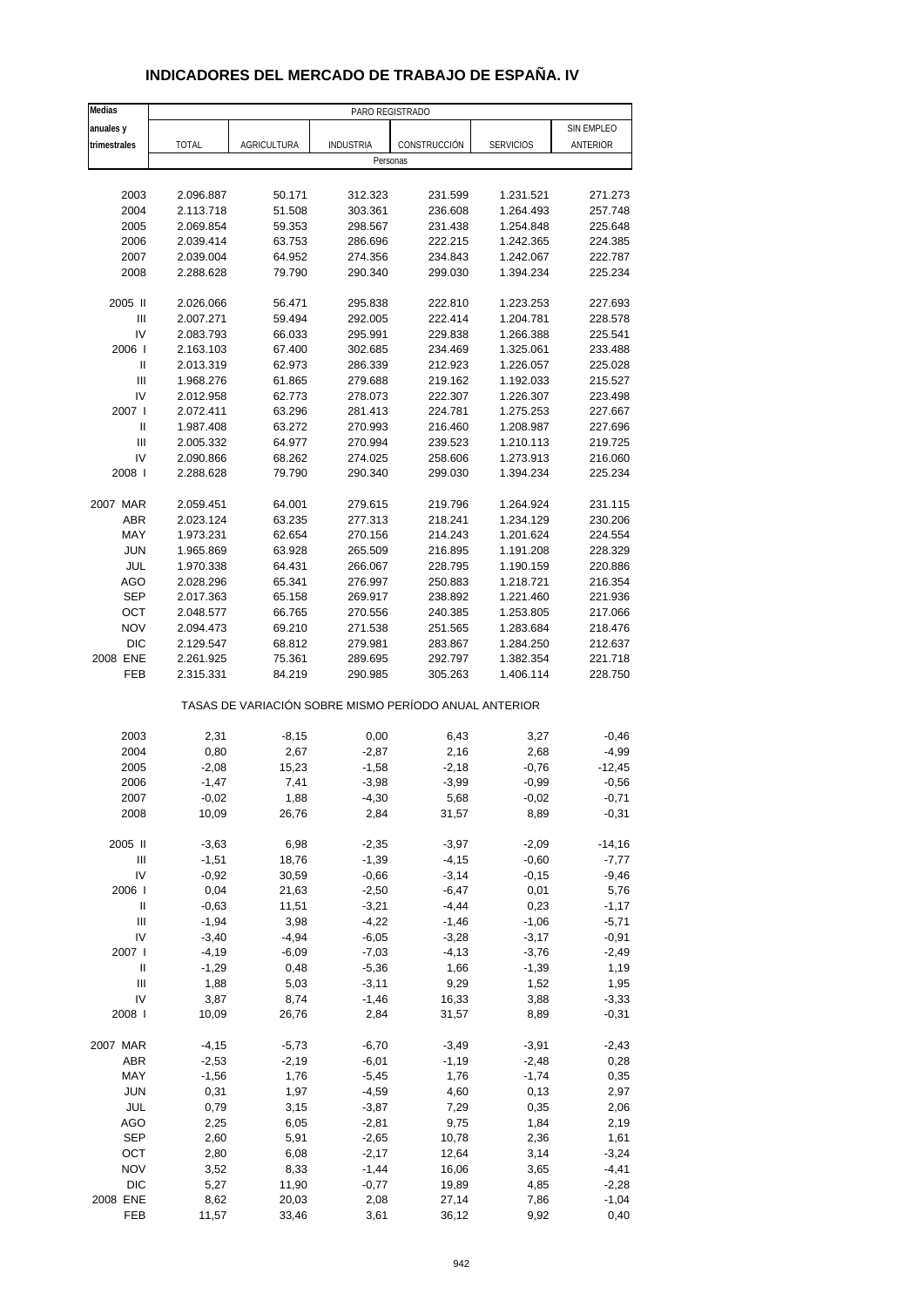|--|

| Medias                             |                        |                    | PARO REGISTRADO    |                                                       |                        |                    |
|------------------------------------|------------------------|--------------------|--------------------|-------------------------------------------------------|------------------------|--------------------|
| anuales y                          |                        |                    |                    |                                                       |                        | SIN EMPLEO         |
| trimestrales                       | <b>TOTAL</b>           | <b>AGRICULTURA</b> | <b>INDUSTRIA</b>   | CONSTRUCCIÓN                                          | <b>SERVICIOS</b>       | ANTERIOR           |
|                                    |                        |                    | Personas           |                                                       |                        |                    |
|                                    |                        |                    |                    |                                                       |                        |                    |
| 2003                               | 2.096.887              | 50.171             | 312.323            | 231.599                                               | 1.231.521              | 271.273            |
| 2004                               | 2.113.718              | 51.508             | 303.361            | 236.608                                               | 1.264.493              | 257.748            |
| 2005                               | 2.069.854              | 59.353             | 298.567            | 231.438                                               | 1.254.848              | 225.648            |
| 2006                               | 2.039.414              | 63.753             | 286.696            | 222.215                                               | 1.242.365              | 224.385            |
| 2007                               | 2.039.004              | 64.952             | 274.356            | 234.843                                               | 1.242.067              | 222.787            |
| 2008                               | 2.288.628              | 79.790             | 290.340            | 299.030                                               | 1.394.234              | 225.234            |
| 2005 II                            | 2.026.066              | 56.471             | 295.838            | 222.810                                               | 1.223.253              | 227.693            |
| Ш                                  | 2.007.271              | 59.494             | 292.005            | 222.414                                               | 1.204.781              | 228.578            |
| IV                                 | 2.083.793              | 66.033             | 295.991            | 229.838                                               | 1.266.388              | 225.541            |
| 2006                               | 2.163.103              | 67.400             | 302.685            | 234.469                                               | 1.325.061              | 233.488            |
| Ш                                  | 2.013.319              | 62.973             | 286.339            | 212.923                                               | 1.226.057              | 225.028            |
| $\ensuremath{\mathsf{III}}\xspace$ | 1.968.276              | 61.865             | 279.688            | 219.162                                               | 1.192.033              | 215.527            |
| IV                                 | 2.012.958              | 62.773             | 278.073            | 222.307                                               | 1.226.307              | 223.498            |
| 2007 l                             | 2.072.411              | 63.296             | 281.413            | 224.781                                               | 1.275.253              | 227.667            |
| Ш<br>Ш                             | 1.987.408              | 63.272<br>64.977   | 270.993            | 216.460                                               | 1.208.987              | 227.696<br>219.725 |
| IV                                 | 2.005.332<br>2.090.866 | 68.262             | 270.994<br>274.025 | 239.523<br>258.606                                    | 1.210.113<br>1.273.913 | 216.060            |
| 2008                               | 2.288.628              | 79.790             | 290.340            | 299.030                                               | 1.394.234              | 225.234            |
|                                    |                        |                    |                    |                                                       |                        |                    |
| 2007 MAR                           | 2.059.451              | 64.001             | 279.615            | 219.796                                               | 1.264.924              | 231.115            |
| <b>ABR</b>                         | 2.023.124              | 63.235             | 277.313            | 218.241                                               | 1.234.129              | 230.206            |
| MAY                                | 1.973.231              | 62.654             | 270.156            | 214.243                                               | 1.201.624              | 224.554            |
| <b>JUN</b>                         | 1.965.869              | 63.928             | 265.509            | 216.895                                               | 1.191.208              | 228.329            |
| JUL                                | 1.970.338              | 64.431             | 266.067            | 228.795                                               | 1.190.159              | 220.886            |
| <b>AGO</b>                         | 2.028.296              | 65.341             | 276.997            | 250.883                                               | 1.218.721              | 216.354            |
| <b>SEP</b><br>OCT                  | 2.017.363<br>2.048.577 | 65.158<br>66.765   | 269.917<br>270.556 | 238.892<br>240.385                                    | 1.221.460<br>1.253.805 | 221.936<br>217.066 |
| <b>NOV</b>                         | 2.094.473              | 69.210             | 271.538            | 251.565                                               | 1.283.684              | 218.476            |
| <b>DIC</b>                         | 2.129.547              | 68.812             | 279.981            | 283.867                                               | 1.284.250              | 212.637            |
| 2008 ENE                           | 2.261.925              | 75.361             | 289.695            | 292.797                                               | 1.382.354              | 221.718            |
| FEB                                | 2.315.331              | 84.219             | 290.985            | 305.263                                               | 1.406.114              | 228.750            |
|                                    |                        |                    |                    | TASAS DE VARIACIÓN SOBRE MISMO PERÍODO ANUAL ANTERIOR |                        |                    |
| 2003                               | 2,31                   | $-8,15$            | 0,00               | 6,43                                                  | 3,27                   | $-0,46$            |
| 2004                               | 0,80                   | 2,67               | $-2,87$            | 2,16                                                  | 2,68                   | $-4,99$            |
| 2005                               | $-2,08$                | 15,23              | $-1,58$            | $-2,18$                                               | $-0,76$                | $-12,45$           |
| 2006                               | $-1,47$                | 7,41               | $-3,98$            | $-3,99$                                               | $-0,99$                | $-0,56$            |
| 2007                               | $-0,02$                | 1,88               | $-4,30$            | 5,68                                                  | $-0,02$                | $-0,71$            |
| 2008                               | 10,09                  | 26,76              | 2,84               | 31,57                                                 | 8,89                   | $-0,31$            |
| 2005 II                            | $-3,63$                | 6,98               | $-2,35$            | $-3,97$                                               | $-2,09$                | $-14,16$           |
| $\begin{array}{c} \Pi \end{array}$ | $-1,51$                | 18,76              | $-1,39$            | $-4, 15$                                              | $-0,60$                | $-7,77$            |
| IV                                 | $-0,92$                | 30,59              | $-0,66$            | $-3,14$                                               | $-0,15$                | $-9,46$            |
| 2006                               | 0,04                   | 21,63              | $-2,50$            | $-6,47$                                               | 0,01                   | 5,76               |
| Ш                                  | $-0,63$                | 11,51              | $-3,21$            | $-4,44$                                               | 0,23                   | $-1,17$            |
| Ш                                  | $-1,94$                | 3,98               | $-4,22$            | $-1,46$                                               | $-1,06$                | $-5,71$            |
| IV                                 | $-3,40$                | $-4,94$            | $-6,05$            | $-3,28$                                               | $-3,17$                | $-0,91$            |
| 2007 l                             | $-4,19$                | $-6,09$            | $-7,03$            | $-4, 13$                                              | $-3,76$                | $-2,49$            |
| Ш<br>$\mathsf{III}$                | $-1,29$<br>1,88        | 0,48<br>5,03       | $-5,36$<br>$-3,11$ | 1,66<br>9,29                                          | $-1,39$<br>1,52        | 1,19<br>1,95       |
| IV                                 | 3,87                   | 8,74               | $-1,46$            | 16,33                                                 | 3,88                   | $-3,33$            |
| 2008                               | 10,09                  | 26,76              | 2,84               | 31,57                                                 | 8,89                   | $-0,31$            |
| 2007 MAR                           | $-4,15$                | $-5,73$            | $-6,70$            | $-3,49$                                               | $-3,91$                | $-2,43$            |
| ABR                                | $-2,53$                | $-2,19$            | $-6,01$            | $-1,19$                                               | $-2,48$                | 0,28               |
| MAY                                | $-1,56$                | 1,76               | $-5,45$            | 1,76                                                  | $-1,74$                | 0,35               |
| <b>JUN</b>                         | 0,31                   | 1,97               | $-4,59$            | 4,60                                                  | 0,13                   | 2,97               |
| JUL                                | 0,79                   | 3,15               | $-3,87$            | 7,29                                                  | 0,35                   | 2,06               |
| <b>AGO</b>                         | 2,25                   | 6,05               | $-2,81$            | 9,75                                                  | 1,84                   | 2,19               |
| <b>SEP</b>                         | 2,60                   | 5,91               | $-2,65$            | 10,78                                                 | 2,36                   | 1,61               |
| OCT                                | 2,80                   | 6,08               | $-2,17$            | 12,64                                                 | 3,14                   | $-3,24$            |
| <b>NOV</b>                         | 3,52                   | 8,33               | $-1,44$            | 16,06                                                 | 3,65                   | $-4,41$            |
| <b>DIC</b>                         | 5,27                   | 11,90              | $-0,77$            | 19,89                                                 | 4,85                   | $-2,28$            |
| 2008 ENE                           | 8,62                   | 20,03              | 2,08               | 27,14                                                 | 7,86                   | $-1,04$            |
| FEB                                | 11,57                  | 33,46              | 3,61               | 36,12                                                 | 9,92                   | 0,40               |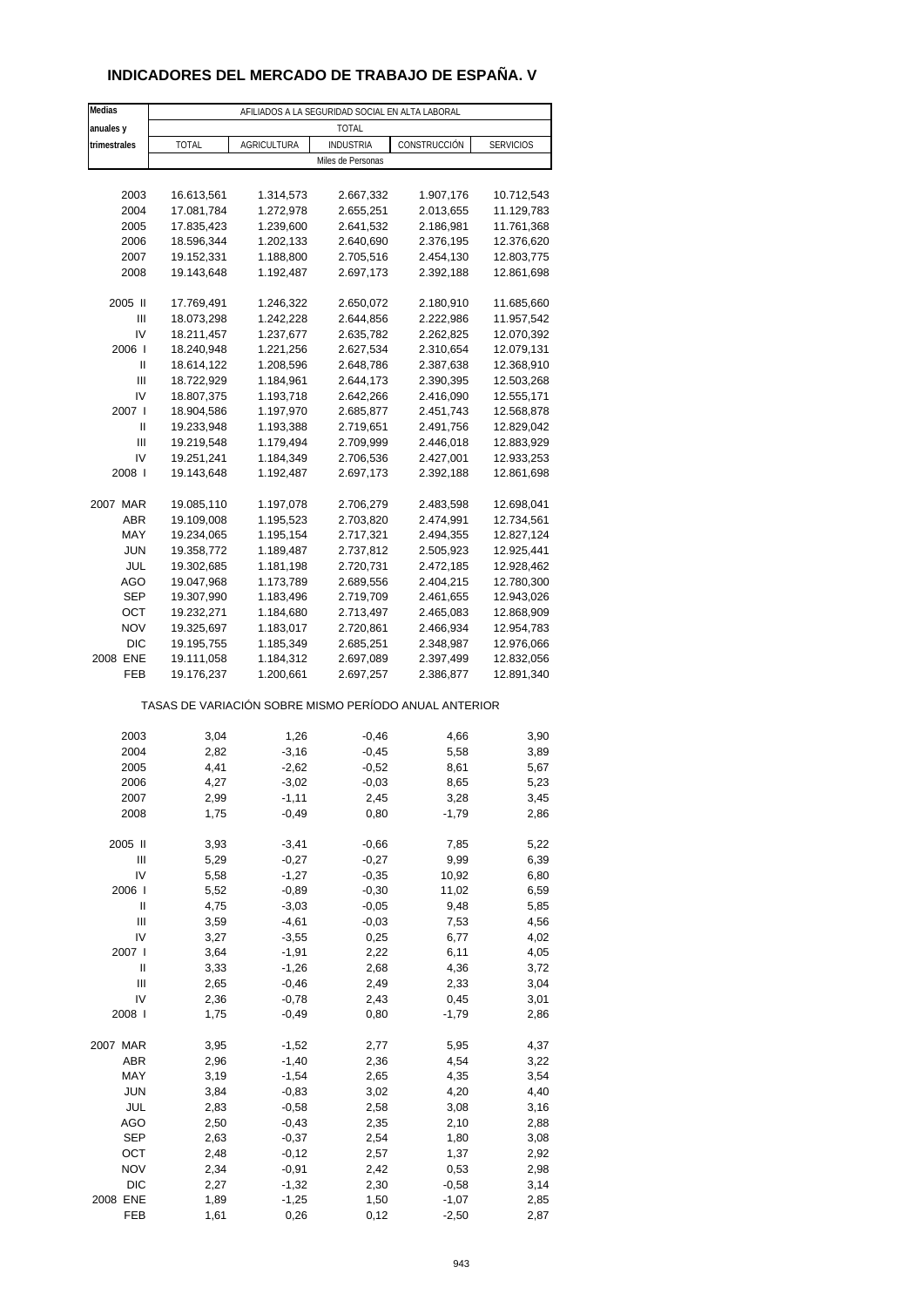### **INDICADORES DEL MERCADO DE TRABAJO DE ESPAÑA. V**

| Medias            |              |                    | AFILIADOS A LA SEGURIDAD SOCIAL EN ALTA LABORAL |                                                       |                  |
|-------------------|--------------|--------------------|-------------------------------------------------|-------------------------------------------------------|------------------|
| anuales y         |              |                    | <b>TOTAL</b>                                    |                                                       |                  |
| trimestrales      | TOTAL        | <b>AGRICULTURA</b> | <b>INDUSTRIA</b>                                | CONSTRUCCIÓN                                          | <b>SERVICIOS</b> |
|                   |              |                    | Miles de Personas                               |                                                       |                  |
|                   |              |                    |                                                 |                                                       |                  |
| 2003              | 16.613,561   | 1.314,573          | 2.667,332                                       | 1.907,176                                             | 10.712,543       |
| 2004              | 17.081,784   | 1.272,978          | 2.655,251                                       | 2.013,655                                             | 11.129,783       |
| 2005              | 17.835,423   | 1.239,600          | 2.641,532                                       | 2.186,981                                             | 11.761,368       |
| 2006              | 18.596,344   | 1.202,133          | 2.640,690                                       | 2.376,195                                             | 12.376,620       |
| 2007              | 19.152,331   | 1.188,800          | 2.705,516                                       | 2.454,130                                             | 12.803,775       |
| 2008              | 19.143,648   | 1.192,487          | 2.697,173                                       | 2.392,188                                             | 12.861,698       |
| 2005 II           | 17.769,491   | 1.246,322          | 2.650,072                                       | 2.180,910                                             | 11.685,660       |
| Ш                 | 18.073,298   | 1.242,228          | 2.644,856                                       | 2.222,986                                             | 11.957,542       |
| IV                | 18.211,457   | 1.237,677          | 2.635,782                                       | 2.262,825                                             | 12.070,392       |
| 2006              | 18.240,948   | 1.221,256          | 2.627,534                                       | 2.310,654                                             | 12.079,131       |
| Ш                 | 18.614,122   | 1.208,596          | 2.648,786                                       | 2.387,638                                             | 12.368,910       |
| Ш                 | 18.722,929   | 1.184,961          | 2.644,173                                       | 2.390,395                                             | 12.503,268       |
| IV                | 18.807,375   | 1.193,718          | 2.642,266                                       | 2.416,090                                             | 12.555,171       |
| 2007 l            | 18.904,586   | 1.197,970          | 2.685,877                                       | 2.451,743                                             | 12.568,878       |
| Ш                 | 19.233,948   | 1.193,388          | 2.719,651                                       | 2.491,756                                             | 12.829,042       |
| Ш                 | 19.219,548   | 1.179,494          | 2.709,999                                       | 2.446,018                                             | 12.883,929       |
| IV<br>2008        | 19.251,241   | 1.184,349          | 2.706,536                                       | 2.427,001                                             | 12.933,253       |
|                   | 19.143,648   | 1.192,487          | 2.697,173                                       | 2.392,188                                             | 12.861,698       |
| 2007 MAR          | 19.085,110   | 1.197,078          | 2.706,279                                       | 2.483,598                                             | 12.698,041       |
| ABR               | 19.109,008   | 1.195,523          | 2.703,820                                       | 2.474,991                                             | 12.734,561       |
| MAY               | 19.234,065   | 1.195,154          | 2.717,321                                       | 2.494,355                                             | 12.827,124       |
| <b>JUN</b>        | 19.358,772   | 1.189,487          | 2.737,812                                       | 2.505,923                                             | 12.925,441       |
| JUL               | 19.302,685   | 1.181,198          | 2.720,731                                       | 2.472,185                                             | 12.928,462       |
| AGO               | 19.047,968   | 1.173,789          | 2.689,556                                       | 2.404,215                                             | 12.780,300       |
| SEP               | 19.307,990   | 1.183,496          | 2.719,709                                       | 2.461,655                                             | 12.943,026       |
| OCT               | 19.232,271   | 1.184,680          | 2.713,497                                       | 2.465,083                                             | 12.868,909       |
| <b>NOV</b>        | 19.325,697   | 1.183,017          | 2.720,861                                       | 2.466,934                                             | 12.954,783       |
| DIC               | 19.195,755   | 1.185,349          | 2.685,251                                       | 2.348,987                                             | 12.976,066       |
| 2008 ENE          | 19.111,058   | 1.184,312          | 2.697,089                                       | 2.397,499                                             | 12.832,056       |
| FEB               | 19.176,237   | 1.200,661          | 2.697,257                                       | 2.386,877                                             | 12.891,340       |
|                   |              |                    |                                                 | TASAS DE VARIACIÓN SOBRE MISMO PERÍODO ANUAL ANTERIOR |                  |
| 2003              | 3,04         | 1,26               | $-0,46$                                         | 4,66                                                  | 3,90             |
| 2004              | 2,82         | $-3,16$            | $-0,45$                                         | 5,58                                                  | 3,89             |
| 2005              | 4,41         | $-2,62$            | $-0,52$                                         | 8,61                                                  | 5,67             |
| 2006              | 4,27         | $-3,02$            | $-0,03$                                         | 8,65                                                  | 5,23             |
| 2007              | 2,99         | -1,11              | 2,45                                            | 3,28                                                  | 3,45             |
| 2008              | 1,75         | $-0,49$            | 0,80                                            | $-1,79$                                               | 2,86             |
|                   |              |                    |                                                 |                                                       |                  |
| 2005 II           | 3,93         | $-3,41$            | $-0,66$                                         | 7,85                                                  | 5,22             |
| Ш                 | 5,29         | $-0,27$            | $-0,27$                                         | 9,99                                                  | 6,39             |
| IV                | 5,58         | $-1,27$            | $-0,35$                                         | 10,92                                                 | 6,80             |
| 2006  <br>Ш       | 5,52<br>4,75 | $-0,89$<br>$-3,03$ | $-0,30$<br>$-0,05$                              | 11,02<br>9,48                                         | 6,59<br>5,85     |
| Ш                 | 3,59         | $-4,61$            | $-0,03$                                         | 7,53                                                  | 4,56             |
| IV                | 3,27         | $-3,55$            | 0,25                                            | 6,77                                                  | 4,02             |
| 2007 l            | 3,64         | $-1,91$            | 2,22                                            | 6,11                                                  | 4,05             |
| Ш                 | 3,33         | $-1,26$            | 2,68                                            | 4,36                                                  | 3,72             |
| Ш                 | 2,65         | $-0,46$            | 2,49                                            | 2,33                                                  | 3,04             |
| IV                | 2,36         | $-0,78$            | 2,43                                            | 0,45                                                  | 3,01             |
| 2008              | 1,75         | $-0,49$            | 0,80                                            | $-1,79$                                               | 2,86             |
|                   |              |                    |                                                 |                                                       |                  |
| 2007 MAR          | 3,95         | $-1,52$            | 2,77                                            | 5,95                                                  | 4,37             |
| ABR               | 2,96         | $-1,40$            | 2,36                                            | 4,54                                                  | 3,22             |
| MAY               | 3,19         | $-1,54$            | 2,65                                            | 4,35                                                  | 3,54             |
| <b>JUN</b>        | 3,84         | $-0,83$            | 3,02                                            | 4,20                                                  | 4,40             |
| JUL               | 2,83         | $-0,58$            | 2,58                                            | 3,08                                                  | 3,16             |
| AGO<br><b>SEP</b> | 2,50<br>2,63 | $-0,43$<br>$-0,37$ | 2,35<br>2,54                                    | 2,10<br>1,80                                          | 2,88<br>3,08     |
| OCT               | 2,48         | $-0,12$            | 2,57                                            | 1,37                                                  | 2,92             |
| <b>NOV</b>        | 2,34         | $-0,91$            | 2,42                                            | 0,53                                                  | 2,98             |
| DIC               | 2,27         | $-1,32$            | 2,30                                            | $-0,58$                                               | 3,14             |
| 2008 ENE          | 1,89         | $-1,25$            | 1,50                                            | -1,07                                                 | 2,85             |
| FEB               | 1,61         | 0,26               | 0,12                                            | $-2,50$                                               | 2,87             |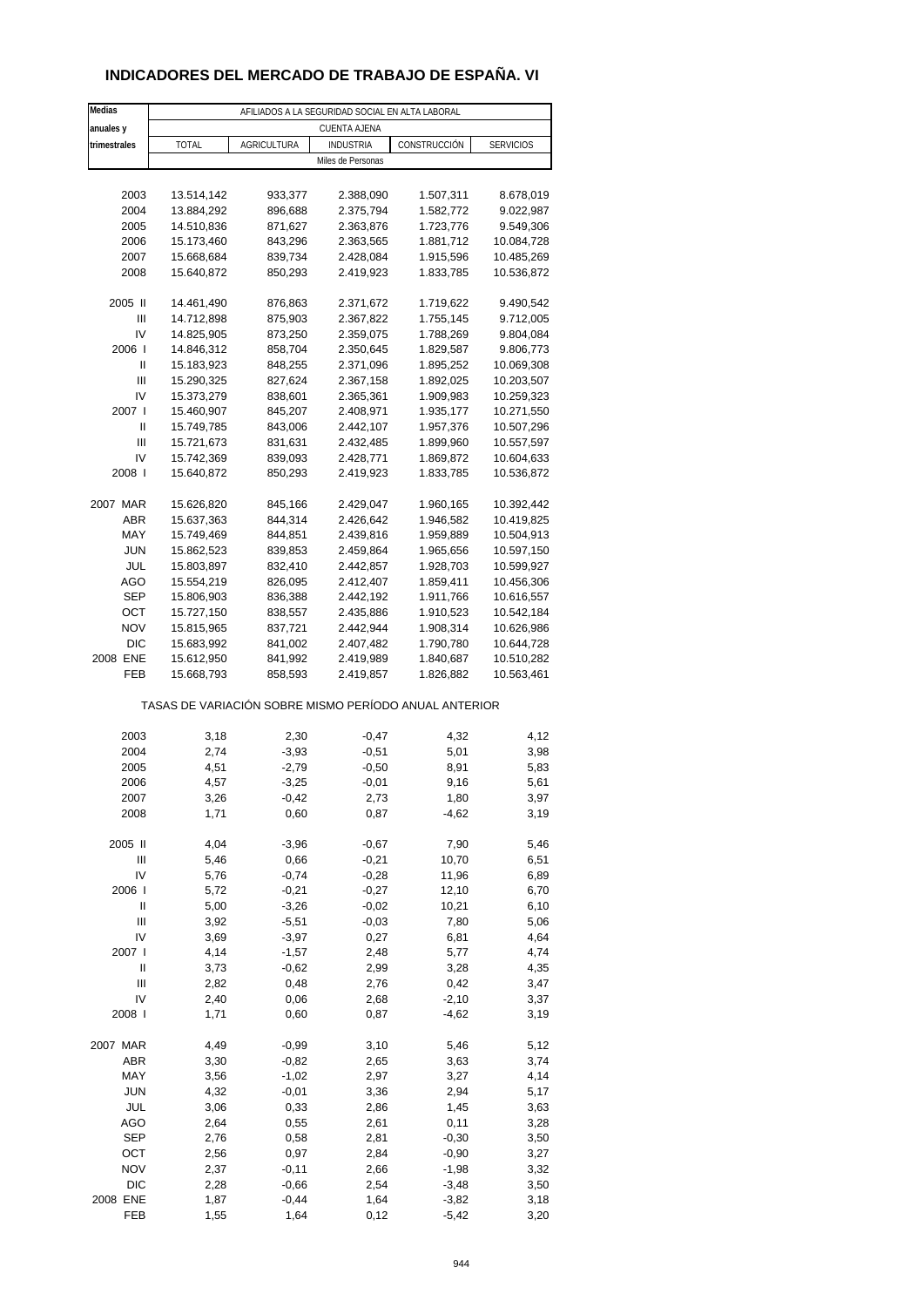### **INDICADORES DEL MERCADO DE TRABAJO DE ESPAÑA. VI**

| <b>Medias</b> | AFILIADOS A LA SEGURIDAD SOCIAL EN ALTA LABORAL       |                    |                        |                        |                        |  |  |
|---------------|-------------------------------------------------------|--------------------|------------------------|------------------------|------------------------|--|--|
| anuales y     |                                                       |                    | <b>CUENTA AJENA</b>    |                        |                        |  |  |
| trimestrales  | <b>TOTAL</b>                                          | <b>AGRICULTURA</b> | <b>INDUSTRIA</b>       | CONSTRUCCIÓN           | <b>SERVICIOS</b>       |  |  |
|               |                                                       |                    | Miles de Personas      |                        |                        |  |  |
|               |                                                       |                    |                        |                        |                        |  |  |
| 2003          | 13.514,142                                            | 933,377            | 2.388,090              | 1.507,311              | 8.678,019              |  |  |
| 2004          | 13.884,292                                            | 896,688            | 2.375,794              | 1.582,772              | 9.022,987              |  |  |
| 2005          | 14.510,836                                            | 871,627            | 2.363,876              | 1.723,776              | 9.549,306              |  |  |
| 2006          | 15.173,460                                            | 843,296            | 2.363,565              | 1.881,712              | 10.084,728             |  |  |
| 2007          | 15.668,684                                            | 839,734            | 2.428,084              | 1.915,596              | 10.485,269             |  |  |
| 2008          | 15.640,872                                            | 850,293            | 2.419,923              | 1.833,785              | 10.536,872             |  |  |
|               |                                                       |                    |                        |                        |                        |  |  |
| 2005 II       | 14.461,490                                            | 876,863            | 2.371,672              | 1.719,622              | 9.490,542              |  |  |
| Ш<br>IV       | 14.712,898<br>14.825,905                              | 875,903<br>873,250 | 2.367,822<br>2.359,075 | 1.755,145<br>1.788,269 | 9.712,005<br>9.804,084 |  |  |
| 2006          | 14.846,312                                            | 858,704            | 2.350,645              | 1.829,587              | 9.806,773              |  |  |
| Ш             | 15.183,923                                            | 848,255            | 2.371,096              | 1.895,252              | 10.069,308             |  |  |
| Ш             | 15.290,325                                            | 827,624            | 2.367,158              | 1.892,025              | 10.203,507             |  |  |
| IV            | 15.373,279                                            | 838,601            | 2.365,361              | 1.909,983              | 10.259,323             |  |  |
| 2007 l        | 15.460,907                                            | 845,207            | 2.408,971              | 1.935,177              | 10.271,550             |  |  |
| Ш             | 15.749,785                                            | 843,006            | 2.442,107              | 1.957,376              | 10.507,296             |  |  |
| Ш             | 15.721,673                                            | 831,631            | 2.432,485              | 1.899,960              | 10.557,597             |  |  |
| IV            | 15.742,369                                            | 839,093            | 2.428,771              | 1.869,872              | 10.604,633             |  |  |
| 2008          | 15.640,872                                            | 850,293            | 2.419,923              | 1.833,785              | 10.536,872             |  |  |
|               |                                                       |                    |                        |                        |                        |  |  |
| 2007 MAR      | 15.626,820                                            | 845,166            | 2.429,047              | 1.960,165              | 10.392,442             |  |  |
| ABR           | 15.637,363                                            | 844,314            | 2.426,642              | 1.946,582              | 10.419,825             |  |  |
| MAY           | 15.749,469                                            | 844,851            | 2.439,816              | 1.959,889              | 10.504,913             |  |  |
| <b>JUN</b>    | 15.862,523                                            | 839,853            | 2.459,864              | 1.965,656              | 10.597,150             |  |  |
| JUL           | 15.803,897                                            | 832,410            | 2.442,857              | 1.928,703              | 10.599,927             |  |  |
| AGO           | 15.554,219                                            | 826,095            | 2.412,407              | 1.859,411              | 10.456,306             |  |  |
| <b>SEP</b>    | 15.806,903                                            | 836,388            | 2.442,192              | 1.911,766              | 10.616,557             |  |  |
| OCT           | 15.727,150                                            | 838,557            | 2.435,886              | 1.910,523              | 10.542,184             |  |  |
| <b>NOV</b>    | 15.815,965                                            | 837,721            | 2.442,944              | 1.908,314              | 10.626,986             |  |  |
| <b>DIC</b>    | 15.683,992                                            | 841,002            | 2.407,482              | 1.790,780              | 10.644,728             |  |  |
| 2008 ENE      | 15.612,950                                            | 841,992            | 2.419,989              | 1.840,687              | 10.510,282             |  |  |
| FEB           | 15.668,793                                            | 858,593            | 2.419,857              | 1.826,882              | 10.563,461             |  |  |
|               | TASAS DE VARIACIÓN SOBRE MISMO PERÍODO ANUAL ANTERIOR |                    |                        |                        |                        |  |  |
| 2003          | 3,18                                                  | 2,30               | $-0,47$                | 4,32                   | 4,12                   |  |  |
| 2004          | 2,74                                                  | $-3,93$            | $-0,51$                | 5,01                   | 3,98                   |  |  |
| 2005          | 4,51                                                  | $-2,79$            | $-0,50$                | 8,91                   | 5,83                   |  |  |
| 2006          | 4,57                                                  | $-3,25$            | $-0,01$                | 9,16                   | 5,61                   |  |  |
| 2007          | 3,26                                                  | -0,42              | 2,73                   | 1,80                   | 3,97                   |  |  |
| 2008          | 1,71                                                  | 0,60               | 0,87                   | $-4,62$                | 3,19                   |  |  |
|               |                                                       |                    |                        |                        |                        |  |  |
| 2005 II       | 4,04                                                  | $-3,96$            | $-0,67$                | 7,90                   | 5,46                   |  |  |
| Ш             | 5,46                                                  | 0,66               | $-0,21$                | 10,70                  | 6,51                   |  |  |
| IV            | 5,76                                                  | $-0,74$            | $-0,28$                | 11,96                  | 6,89                   |  |  |
| 2006          | 5,72                                                  | $-0,21$            | $-0,27$                | 12,10                  | 6,70                   |  |  |
| Ш             | 5,00                                                  | $-3,26$            | $-0,02$                | 10,21                  | 6,10                   |  |  |
| Ш             | 3,92                                                  | $-5,51$            | $-0,03$                | 7,80                   | 5,06                   |  |  |
| IV            | 3,69                                                  | $-3,97$            | 0,27                   | 6,81                   | 4,64                   |  |  |
| 2007 l        | 4,14                                                  | $-1,57$            | 2,48                   | 5,77                   | 4,74                   |  |  |
| Ш             | 3,73                                                  | $-0,62$            | 2,99                   | 3,28                   | 4,35                   |  |  |
| Ш             | 2,82                                                  | 0,48               | 2,76                   | 0,42                   | 3,47                   |  |  |
| IV            | 2,40                                                  | 0,06               | 2,68                   | $-2,10$                | 3,37                   |  |  |
| 2008          | 1,71                                                  | 0,60               | 0,87                   | $-4,62$                | 3,19                   |  |  |
| 2007 MAR      | 4,49                                                  | $-0,99$            | 3,10                   | 5,46                   | 5,12                   |  |  |
| ABR           | 3,30                                                  | $-0,82$            | 2,65                   | 3,63                   | 3,74                   |  |  |
| MAY           | 3,56                                                  | $-1,02$            | 2,97                   | 3,27                   | 4,14                   |  |  |
| <b>JUN</b>    | 4,32                                                  | $-0,01$            | 3,36                   | 2,94                   | 5,17                   |  |  |
| JUL           | 3,06                                                  | 0,33               | 2,86                   | 1,45                   | 3,63                   |  |  |
| AGO           | 2,64                                                  | 0,55               | 2,61                   | 0,11                   | 3,28                   |  |  |
| <b>SEP</b>    | 2,76                                                  | 0,58               | 2,81                   | $-0,30$                | 3,50                   |  |  |
| OCT           | 2,56                                                  | 0,97               | 2,84                   | $-0,90$                | 3,27                   |  |  |
| <b>NOV</b>    | 2,37                                                  | $-0,11$            | 2,66                   | $-1,98$                | 3,32                   |  |  |
| DIC           | 2,28                                                  | $-0,66$            | 2,54                   | $-3,48$                | 3,50                   |  |  |
| 2008 ENE      | 1,87                                                  | $-0,44$            | 1,64                   | $-3,82$                | 3,18                   |  |  |
| FEB           | 1,55                                                  | 1,64               | 0,12                   | $-5,42$                | 3,20                   |  |  |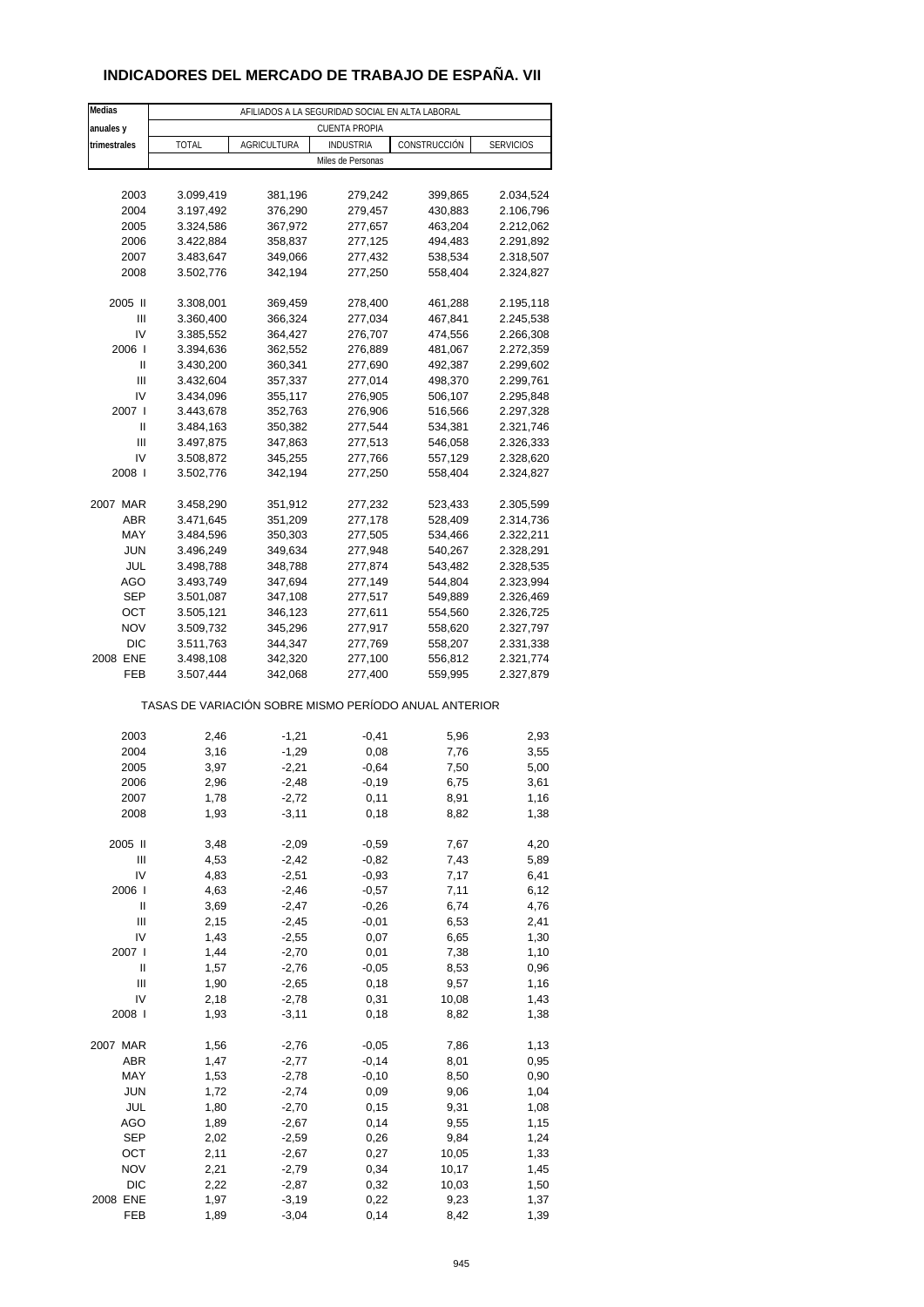### **INDICADORES DEL MERCADO DE TRABAJO DE ESPAÑA. VII**

| Medias       | AFILIADOS A LA SEGURIDAD SOCIAL EN ALTA LABORAL       |                    |                      |                    |                        |  |
|--------------|-------------------------------------------------------|--------------------|----------------------|--------------------|------------------------|--|
| anuales y    |                                                       |                    | <b>CUENTA PROPIA</b> |                    |                        |  |
| trimestrales | TOTAL                                                 | <b>AGRICULTURA</b> | <b>INDUSTRIA</b>     | CONSTRUCCIÓN       | <b>SERVICIOS</b>       |  |
|              |                                                       |                    | Miles de Personas    |                    |                        |  |
|              |                                                       |                    |                      |                    |                        |  |
| 2003         | 3.099,419                                             | 381,196            | 279,242              | 399,865            | 2.034,524              |  |
| 2004         | 3.197,492                                             | 376,290            | 279,457              | 430,883            | 2.106,796              |  |
| 2005         | 3.324,586                                             | 367,972            | 277,657              | 463,204            | 2.212,062              |  |
| 2006         | 3.422,884                                             | 358,837            | 277,125              | 494,483            | 2.291,892              |  |
| 2007         | 3.483,647                                             | 349,066            | 277,432              | 538,534            | 2.318,507              |  |
| 2008         | 3.502,776                                             | 342,194            | 277,250              | 558,404            | 2.324,827              |  |
|              |                                                       |                    |                      |                    |                        |  |
| 2005 II      | 3.308,001                                             | 369,459            | 278,400              | 461,288            | 2.195,118              |  |
| Ш            | 3.360,400                                             | 366,324            | 277,034              | 467,841            | 2.245,538              |  |
| IV           | 3.385,552                                             | 364,427            | 276,707              | 474,556            | 2.266,308              |  |
| 2006         | 3.394,636                                             | 362,552            | 276,889              | 481,067            | 2.272,359              |  |
| Ш            | 3.430,200                                             | 360,341            | 277,690              | 492,387            | 2.299,602              |  |
| Ш            | 3.432,604                                             | 357,337            | 277,014              | 498,370            | 2.299,761              |  |
| IV           | 3.434,096                                             | 355,117            | 276,905              | 506,107            | 2.295,848              |  |
| 2007 l       | 3.443,678                                             | 352,763            | 276,906              | 516,566            | 2.297,328              |  |
| Ш<br>Ш       | 3.484,163<br>3.497,875                                | 350,382            | 277,544              | 534,381            | 2.321,746<br>2.326,333 |  |
| IV           |                                                       | 347,863            | 277,513              | 546,058            |                        |  |
| 2008         | 3.508,872<br>3.502,776                                | 345,255            | 277,766<br>277,250   | 557,129<br>558,404 | 2.328,620<br>2.324,827 |  |
|              |                                                       | 342,194            |                      |                    |                        |  |
| 2007 MAR     | 3.458,290                                             | 351,912            | 277,232              | 523,433            | 2.305,599              |  |
| ABR          | 3.471,645                                             | 351,209            | 277,178              | 528,409            | 2.314,736              |  |
| MAY          | 3.484,596                                             | 350,303            | 277,505              | 534,466            | 2.322,211              |  |
| <b>JUN</b>   | 3.496,249                                             | 349,634            | 277,948              | 540,267            | 2.328,291              |  |
| JUL          | 3.498,788                                             | 348,788            | 277,874              | 543,482            | 2.328,535              |  |
| AGO          | 3.493,749                                             | 347,694            | 277,149              | 544,804            | 2.323,994              |  |
| <b>SEP</b>   | 3.501,087                                             | 347,108            | 277,517              | 549,889            | 2.326,469              |  |
| OCT          | 3.505,121                                             | 346,123            | 277,611              | 554,560            | 2.326,725              |  |
| <b>NOV</b>   | 3.509,732                                             | 345,296            | 277,917              | 558,620            | 2.327,797              |  |
| <b>DIC</b>   | 3.511,763                                             | 344,347            | 277,769              | 558,207            | 2.331,338              |  |
| 2008 ENE     | 3.498,108                                             | 342,320            | 277,100              | 556,812            | 2.321,774              |  |
| FEB          | 3.507,444                                             | 342,068            | 277,400              | 559,995            | 2.327,879              |  |
|              | TASAS DE VARIACIÓN SOBRE MISMO PERÍODO ANUAL ANTERIOR |                    |                      |                    |                        |  |
|              |                                                       |                    |                      |                    |                        |  |
| 2003         | 2,46                                                  | $-1,21$            | $-0,41$              | 5,96               | 2,93                   |  |
| 2004         | 3,16                                                  | $-1,29$            | 0,08                 | 7,76               | 3,55                   |  |
| 2005         | 3,97                                                  | $-2,21$            | $-0.64$              | 7,50               | 5,00                   |  |
| 2006         | 2,96                                                  | $-2,48$            | $-0,19$              | 6,75               | 3,61                   |  |
| 2007         | 1,78                                                  | $-2,72$            | 0,11                 | 8,91               | 1,16                   |  |
| 2008         | 1,93                                                  | $-3,11$            | 0,18                 | 8,82               | 1,38                   |  |
| 2005 II      | 3,48                                                  | $-2,09$            | $-0,59$              | 7,67               | 4,20                   |  |
| Ш            | 4,53                                                  | $-2,42$            | $-0,82$              | 7,43               | 5,89                   |  |
| IV           | 4,83                                                  | $-2,51$            | $-0,93$              | 7,17               | 6,41                   |  |
| 2006         | 4,63                                                  | $-2,46$            | $-0,57$              | 7,11               | 6,12                   |  |
| Ш            | 3,69                                                  | $-2,47$            | $-0,26$              | 6,74               | 4,76                   |  |
| Ш            | 2,15                                                  | $-2,45$            | $-0,01$              | 6,53               | 2,41                   |  |
| IV           | 1,43                                                  | $-2,55$            | 0,07                 | 6,65               | 1,30                   |  |
| 2007 l       | 1,44                                                  | $-2,70$            | 0,01                 | 7,38               | 1,10                   |  |
| Ш            | 1,57                                                  | $-2,76$            | $-0,05$              | 8,53               | 0,96                   |  |
| Ш            | 1,90                                                  | $-2,65$            | 0,18                 | 9,57               | 1,16                   |  |
| IV           | 2,18                                                  | $-2,78$            | 0,31                 | 10,08              | 1,43                   |  |
| 2008         | 1,93                                                  | $-3,11$            | 0,18                 | 8,82               | 1,38                   |  |
|              |                                                       |                    |                      |                    |                        |  |
| 2007 MAR     | 1,56                                                  | $-2,76$            | $-0,05$              | 7,86               | 1,13                   |  |
| ABR          | 1,47                                                  | $-2,77$            | $-0,14$              | 8,01               | 0,95                   |  |
| MAY          | 1,53                                                  | $-2,78$            | $-0,10$              | 8,50               | 0,90                   |  |
| <b>JUN</b>   | 1,72                                                  | $-2,74$            | 0,09                 | 9,06               | 1,04                   |  |
| JUL          | 1,80                                                  | $-2,70$            | 0,15                 | 9,31               | 1,08                   |  |
| AGO          | 1,89                                                  | $-2,67$            | 0,14                 | 9,55               | 1,15                   |  |
| <b>SEP</b>   | 2,02                                                  | $-2,59$            | 0,26                 | 9,84               | 1,24                   |  |
| ОСТ          | 2,11                                                  | $-2,67$            | 0,27                 | 10,05              | 1,33                   |  |
| <b>NOV</b>   | 2,21                                                  | $-2,79$            | 0,34                 | 10,17              | 1,45                   |  |
| DIC          | 2,22                                                  | $-2,87$            | 0,32                 | 10,03              | 1,50                   |  |
| 2008 ENE     | 1,97                                                  | $-3,19$            | 0,22                 | 9,23               | 1,37                   |  |
| FEB          | 1,89                                                  | $-3,04$            | 0,14                 | 8,42               | 1,39                   |  |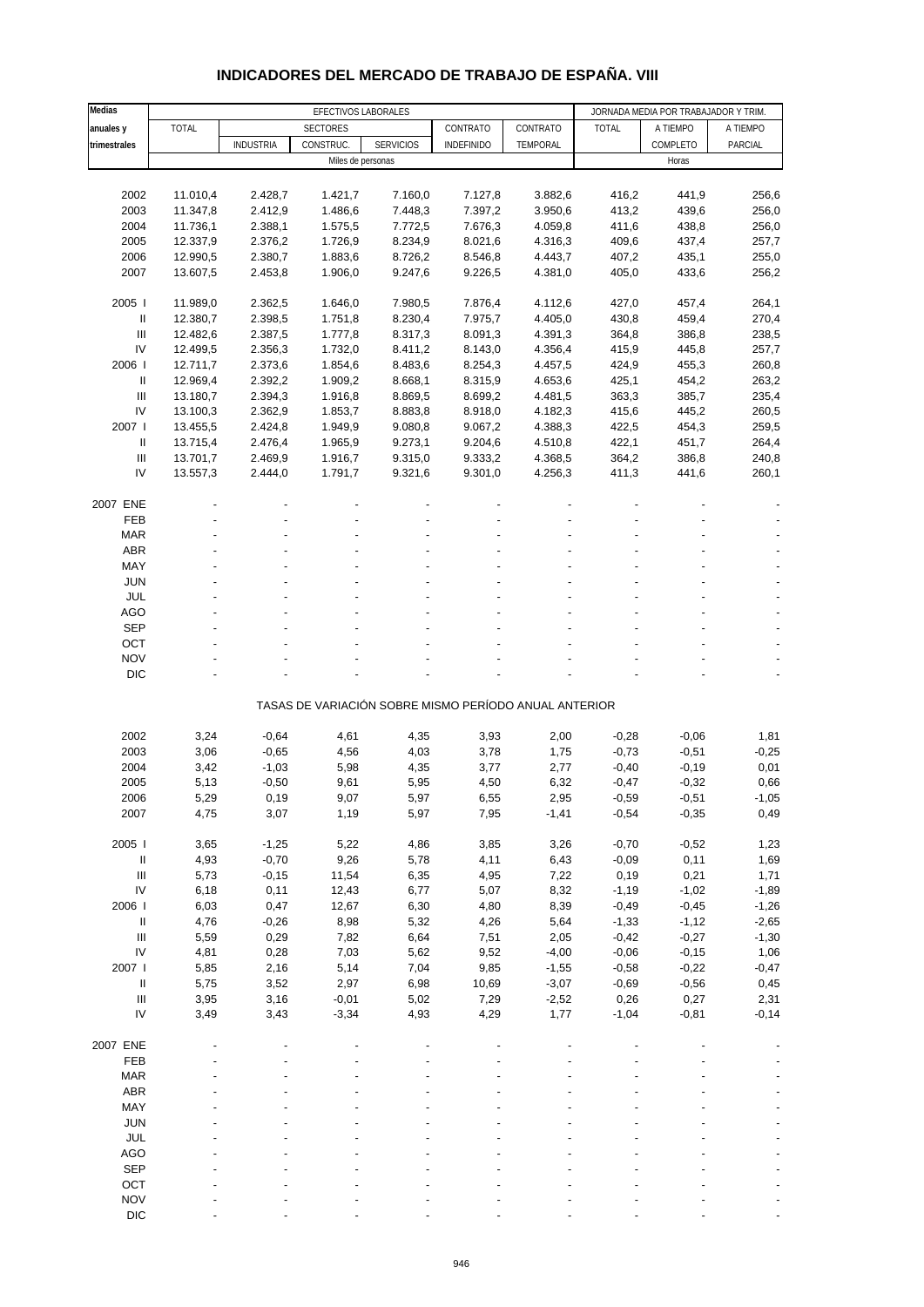| Medias                             |              |                  | EFECTIVOS LABORALES |                                                       |                    |                    |              | JORNADA MEDIA POR TRABAJADOR Y TRIM. |          |
|------------------------------------|--------------|------------------|---------------------|-------------------------------------------------------|--------------------|--------------------|--------------|--------------------------------------|----------|
| anuales y                          | <b>TOTAL</b> |                  | <b>SECTORES</b>     |                                                       | CONTRATO           | CONTRATO           | <b>TOTAL</b> | A TIEMPO                             | A TIEMPO |
| trimestrales                       |              | <b>INDUSTRIA</b> | CONSTRUC.           | <b>SERVICIOS</b>                                      | <b>INDEFINIDO</b>  | TEMPORAL           |              | COMPLETO                             | PARCIAL  |
|                                    |              |                  | Miles de personas   |                                                       |                    |                    |              | Horas                                |          |
|                                    |              |                  |                     |                                                       |                    |                    |              |                                      |          |
|                                    | 11.010,4     |                  |                     |                                                       |                    |                    |              |                                      | 256,6    |
| 2002                               |              | 2.428,7          | 1.421,7             | 7.160,0                                               | 7.127,8            | 3.882,6            | 416,2        | 441,9                                |          |
| 2003<br>2004                       | 11.347,8     | 2.412,9          | 1.486,6             | 7.448,3                                               | 7.397,2            | 3.950,6            | 413,2        | 439,6                                | 256,0    |
|                                    | 11.736,1     | 2.388,1          | 1.575,5             | 7.772,5                                               | 7.676,3            | 4.059,8            | 411,6        | 438,8                                | 256,0    |
| 2005                               | 12.337,9     | 2.376,2          | 1.726,9             | 8.234,9                                               | 8.021,6            | 4.316,3            | 409,6        | 437,4                                | 257,7    |
| 2006                               | 12.990,5     | 2.380,7          | 1.883,6             | 8.726,2                                               | 8.546,8            | 4.443,7            | 407,2        | 435,1                                | 255,0    |
| 2007                               | 13.607,5     | 2.453,8          | 1.906,0             | 9.247,6                                               | 9.226,5            | 4.381,0            | 405,0        | 433,6                                | 256,2    |
| 2005                               | 11.989,0     | 2.362,5          | 1.646,0             | 7.980,5                                               | 7.876,4            | 4.112,6            | 427,0        | 457,4                                | 264,1    |
| Ш                                  | 12.380,7     | 2.398,5          | 1.751,8             | 8.230,4                                               | 7.975,7            | 4.405,0            | 430,8        | 459,4                                | 270,4    |
| Ш                                  | 12.482,6     | 2.387,5          | 1.777,8             | 8.317,3                                               | 8.091,3            | 4.391,3            | 364,8        | 386,8                                | 238,5    |
| IV                                 | 12.499,5     | 2.356,3          |                     | 8.411,2                                               |                    |                    | 415,9        | 445,8                                | 257,7    |
| 2006                               |              | 2.373,6          | 1.732,0             | 8.483,6                                               | 8.143,0<br>8.254,3 | 4.356,4<br>4.457,5 |              |                                      | 260,8    |
| 11                                 | 12.711,7     |                  | 1.854,6             |                                                       |                    |                    | 424,9        | 455,3                                |          |
| Ш                                  | 12.969,4     | 2.392,2          | 1.909,2             | 8.668,1                                               | 8.315,9            | 4.653,6            | 425,1        | 454,2                                | 263,2    |
| IV                                 | 13.180,7     | 2.394,3          | 1.916,8             | 8.869,5                                               | 8.699,2            | 4.481,5<br>4.182,3 | 363,3        | 385,7                                | 235,4    |
|                                    | 13.100,3     | 2.362,9          | 1.853,7             | 8.883,8                                               | 8.918,0            |                    | 415,6        | 445,2                                | 260,5    |
| 2007 l                             | 13.455,5     | 2.424,8          | 1.949,9             | 9.080,8                                               | 9.067,2            | 4.388,3            | 422,5        | 454,3                                | 259,5    |
| Ш                                  | 13.715,4     | 2.476,4          | 1.965,9             | 9.273,1                                               | 9.204,6            | 4.510,8            | 422,1        | 451,7                                | 264,4    |
| Ш                                  | 13.701,7     | 2.469,9          | 1.916,7             | 9.315,0                                               | 9.333,2            | 4.368,5            | 364,2        | 386,8                                | 240,8    |
| IV                                 | 13.557,3     | 2.444,0          | 1.791,7             | 9.321,6                                               | 9.301,0            | 4.256,3            | 411,3        | 441,6                                | 260,1    |
|                                    |              |                  |                     |                                                       |                    |                    |              |                                      |          |
| 2007 ENE                           |              |                  |                     |                                                       |                    |                    |              |                                      |          |
| FEB                                |              |                  |                     |                                                       |                    |                    |              |                                      |          |
| <b>MAR</b>                         |              |                  |                     |                                                       |                    |                    |              |                                      |          |
| ABR                                |              |                  |                     |                                                       |                    |                    |              |                                      |          |
| MAY                                |              |                  |                     |                                                       |                    |                    |              |                                      |          |
| <b>JUN</b>                         |              |                  |                     |                                                       |                    |                    |              |                                      |          |
| JUL                                |              |                  |                     |                                                       |                    |                    |              |                                      |          |
| AGO                                |              |                  |                     |                                                       |                    |                    |              |                                      |          |
| <b>SEP</b>                         |              |                  |                     |                                                       |                    |                    |              |                                      |          |
| OCT                                |              |                  |                     |                                                       |                    |                    |              |                                      |          |
| <b>NOV</b>                         |              |                  |                     |                                                       |                    |                    |              |                                      |          |
| <b>DIC</b>                         |              |                  |                     |                                                       |                    |                    |              |                                      |          |
|                                    |              |                  |                     |                                                       |                    |                    |              |                                      |          |
|                                    |              |                  |                     | TASAS DE VARIACIÓN SOBRE MISMO PERÍODO ANUAL ANTERIOR |                    |                    |              |                                      |          |
| 2002                               | 3,24         | $-0,64$          | 4,61                | 4,35                                                  | 3,93               | 2,00               | $-0,28$      | $-0,06$                              | 1,81     |
| 2003                               | 3,06         | $-0,65$          | 4,56                | 4,03                                                  | 3,78               | 1,75               | $-0,73$      | $-0,51$                              | $-0,25$  |
| 2004                               | 3,42         | $-1,03$          | 5,98                | 4,35                                                  | 3,77               | 2,77               | $-0,40$      | $-0,19$                              | 0,01     |
| 2005                               | 5,13         | $-0,50$          | 9,61                | 5,95                                                  | 4,50               | 6,32               | $-0,47$      | $-0,32$                              | 0,66     |
| 2006                               | 5,29         | 0, 19            | 9,07                | 5,97                                                  |                    | 2,95               | $-0,59$      | $-0,51$                              | $-1,05$  |
| 2007                               | 4,75         | 3,07             | 1,19                | 5,97                                                  | 6,55<br>7,95       | $-1,41$            | $-0,54$      | $-0,35$                              | 0,49     |
|                                    |              |                  |                     |                                                       |                    |                    |              |                                      |          |
| 2005 l                             | 3,65         | $-1,25$          | 5,22                | 4,86                                                  | 3,85               | 3,26               | $-0,70$      | $-0,52$                              | 1,23     |
| $\mathsf{II}$                      | 4,93         | $-0,70$          | 9,26                | 5,78                                                  | 4,11               | 6,43               | $-0,09$      | 0,11                                 | 1,69     |
| $\ensuremath{\mathsf{III}}\xspace$ | 5,73         | $-0,15$          | 11,54               | 6,35                                                  | 4,95               | 7,22               | 0,19         | 0,21                                 | 1,71     |
| IV                                 | 6,18         | 0,11             | 12,43               | 6,77                                                  | 5,07               | 8,32               | $-1,19$      | $-1,02$                              | $-1,89$  |
| 2006                               | 6,03         | 0,47             | 12,67               | 6,30                                                  | 4,80               | 8,39               | $-0,49$      | $-0,45$                              | $-1,26$  |
| $\ensuremath{\mathsf{II}}$         | 4,76         | $-0,26$          | 8,98                | 5,32                                                  | 4,26               | 5,64               | $-1,33$      | $-1,12$                              | $-2,65$  |
| $\ensuremath{\mathsf{III}}\xspace$ | 5,59         | 0,29             | 7,82                | 6,64                                                  | 7,51               | 2,05               | $-0,42$      | $-0,27$                              | $-1,30$  |
|                                    |              |                  |                     |                                                       |                    |                    |              |                                      |          |
| IV                                 | 4,81         | 0,28             | 7,03                | 5,62                                                  | 9,52               | $-4,00$            | $-0,06$      | $-0,15$                              | 1,06     |
| 2007 l                             | 5,85         | 2,16             | 5,14                | 7,04                                                  | 9,85               | $-1,55$            | $-0,58$      | $-0,22$                              | $-0,47$  |
| $\ensuremath{\mathsf{II}}$         | 5,75         | 3,52             | 2,97                | 6,98                                                  | 10,69              | $-3,07$            | $-0,69$      | $-0,56$                              | 0,45     |
| $\ensuremath{\mathsf{III}}\xspace$ | 3,95         | 3,16             | $-0,01$             | 5,02                                                  | 7,29               | $-2,52$            | 0,26         | 0,27                                 | 2,31     |
| IV                                 | 3,49         | 3,43             | $-3,34$             | 4,93                                                  | 4,29               | 1,77               | $-1,04$      | $-0,81$                              | $-0,14$  |
| 2007 ENE                           |              |                  |                     |                                                       |                    |                    |              |                                      |          |
| FEB                                |              |                  |                     |                                                       |                    |                    |              |                                      |          |
|                                    |              |                  |                     |                                                       |                    |                    |              |                                      |          |
| <b>MAR</b>                         |              |                  |                     |                                                       |                    |                    |              |                                      |          |
| ABR                                |              |                  |                     |                                                       |                    |                    |              |                                      |          |
| MAY                                |              |                  |                     |                                                       |                    |                    |              |                                      |          |
| <b>JUN</b>                         |              |                  |                     |                                                       |                    |                    |              |                                      |          |
| JUL                                |              |                  |                     |                                                       |                    |                    |              |                                      |          |
| AGO                                |              |                  |                     |                                                       |                    |                    |              |                                      |          |
| <b>SEP</b>                         |              |                  |                     |                                                       |                    |                    |              |                                      |          |
| OCT                                |              |                  |                     |                                                       |                    |                    |              |                                      |          |
| <b>NOV</b>                         |              |                  |                     |                                                       |                    |                    |              |                                      |          |

#### **INDICADORES DEL MERCADO DE TRABAJO DE ESPAÑA. VIII**

DIC  $\qquad \qquad \qquad \qquad \qquad \qquad \qquad \qquad \qquad \qquad \qquad \qquad \qquad \qquad \qquad \qquad \qquad \qquad -$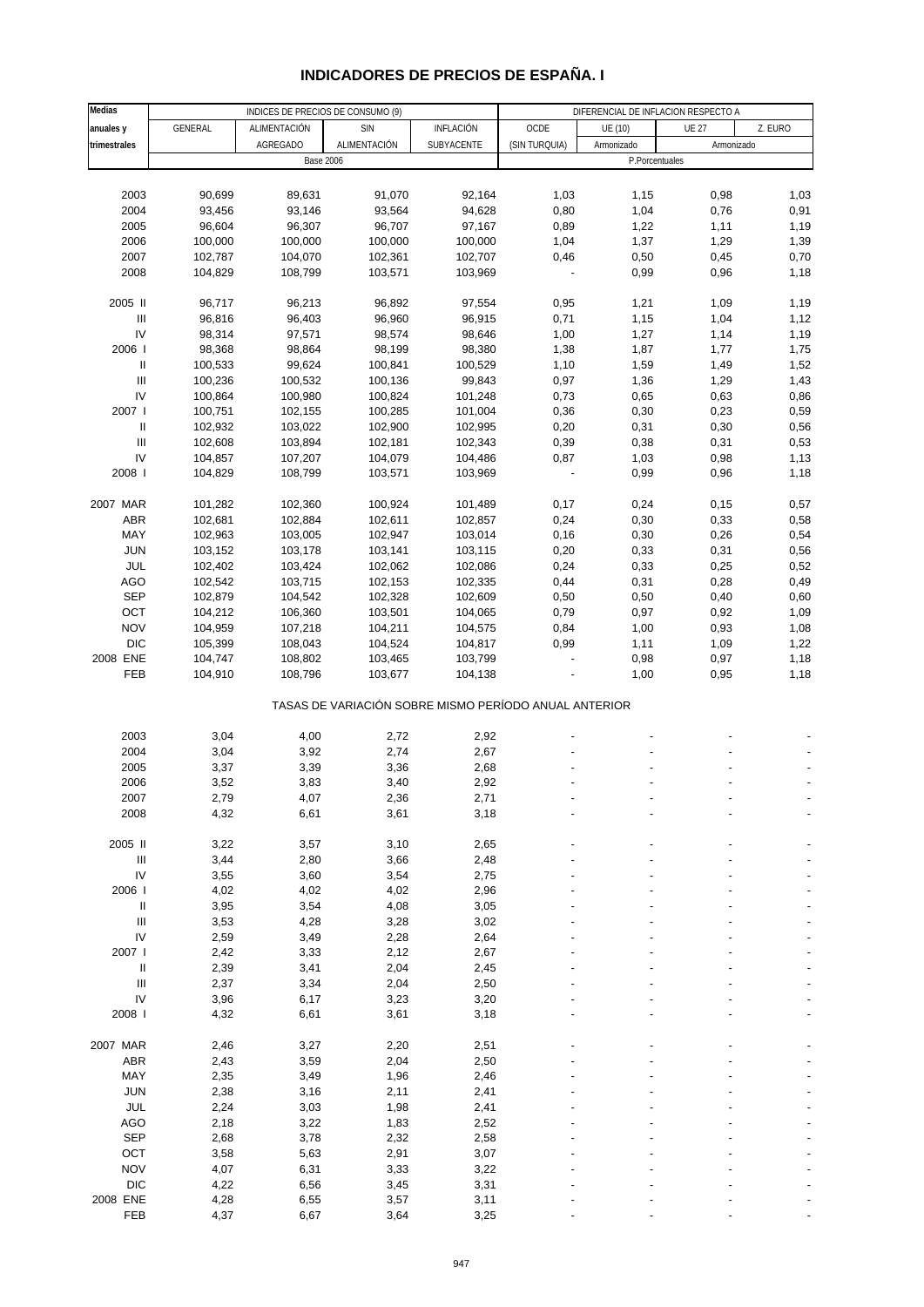|  |  |  | <b>INDICADORES DE PRECIOS DE ESPANA. I</b> |
|--|--|--|--------------------------------------------|
|--|--|--|--------------------------------------------|

| Medias                             |         | DIFERENCIAL DE INFLACION RESPECTO A               |              |                                                       |               |            |                |         |
|------------------------------------|---------|---------------------------------------------------|--------------|-------------------------------------------------------|---------------|------------|----------------|---------|
| anuales y                          | GENERAL | INDICES DE PRECIOS DE CONSUMO (9)<br>ALIMENTACIÓN | <b>SIN</b>   | INFLACIÓN                                             | OCDE          | UE (10)    | <b>UE 27</b>   | Z. EURO |
| trimestrales                       |         | <b>AGREGADO</b>                                   | ALIMENTACIÓN | SUBYACENTE                                            | (SIN TURQUIA) | Armonizado | Armonizado     |         |
|                                    |         | <b>Base 2006</b>                                  |              |                                                       |               |            | P.Porcentuales |         |
|                                    |         |                                                   |              |                                                       |               |            |                |         |
| 2003                               | 90,699  | 89,631                                            | 91,070       | 92,164                                                | 1,03          | 1,15       | 0,98           | 1,03    |
| 2004                               | 93,456  | 93,146                                            | 93,564       | 94,628                                                | 0,80          | 1,04       | 0,76           | 0,91    |
| 2005                               | 96,604  | 96,307                                            | 96,707       | 97,167                                                | 0,89          | 1,22       | 1,11           | 1,19    |
| 2006                               | 100,000 | 100,000                                           | 100,000      | 100,000                                               | 1,04          | 1,37       | 1,29           | 1,39    |
| 2007                               | 102,787 | 104,070                                           | 102,361      | 102,707                                               | 0,46          | 0,50       | 0,45           | 0,70    |
| 2008                               | 104,829 | 108,799                                           | 103,571      | 103,969                                               |               | 0,99       | 0,96           | 1,18    |
|                                    |         |                                                   |              |                                                       |               |            |                |         |
| 2005 II                            | 96,717  | 96,213                                            | 96,892       | 97,554                                                | 0,95          | 1,21       | 1,09           | 1,19    |
| Ш                                  | 96,816  | 96,403                                            | 96,960       | 96,915                                                | 0,71          | 1,15       | 1,04           | 1,12    |
| IV                                 | 98,314  | 97,571                                            | 98,574       | 98,646                                                | 1,00          | 1,27       | 1,14           | 1,19    |
| 2006                               | 98,368  | 98,864                                            | 98,199       | 98,380                                                | 1,38          | 1,87       | 1,77           | 1,75    |
| Ш                                  | 100,533 | 99,624                                            | 100,841      | 100,529                                               | 1,10          | 1,59       | 1,49           | 1,52    |
| $\ensuremath{\mathsf{III}}\xspace$ | 100,236 | 100,532                                           | 100,136      | 99,843                                                | 0,97          | 1,36       | 1,29           | 1,43    |
| IV                                 | 100,864 | 100,980                                           | 100,824      | 101,248                                               | 0,73          | 0,65       | 0,63           | 0,86    |
| 2007 l                             | 100,751 | 102,155                                           | 100,285      | 101,004                                               | 0,36          | 0,30       | 0,23           | 0,59    |
| Ш                                  | 102,932 | 103,022                                           | 102,900      | 102,995                                               | 0,20          | 0,31       | 0,30           | 0,56    |
| Ш                                  | 102,608 | 103,894                                           | 102,181      | 102,343                                               | 0,39          | 0,38       | 0,31           | 0,53    |
| IV                                 | 104,857 | 107,207                                           | 104,079      | 104,486                                               | 0,87          | 1,03       | 0,98           | 1,13    |
| 2008                               | 104,829 | 108,799                                           | 103,571      | 103,969                                               |               | 0,99       | 0,96           | 1,18    |
|                                    |         |                                                   |              |                                                       |               |            |                |         |
| 2007 MAR                           | 101,282 | 102,360                                           | 100,924      | 101,489                                               | 0,17          | 0,24       | 0,15           | 0,57    |
| ABR                                | 102,681 | 102,884                                           | 102,611      | 102,857                                               | 0,24          | 0,30       | 0,33           | 0,58    |
| MAY                                | 102,963 | 103,005                                           | 102,947      | 103,014                                               | 0,16          | 0,30       | 0,26           | 0,54    |
| <b>JUN</b>                         | 103,152 | 103,178                                           | 103,141      | 103,115                                               | 0,20          | 0,33       | 0,31           | 0,56    |
| JUL                                | 102,402 | 103,424                                           | 102,062      | 102,086                                               | 0,24          | 0,33       | 0,25           | 0,52    |
| AGO                                | 102,542 | 103,715                                           | 102,153      | 102,335                                               | 0,44          | 0,31       | 0,28           | 0,49    |
| <b>SEP</b>                         | 102,879 | 104,542                                           | 102,328      | 102,609                                               | 0,50          | 0,50       | 0,40           | 0,60    |
| OCT                                | 104,212 | 106,360                                           | 103,501      | 104,065                                               | 0,79          | 0,97       | 0,92           | 1,09    |
| <b>NOV</b>                         | 104,959 | 107,218                                           | 104,211      | 104,575                                               | 0,84          | 1,00       | 0,93           | 1,08    |
| <b>DIC</b>                         | 105,399 | 108,043                                           | 104,524      | 104,817                                               | 0,99          | 1,11       | 1,09           | 1,22    |
| 2008 ENE                           | 104,747 | 108,802                                           | 103,465      | 103,799                                               |               | 0,98       | 0,97           | 1,18    |
| FEB                                | 104,910 | 108,796                                           | 103,677      | 104,138                                               |               | 1,00       | 0,95           | 1,18    |
|                                    |         |                                                   |              |                                                       |               |            |                |         |
|                                    |         |                                                   |              | TASAS DE VARIACIÓN SOBRE MISMO PERÍODO ANUAL ANTERIOR |               |            |                |         |
|                                    |         |                                                   |              |                                                       |               |            |                |         |
| 2003                               | 3,04    | 4,00                                              | 2,72         | 2,92                                                  |               |            |                |         |
| 2004                               | 3,04    | 3,92                                              | 2,74         | 2,67                                                  |               |            |                |         |
| 2005                               | 3,37    | 3,39                                              | 3,36         | 2,68                                                  |               |            |                |         |
| 2006                               | 3,52    | 3,83                                              | 3,40         | 2,92                                                  |               |            |                |         |
| 2007                               | 2,79    | 4,07                                              | 2,36         | 2,71                                                  |               |            |                |         |
| 2008                               | 4,32    | 6,61                                              | 3,61         | 3,18                                                  |               |            |                |         |
|                                    |         |                                                   |              |                                                       |               |            |                |         |
| 2005 II                            | 3,22    | 3,57                                              | 3,10         | 2,65                                                  |               |            |                |         |
| Ш                                  | 3,44    | 2,80                                              | 3,66         | 2,48                                                  |               |            |                |         |
| IV                                 | 3,55    | 3,60                                              | 3,54         | 2,75                                                  |               |            |                |         |
| 2006                               | 4,02    | 4,02                                              | 4,02         | 2,96                                                  |               |            |                |         |
| $\mathsf{II}$                      | 3,95    | 3,54                                              | 4,08         | 3,05                                                  |               |            |                |         |
| $\ensuremath{\mathsf{III}}\xspace$ | 3,53    | 4,28                                              | 3,28         | 3,02                                                  |               |            |                |         |
| ${\sf IV}$                         | 2,59    | 3,49                                              | 2,28         | 2,64                                                  |               |            |                |         |
| 2007 l                             | 2,42    | 3,33                                              | 2,12         | 2,67                                                  |               |            |                |         |
| Ш                                  | 2,39    | 3,41                                              | 2,04         | 2,45                                                  |               |            |                |         |
| $\ensuremath{\mathsf{III}}\xspace$ | 2,37    | 3,34                                              | 2,04         | 2,50                                                  |               |            |                |         |
| IV                                 | 3,96    | 6,17                                              | 3,23         | 3,20                                                  |               |            |                |         |
| 2008                               | 4,32    | 6,61                                              | 3,61         | 3,18                                                  |               |            |                |         |
|                                    |         |                                                   |              |                                                       |               |            |                |         |
| 2007 MAR                           | 2,46    | 3,27                                              | 2,20         | 2,51                                                  |               |            |                |         |
| ABR                                | 2,43    | 3,59                                              | 2,04         | 2,50                                                  |               |            |                |         |
| MAY                                | 2,35    | 3,49                                              | 1,96         | 2,46                                                  |               |            |                |         |
| <b>JUN</b>                         | 2,38    | 3,16                                              | 2,11         | 2,41                                                  |               |            |                |         |
| JUL                                | 2,24    | 3,03                                              | 1,98         | 2,41                                                  |               |            |                |         |
| AGO                                | 2,18    | 3,22                                              | 1,83         | 2,52                                                  |               |            |                |         |
| <b>SEP</b>                         | 2,68    | 3,78                                              | 2,32         | 2,58                                                  |               |            |                |         |
| OCT                                | 3,58    | 5,63                                              | 2,91         | 3,07                                                  |               |            |                |         |
| <b>NOV</b>                         | 4,07    | 6,31                                              | 3,33         | 3,22                                                  |               |            |                |         |
| <b>DIC</b>                         | 4,22    | 6,56                                              | 3,45         | 3,31                                                  |               |            |                |         |
| 2008 ENE                           | 4,28    | 6,55                                              | 3,57         | 3,11                                                  |               |            |                |         |
| FEB                                | 4,37    | 6,67                                              | 3,64         | 3,25                                                  |               |            |                |         |
|                                    |         |                                                   |              |                                                       |               |            |                |         |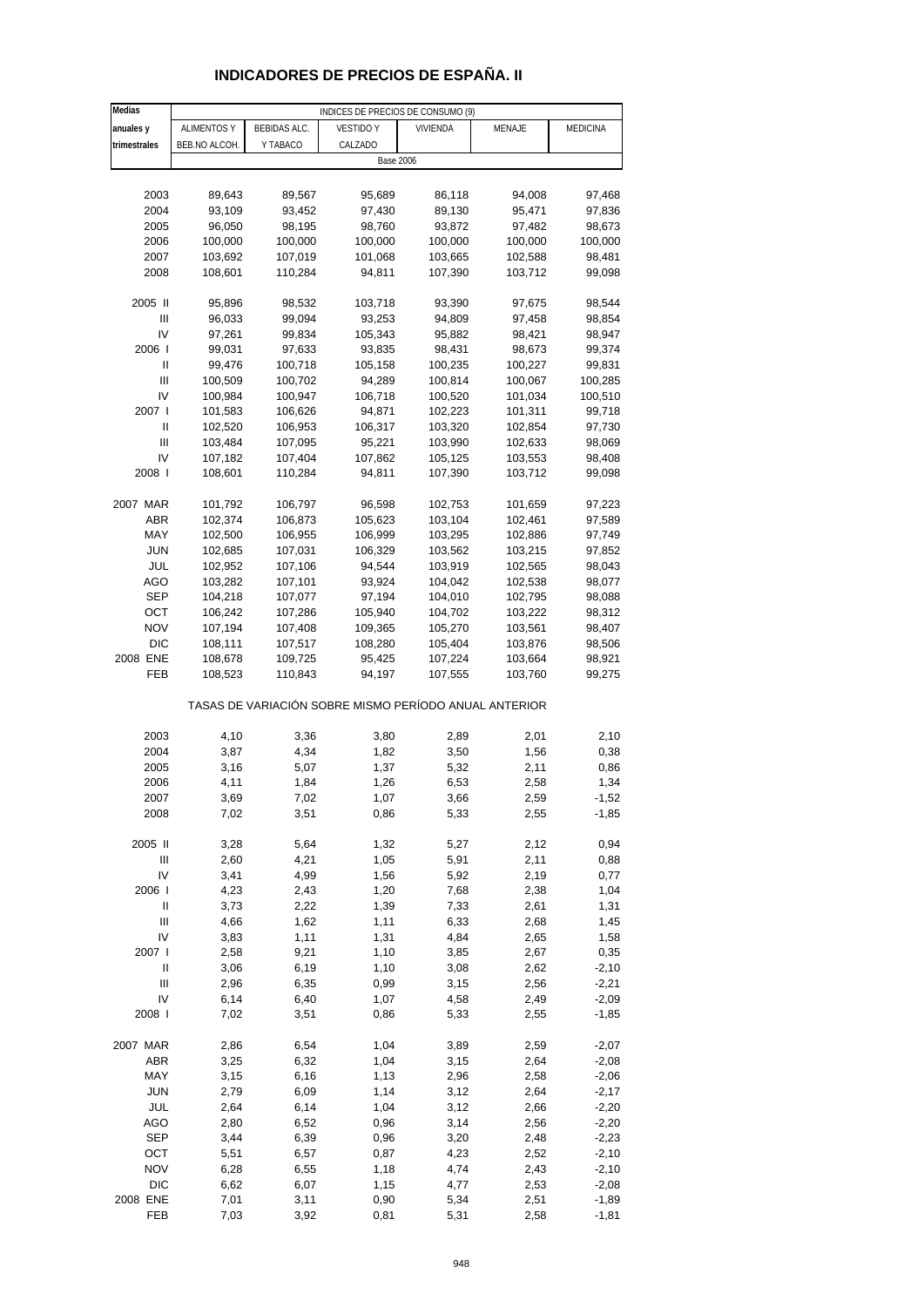| Medias         | INDICES DE PRECIOS DE CONSUMO (9) |                     |                                                       |          |         |          |  |  |
|----------------|-----------------------------------|---------------------|-------------------------------------------------------|----------|---------|----------|--|--|
| anuales y      | <b>ALIMENTOS Y</b>                | <b>BEBIDAS ALC.</b> | <b>VESTIDO Y</b>                                      | VIVIENDA | MENAJE  | MEDICINA |  |  |
| trimestrales   | BEB.NO ALCOH.                     | Y TABACO            | CALZADO                                               |          |         |          |  |  |
|                |                                   |                     | <b>Base 2006</b>                                      |          |         |          |  |  |
|                |                                   |                     |                                                       |          |         |          |  |  |
| 2003           | 89,643                            | 89,567              | 95,689                                                | 86,118   | 94,008  | 97,468   |  |  |
| 2004           | 93,109                            | 93,452              | 97,430                                                | 89,130   | 95,471  | 97,836   |  |  |
| 2005           | 96,050                            | 98,195              | 98,760                                                | 93,872   | 97,482  | 98,673   |  |  |
| 2006           | 100,000                           | 100,000             | 100,000                                               | 100,000  | 100,000 | 100,000  |  |  |
| 2007           | 103,692                           | 107,019             | 101,068                                               | 103,665  | 102,588 | 98,481   |  |  |
| 2008           | 108,601                           | 110,284             | 94,811                                                | 107,390  | 103,712 | 99,098   |  |  |
|                |                                   |                     |                                                       |          |         |          |  |  |
| 2005 II        | 95,896                            | 98,532              | 103,718                                               | 93,390   | 97,675  | 98,544   |  |  |
| Ш              | 96,033                            | 99,094              | 93,253                                                | 94,809   | 97,458  | 98,854   |  |  |
| IV             | 97,261                            | 99,834              | 105,343                                               | 95,882   | 98,421  | 98,947   |  |  |
| 2006           | 99,031                            | 97,633              | 93,835                                                | 98,431   | 98,673  | 99,374   |  |  |
| Ш              | 99,476                            | 100,718             | 105,158                                               | 100,235  | 100,227 | 99,831   |  |  |
| Ш              | 100,509                           | 100,702             | 94,289                                                | 100,814  | 100,067 | 100,285  |  |  |
| IV             | 100,984                           | 100,947             | 106,718                                               | 100,520  | 101,034 | 100,510  |  |  |
| 2007 l         | 101,583                           | 106,626             | 94,871                                                | 102,223  | 101,311 | 99,718   |  |  |
| Ш              | 102,520                           | 106,953             | 106,317                                               | 103,320  | 102,854 | 97,730   |  |  |
| Ш              | 103,484                           | 107,095             | 95,221                                                | 103,990  | 102,633 | 98,069   |  |  |
| IV             | 107,182                           | 107,404             | 107,862                                               | 105,125  | 103,553 | 98,408   |  |  |
| 2008 l         | 108,601                           | 110,284             | 94,811                                                | 107,390  | 103,712 | 99,098   |  |  |
|                |                                   |                     |                                                       |          |         |          |  |  |
| 2007 MAR       | 101,792                           | 106,797             | 96,598                                                | 102,753  | 101,659 | 97,223   |  |  |
| <b>ABR</b>     | 102,374                           | 106,873             | 105,623                                               | 103,104  | 102,461 | 97,589   |  |  |
| MAY            | 102,500                           | 106,955             | 106,999                                               | 103,295  | 102,886 | 97,749   |  |  |
| <b>JUN</b>     | 102,685                           | 107,031             | 106,329                                               | 103,562  | 103,215 | 97,852   |  |  |
| JUL            | 102,952                           | 107,106             | 94,544                                                | 103,919  | 102,565 | 98,043   |  |  |
| AGO            | 103,282                           | 107,101             | 93,924                                                | 104,042  | 102,538 | 98,077   |  |  |
| <b>SEP</b>     | 104,218                           | 107,077             | 97,194                                                | 104,010  | 102,795 | 98,088   |  |  |
| OCT            | 106,242                           | 107,286             | 105,940                                               | 104,702  | 103,222 | 98,312   |  |  |
| <b>NOV</b>     | 107,194                           | 107,408             | 109,365                                               | 105,270  | 103,561 | 98,407   |  |  |
| <b>DIC</b>     | 108,111                           | 107,517             | 108,280                                               | 105,404  | 103,876 | 98,506   |  |  |
| 2008 ENE       | 108,678                           | 109,725             | 95,425                                                | 107,224  | 103,664 | 98,921   |  |  |
| FEB            | 108,523                           | 110,843             | 94,197                                                | 107,555  | 103,760 | 99,275   |  |  |
|                |                                   |                     | TASAS DE VARIACIÓN SOBRE MISMO PERÍODO ANUAL ANTERIOR |          |         |          |  |  |
|                |                                   |                     |                                                       |          |         |          |  |  |
| 2003           | 4,10                              | 3,36                | 3,80                                                  | 2,89     | 2,01    | 2,10     |  |  |
| 2004           | 3,87                              | 4,34                | 1,82                                                  | 3,50     | 1,56    | 0,38     |  |  |
| 2005           | 3,16                              | 5,07                | 1,37                                                  | 5,32     | 2,11    | 0,86     |  |  |
| 2006           | 4,11                              | 1,84                | 1,26                                                  | 6,53     | 2,58    | 1,34     |  |  |
| 2007           | 3,69                              | 7,02                | 1,07                                                  | 3,66     | 2,59    | -1,52    |  |  |
| 2008           | 7,02                              | 3,51                | 0,86                                                  | 5,33     | 2,55    | $-1,85$  |  |  |
| 2005 II        | 3,28                              | 5,64                | 1,32                                                  | 5,27     | 2,12    | 0,94     |  |  |
| $\mathsf{III}$ | 2,60                              | 4,21                | 1,05                                                  | 5,91     | 2,11    | 0,88     |  |  |
| IV             | 3,41                              | 4,99                | 1,56                                                  | 5,92     | 2,19    | 0,77     |  |  |
| 2006           | 4,23                              | 2,43                | 1,20                                                  | 7,68     | 2,38    | 1,04     |  |  |
| Ш              | 3,73                              | 2,22                | 1,39                                                  | 7,33     | 2,61    | 1,31     |  |  |
| Ш              | 4,66                              | 1,62                | 1,11                                                  | 6,33     | 2,68    | 1,45     |  |  |
| IV             | 3,83                              | 1,11                | 1,31                                                  | 4,84     | 2,65    | 1,58     |  |  |
| 2007           | 2,58                              | 9,21                | 1,10                                                  | 3,85     | 2,67    | 0,35     |  |  |
| $\mathsf{II}$  | 3,06                              | 6,19                | 1,10                                                  | 3,08     | 2,62    | $-2,10$  |  |  |
| Ш              | 2,96                              | 6,35                | 0,99                                                  | 3,15     | 2,56    | $-2,21$  |  |  |
| IV             | 6,14                              | 6,40                | 1,07                                                  | 4,58     | 2,49    | $-2,09$  |  |  |
| 2008           | 7,02                              | 3,51                | 0,86                                                  | 5,33     | 2,55    | $-1,85$  |  |  |
| 2007 MAR       | 2,86                              | 6,54                | 1,04                                                  | 3,89     | 2,59    | $-2,07$  |  |  |
| <b>ABR</b>     | 3,25                              | 6,32                | 1,04                                                  | 3,15     | 2,64    | $-2,08$  |  |  |
| MAY            | 3,15                              | 6,16                | 1,13                                                  | 2,96     | 2,58    | $-2,06$  |  |  |
| <b>JUN</b>     | 2,79                              | 6,09                | 1,14                                                  | 3,12     | 2,64    | $-2,17$  |  |  |
| JUL            | 2,64                              | 6,14                | 1,04                                                  | 3,12     | 2,66    | $-2,20$  |  |  |
| <b>AGO</b>     | 2,80                              | 6,52                | 0,96                                                  | 3,14     | 2,56    | $-2,20$  |  |  |
| <b>SEP</b>     | 3,44                              | 6,39                | 0,96                                                  | 3,20     | 2,48    | $-2,23$  |  |  |
| OCT            | 5,51                              | 6,57                | 0,87                                                  | 4,23     | 2,52    | $-2,10$  |  |  |
| <b>NOV</b>     | 6,28                              | 6,55                | 1,18                                                  | 4,74     | 2,43    | $-2,10$  |  |  |
| DIC            | 6,62                              | 6,07                | 1,15                                                  | 4,77     | 2,53    | $-2,08$  |  |  |
| 2008 ENE       | 7,01                              | 3,11                | 0,90                                                  | 5,34     | 2,51    | $-1,89$  |  |  |
| FEB            | 7,03                              | 3,92                | 0,81                                                  | 5,31     | 2,58    | $-1,81$  |  |  |

### **INDICADORES DE PRECIOS DE ESPAÑA. II**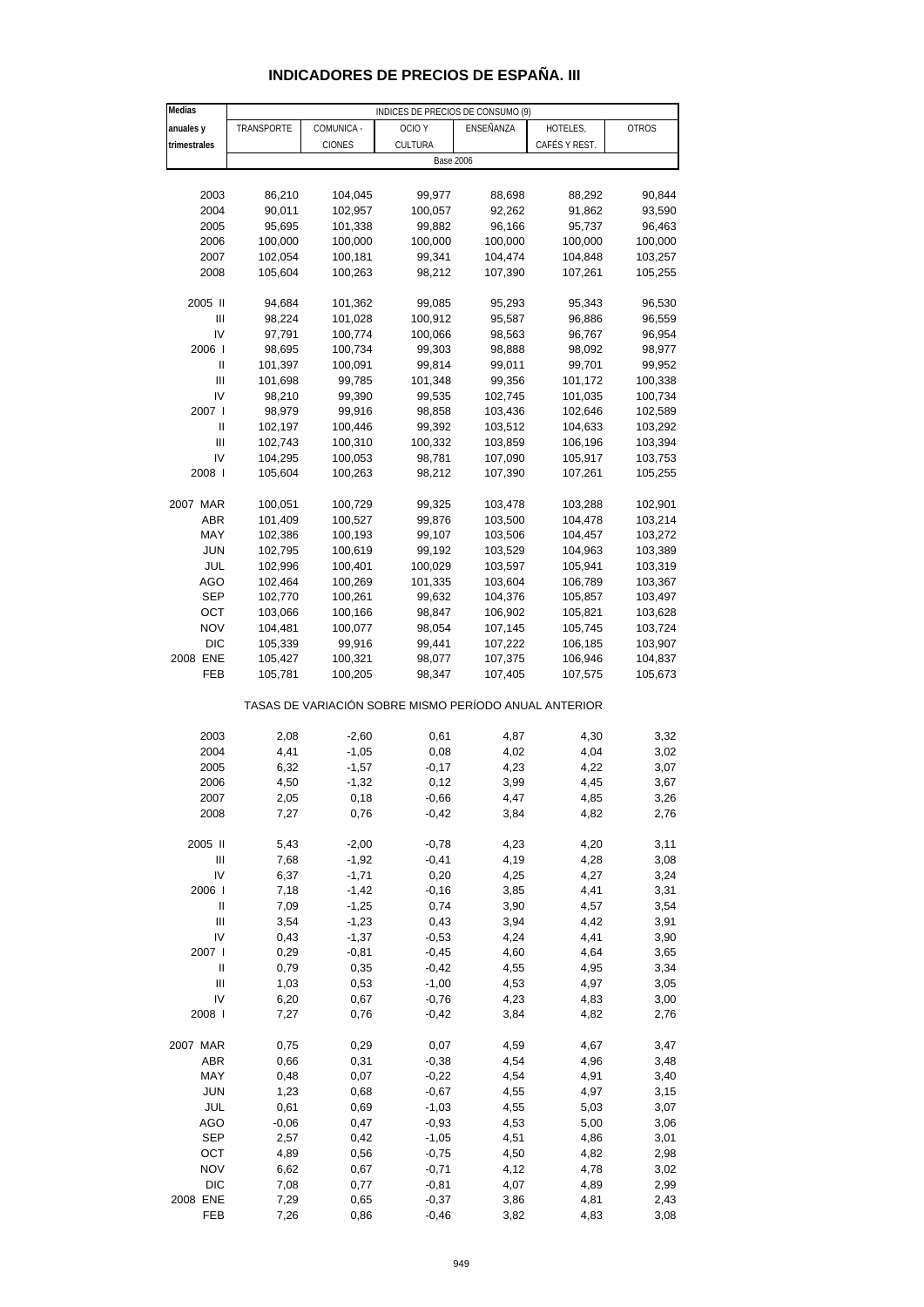| INDICADORES DE PRECIOS DE ESPANA. III |  |
|---------------------------------------|--|
|---------------------------------------|--|

| Medias                             | INDICES DE PRECIOS DE CONSUMO (9) |                    |                                                       |                    |                    |                    |  |  |
|------------------------------------|-----------------------------------|--------------------|-------------------------------------------------------|--------------------|--------------------|--------------------|--|--|
| anuales y                          | TRANSPORTE                        | COMUNICA -         | OCIO <sub>Y</sub>                                     | ENSEÑANZA          | HOTELES,           | <b>OTROS</b>       |  |  |
| trimestrales                       |                                   | <b>CIONES</b>      | CULTURA                                               |                    | CAFÉS Y REST.      |                    |  |  |
|                                    |                                   |                    |                                                       | <b>Base 2006</b>   |                    |                    |  |  |
|                                    |                                   |                    |                                                       |                    |                    |                    |  |  |
| 2003                               | 86,210                            | 104,045            | 99,977                                                | 88,698             | 88,292             | 90,844             |  |  |
| 2004                               | 90,011                            | 102,957            | 100,057                                               | 92,262             | 91,862             | 93,590             |  |  |
| 2005                               | 95,695                            | 101,338            | 99,882                                                | 96,166             | 95,737             | 96,463             |  |  |
| 2006                               | 100,000                           | 100,000            | 100,000                                               | 100,000            | 100,000            | 100,000            |  |  |
| 2007                               | 102,054                           | 100,181            | 99,341                                                | 104,474            | 104,848            | 103,257            |  |  |
| 2008                               | 105,604                           | 100,263            | 98,212                                                | 107,390            | 107,261            | 105,255            |  |  |
|                                    |                                   |                    |                                                       |                    | 95,343             |                    |  |  |
| 2005 II<br>Ш                       | 94,684<br>98,224                  | 101,362<br>101,028 | 99,085<br>100,912                                     | 95,293<br>95,587   |                    | 96,530<br>96,559   |  |  |
| IV                                 | 97,791                            | 100,774            | 100,066                                               | 98,563             | 96,886<br>96,767   | 96,954             |  |  |
| 2006                               | 98,695                            | 100,734            | 99,303                                                | 98,888             | 98,092             | 98,977             |  |  |
| Ш                                  | 101,397                           | 100,091            | 99,814                                                | 99,011             | 99,701             | 99,952             |  |  |
| Ш                                  | 101,698                           | 99,785             | 101,348                                               | 99,356             | 101,172            | 100,338            |  |  |
| IV                                 | 98,210                            | 99,390             | 99,535                                                | 102,745            | 101,035            | 100,734            |  |  |
| 2007 l                             | 98,979                            | 99,916             | 98,858                                                | 103,436            | 102,646            | 102,589            |  |  |
| Ш                                  | 102,197                           | 100,446            | 99,392                                                | 103,512            | 104,633            | 103,292            |  |  |
| Ш                                  | 102,743                           | 100,310            | 100,332                                               | 103,859            | 106,196            | 103,394            |  |  |
| IV                                 | 104,295                           | 100,053            | 98,781                                                | 107,090            | 105,917            | 103,753            |  |  |
| 2008 l                             | 105,604                           | 100,263            | 98,212                                                | 107,390            | 107,261            | 105,255            |  |  |
|                                    |                                   |                    |                                                       |                    |                    |                    |  |  |
| 2007 MAR                           | 100,051                           | 100,729            | 99,325                                                | 103,478            | 103,288            | 102,901            |  |  |
| ABR                                | 101,409                           | 100,527            | 99,876                                                | 103,500            | 104,478            | 103,214            |  |  |
| MAY<br><b>JUN</b>                  | 102,386                           | 100,193            | 99,107                                                | 103,506            | 104,457            | 103,272            |  |  |
| JUL                                | 102,795<br>102,996                | 100,619<br>100,401 | 99,192<br>100,029                                     | 103,529<br>103,597 | 104,963<br>105,941 | 103,389<br>103,319 |  |  |
| <b>AGO</b>                         | 102,464                           | 100,269            | 101,335                                               | 103,604            | 106,789            | 103,367            |  |  |
| <b>SEP</b>                         | 102,770                           | 100,261            | 99,632                                                | 104,376            | 105,857            | 103,497            |  |  |
| OCT                                | 103,066                           | 100,166            | 98,847                                                | 106,902            | 105,821            | 103,628            |  |  |
| <b>NOV</b>                         | 104,481                           | 100,077            | 98,054                                                | 107,145            | 105,745            | 103,724            |  |  |
| DIC                                | 105,339                           | 99,916             | 99,441                                                | 107,222            | 106,185            | 103,907            |  |  |
| 2008 ENE                           | 105,427                           | 100,321            | 98,077                                                | 107,375            | 106,946            | 104,837            |  |  |
| FEB                                | 105,781                           | 100,205            | 98,347                                                | 107,405            | 107,575            | 105,673            |  |  |
|                                    |                                   |                    | TASAS DE VARIACIÓN SOBRE MISMO PERÍODO ANUAL ANTERIOR |                    |                    |                    |  |  |
| 2003                               | 2,08                              | $-2,60$            | 0,61                                                  | 4,87               | 4,30               | 3,32               |  |  |
| 2004                               | 4,41                              | $-1,05$            | 0,08                                                  | 4,02               | 4,04               | 3,02               |  |  |
| 2005                               | 6,32                              | $-1,57$            | $-0,17$                                               | 4,23               | 4,22               | 3,07               |  |  |
| 2006                               | 4,50                              | $-1,32$            | 0,12                                                  | 3,99               | 4,45               | 3,67               |  |  |
| 2007                               | 2,05                              | 0,18               | $-0,66$                                               | 4,47               | 4,85               | 3,26               |  |  |
| 2008                               | 7,27                              | 0,76               | $-0,42$                                               | 3,84               | 4,82               | 2,76               |  |  |
|                                    |                                   |                    |                                                       |                    |                    |                    |  |  |
| 2005 II                            | 5,43                              | $-2,00$            | $-0,78$                                               | 4,23               | 4,20               | 3,11               |  |  |
| $\ensuremath{\mathsf{III}}\xspace$ | 7,68                              | $-1,92$            | $-0,41$                                               | 4,19               | 4,28               | 3,08               |  |  |
| IV                                 | 6,37                              | $-1,71$            | 0,20                                                  | 4,25               | 4,27               | 3,24               |  |  |
| 2006 l                             | 7,18                              | $-1,42$            | $-0,16$                                               | 3,85               | 4,41               | 3,31               |  |  |
| $\ensuremath{\mathsf{II}}$<br>Ш    | 7,09<br>3,54                      | $-1,25$<br>$-1,23$ | 0,74<br>0,43                                          | 3,90<br>3,94       | 4,57<br>4,42       | 3,54<br>3,91       |  |  |
| IV                                 | 0,43                              | $-1,37$            | $-0,53$                                               | 4,24               | 4,41               | 3,90               |  |  |
| 2007 l                             | 0,29                              | $-0,81$            | $-0,45$                                               | 4,60               | 4,64               | 3,65               |  |  |
| Ш                                  | 0,79                              | 0,35               | $-0,42$                                               | 4,55               | 4,95               | 3,34               |  |  |
| $\ensuremath{\mathsf{III}}\xspace$ | 1,03                              | 0,53               | $-1,00$                                               | 4,53               | 4,97               | 3,05               |  |  |
| IV                                 | 6,20                              | 0,67               | $-0,76$                                               | 4,23               | 4,83               | 3,00               |  |  |
| 2008 l                             | 7,27                              | 0,76               | $-0,42$                                               | 3,84               | 4,82               | 2,76               |  |  |
|                                    |                                   |                    |                                                       |                    |                    |                    |  |  |
| 2007 MAR                           | 0,75                              | 0,29               | 0,07                                                  | 4,59               | 4,67               | 3,47               |  |  |
| <b>ABR</b>                         | 0,66                              | 0,31               | $-0,38$                                               | 4,54               | 4,96               | 3,48               |  |  |
| MAY                                | 0,48                              | 0,07               | $-0,22$                                               | 4,54               | 4,91               | 3,40               |  |  |
| <b>JUN</b>                         | 1,23                              | 0,68               | $-0,67$                                               | 4,55               | 4,97               | 3,15               |  |  |
| JUL                                | 0,61                              | 0,69               | $-1,03$                                               | 4,55               | 5,03               | 3,07               |  |  |
| <b>AGO</b>                         | $-0,06$                           | 0,47               | $-0,93$                                               | 4,53               | 5,00               | 3,06               |  |  |
| <b>SEP</b>                         | 2,57                              | 0,42               | $-1,05$                                               | 4,51               | 4,86               | 3,01               |  |  |
| OCT                                | 4,89                              | 0,56               | $-0,75$                                               | 4,50               | 4,82               | 2,98               |  |  |
| <b>NOV</b><br><b>DIC</b>           | 6,62<br>7,08                      | 0,67<br>0,77       | $-0,71$<br>$-0,81$                                    | 4,12<br>4,07       | 4,78<br>4,89       | 3,02<br>2,99       |  |  |
| 2008 ENE                           | 7,29                              | 0,65               | $-0,37$                                               | 3,86               | 4,81               | 2,43               |  |  |
| FEB                                | 7,26                              | 0,86               | $-0,46$                                               | 3,82               | 4,83               | 3,08               |  |  |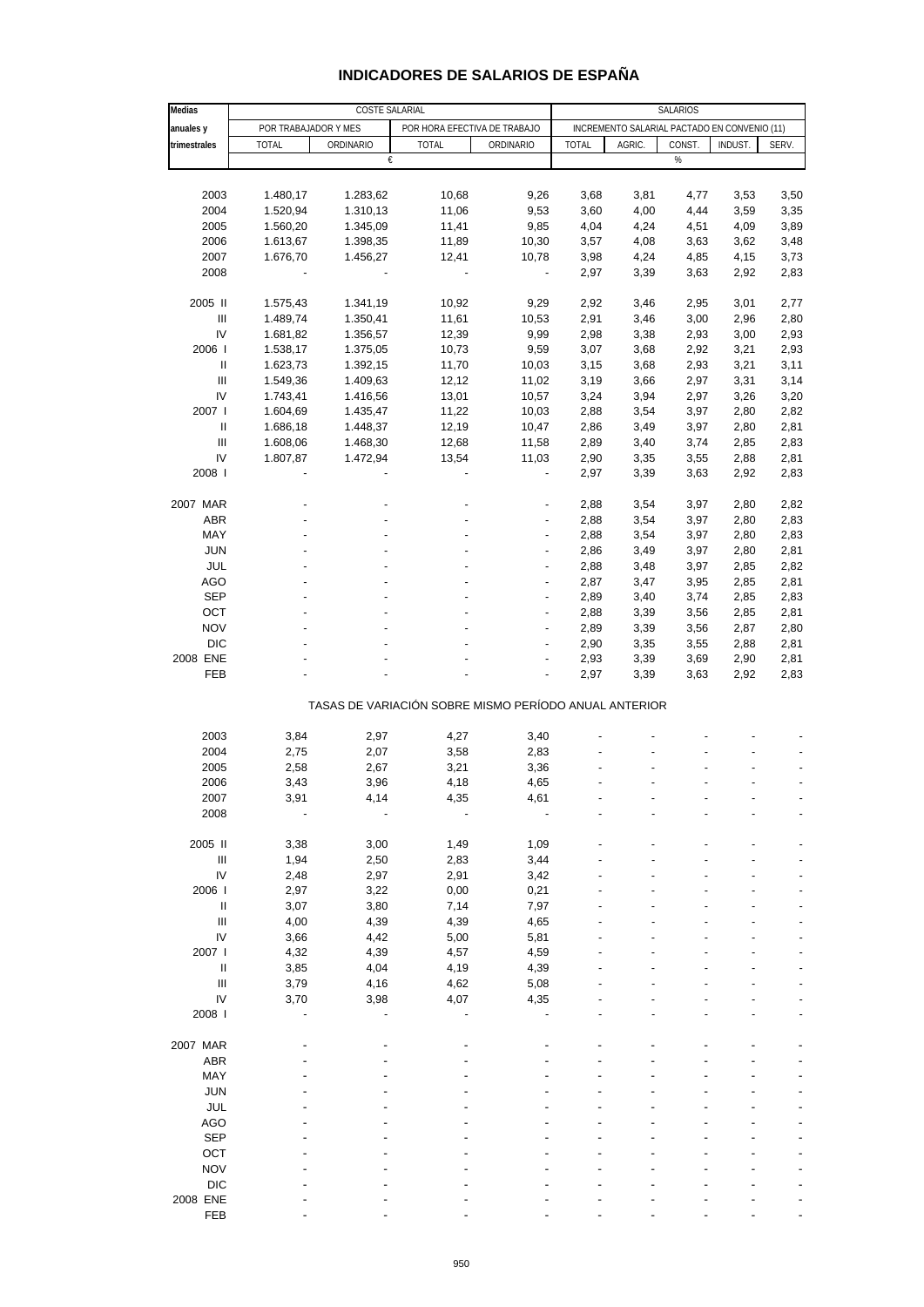| Medias                             |              | COSTE SALARIAL                                        | SALARIOS     |                              |                                              |        |        |         |       |  |
|------------------------------------|--------------|-------------------------------------------------------|--------------|------------------------------|----------------------------------------------|--------|--------|---------|-------|--|
| anuales y                          |              | POR TRABAJADOR Y MES                                  |              | POR HORA EFECTIVA DE TRABAJO | INCREMENTO SALARIAL PACTADO EN CONVENIO (11) |        |        |         |       |  |
| trimestrales                       | <b>TOTAL</b> | ORDINARIO                                             | <b>TOTAL</b> | ORDINARIO                    | <b>TOTAL</b>                                 | AGRIC. | CONST. | INDUST. | SERV. |  |
|                                    |              | €                                                     |              |                              |                                              |        | %      |         |       |  |
|                                    |              |                                                       |              |                              |                                              |        |        |         |       |  |
|                                    |              |                                                       |              |                              |                                              |        |        |         |       |  |
| 2003                               | 1.480,17     | 1.283,62                                              | 10,68        | 9,26                         | 3,68                                         | 3,81   | 4,77   | 3,53    | 3,50  |  |
| 2004                               | 1.520,94     | 1.310,13                                              | 11,06        | 9,53                         | 3,60                                         | 4,00   | 4,44   | 3,59    | 3,35  |  |
| 2005                               | 1.560,20     | 1.345,09                                              | 11,41        | 9,85                         | 4,04                                         | 4,24   | 4,51   | 4,09    | 3,89  |  |
| 2006                               | 1.613,67     | 1.398,35                                              | 11,89        | 10,30                        | 3,57                                         | 4,08   | 3,63   | 3,62    | 3,48  |  |
| 2007                               | 1.676,70     | 1.456,27                                              | 12,41        | 10,78                        | 3,98                                         | 4,24   | 4,85   | 4,15    | 3,73  |  |
| 2008                               |              |                                                       | ÷,           | $\frac{1}{2}$                | 2,97                                         | 3,39   | 3,63   | 2,92    | 2,83  |  |
|                                    |              |                                                       |              |                              |                                              |        |        |         |       |  |
| 2005 II                            | 1.575,43     | 1.341,19                                              | 10,92        | 9,29                         | 2,92                                         | 3,46   | 2,95   | 3,01    | 2,77  |  |
| $\ensuremath{\mathsf{III}}\xspace$ | 1.489,74     | 1.350,41                                              | 11,61        | 10,53                        | 2,91                                         | 3,46   | 3,00   | 2,96    | 2,80  |  |
| IV                                 | 1.681,82     | 1.356,57                                              | 12,39        | 9,99                         | 2,98                                         | 3,38   | 2,93   | 3,00    | 2,93  |  |
| 2006                               | 1.538,17     |                                                       | 10,73        | 9,59                         | 3,07                                         | 3,68   | 2,92   | 3,21    | 2,93  |  |
|                                    |              | 1.375,05                                              |              |                              |                                              |        |        |         |       |  |
| Ш                                  | 1.623,73     | 1.392,15                                              | 11,70        | 10,03                        | 3,15                                         | 3,68   | 2,93   | 3,21    | 3,11  |  |
| $\ensuremath{\mathsf{III}}\xspace$ | 1.549,36     | 1.409,63                                              | 12,12        | 11,02                        | 3,19                                         | 3,66   | 2,97   | 3,31    | 3,14  |  |
| IV                                 | 1.743,41     | 1.416,56                                              | 13,01        | 10,57                        | 3,24                                         | 3,94   | 2,97   | 3,26    | 3,20  |  |
| 2007 l                             | 1.604,69     | 1.435,47                                              | 11,22        | 10,03                        | 2,88                                         | 3,54   | 3,97   | 2,80    | 2,82  |  |
| Ш                                  | 1.686,18     | 1.448,37                                              | 12,19        | 10,47                        | 2,86                                         | 3,49   | 3,97   | 2,80    | 2,81  |  |
| Ш                                  | 1.608,06     | 1.468,30                                              | 12,68        | 11,58                        | 2,89                                         | 3,40   | 3,74   | 2,85    | 2,83  |  |
| IV                                 | 1.807,87     | 1.472,94                                              | 13,54        | 11,03                        | 2,90                                         | 3,35   | 3,55   | 2,88    | 2,81  |  |
| 2008                               |              |                                                       |              |                              | 2,97                                         | 3,39   | 3,63   | 2,92    | 2,83  |  |
|                                    |              |                                                       |              |                              |                                              |        |        |         |       |  |
| 2007 MAR                           |              |                                                       |              |                              | 2,88                                         | 3,54   | 3,97   | 2,80    | 2,82  |  |
| ABR                                |              |                                                       |              |                              | 2,88                                         | 3,54   | 3,97   | 2,80    | 2,83  |  |
|                                    |              |                                                       |              |                              |                                              |        |        |         |       |  |
| MAY                                |              |                                                       |              |                              | 2,88                                         | 3,54   | 3,97   | 2,80    | 2,83  |  |
| <b>JUN</b>                         |              |                                                       |              | $\overline{a}$               | 2,86                                         | 3,49   | 3,97   | 2,80    | 2,81  |  |
| <b>JUL</b>                         |              |                                                       |              |                              | 2,88                                         | 3,48   | 3,97   | 2,85    | 2,82  |  |
| <b>AGO</b>                         |              |                                                       |              | $\overline{a}$               | 2,87                                         | 3,47   | 3,95   | 2,85    | 2,81  |  |
| <b>SEP</b>                         |              |                                                       |              | $\overline{a}$               | 2,89                                         | 3,40   | 3,74   | 2,85    | 2,83  |  |
| OCT                                |              |                                                       |              |                              | 2,88                                         | 3,39   | 3,56   | 2,85    | 2,81  |  |
| <b>NOV</b>                         |              |                                                       |              | $\overline{a}$               | 2,89                                         | 3,39   | 3,56   | 2,87    | 2,80  |  |
| <b>DIC</b>                         |              |                                                       |              | $\overline{a}$               | 2,90                                         | 3,35   | 3,55   | 2,88    | 2,81  |  |
| 2008 ENE                           |              |                                                       |              |                              | 2,93                                         | 3,39   | 3,69   | 2,90    | 2,81  |  |
| FEB                                |              |                                                       |              |                              | 2,97                                         | 3,39   | 3,63   | 2,92    | 2,83  |  |
|                                    |              |                                                       |              |                              |                                              |        |        |         |       |  |
|                                    |              | TASAS DE VARIACIÓN SOBRE MISMO PERÍODO ANUAL ANTERIOR |              |                              |                                              |        |        |         |       |  |
|                                    |              |                                                       |              |                              |                                              |        |        |         |       |  |
| 2003                               | 3,84         | 2,97                                                  | 4,27         | 3,40                         |                                              |        |        |         |       |  |
| 2004                               | 2,75         | 2,07                                                  | 3,58         | 2,83                         |                                              |        |        |         |       |  |
|                                    |              |                                                       |              |                              |                                              |        |        |         |       |  |
| 2005                               | 2,58         | 2,67                                                  | 3,21         | 3,36                         |                                              |        |        |         |       |  |
| 2006                               | 3,43         | 3,96                                                  | 4,18         | 4,65                         |                                              |        |        |         |       |  |
| 2007                               | 3,91         | 4,14                                                  | 4,35         | 4,61                         |                                              |        |        |         |       |  |
| 2008                               |              |                                                       |              |                              |                                              |        |        |         |       |  |
|                                    |              |                                                       |              |                              |                                              |        |        |         |       |  |
| 2005 II                            | 3,38         | 3,00                                                  | 1,49         | 1,09                         |                                              |        |        |         |       |  |
| $\ensuremath{\mathsf{III}}\xspace$ | 1,94         | 2,50                                                  | 2,83         | 3,44                         |                                              |        |        |         |       |  |
| IV                                 | 2,48         | 2,97                                                  | 2,91         | 3,42                         |                                              |        |        |         |       |  |
| 2006                               | 2,97         | 3,22                                                  | 0,00         | 0,21                         |                                              |        |        |         |       |  |
| Ш                                  | 3,07         | 3,80                                                  | 7,14         | 7,97                         |                                              |        |        |         |       |  |
| Ш                                  | 4,00         | 4,39                                                  | 4,39         | 4,65                         |                                              |        |        |         |       |  |
| IV                                 | 3,66         | 4,42                                                  | 5,00         | 5,81                         |                                              |        |        |         |       |  |
| 2007 l                             | 4,32         | 4,39                                                  | 4,57         | 4,59                         |                                              |        |        |         |       |  |
|                                    |              |                                                       |              |                              |                                              |        |        |         |       |  |
| Ш                                  | 3,85         | 4,04                                                  | 4,19         | 4,39                         |                                              |        |        |         |       |  |
| III                                | 3,79         | 4,16                                                  | 4,62         | 5,08                         |                                              |        |        |         |       |  |
| IV                                 | 3,70         | 3,98                                                  | 4,07         | 4,35                         |                                              |        |        |         |       |  |
| 2008                               |              |                                                       |              |                              |                                              |        |        |         |       |  |
|                                    |              |                                                       |              |                              |                                              |        |        |         |       |  |
| 2007 MAR                           |              |                                                       |              |                              |                                              |        |        |         |       |  |
| ABR                                |              |                                                       |              |                              |                                              |        |        |         |       |  |
| MAY                                |              |                                                       |              |                              |                                              |        |        |         |       |  |
| <b>JUN</b>                         |              |                                                       |              |                              |                                              |        |        |         |       |  |
| <b>JUL</b>                         |              |                                                       |              |                              |                                              |        |        |         |       |  |
| <b>AGO</b>                         |              |                                                       |              |                              |                                              |        |        |         |       |  |
| <b>SEP</b>                         |              |                                                       |              |                              |                                              |        |        |         |       |  |
|                                    |              |                                                       |              |                              |                                              |        |        |         |       |  |
| OCT                                |              |                                                       |              |                              |                                              |        |        |         |       |  |
| <b>NOV</b>                         |              |                                                       |              |                              |                                              |        |        |         |       |  |
| <b>DIC</b>                         |              |                                                       |              |                              |                                              |        |        |         |       |  |
| 2008 ENE                           |              |                                                       |              |                              |                                              |        |        |         |       |  |
| FEB                                |              |                                                       |              |                              |                                              |        |        |         |       |  |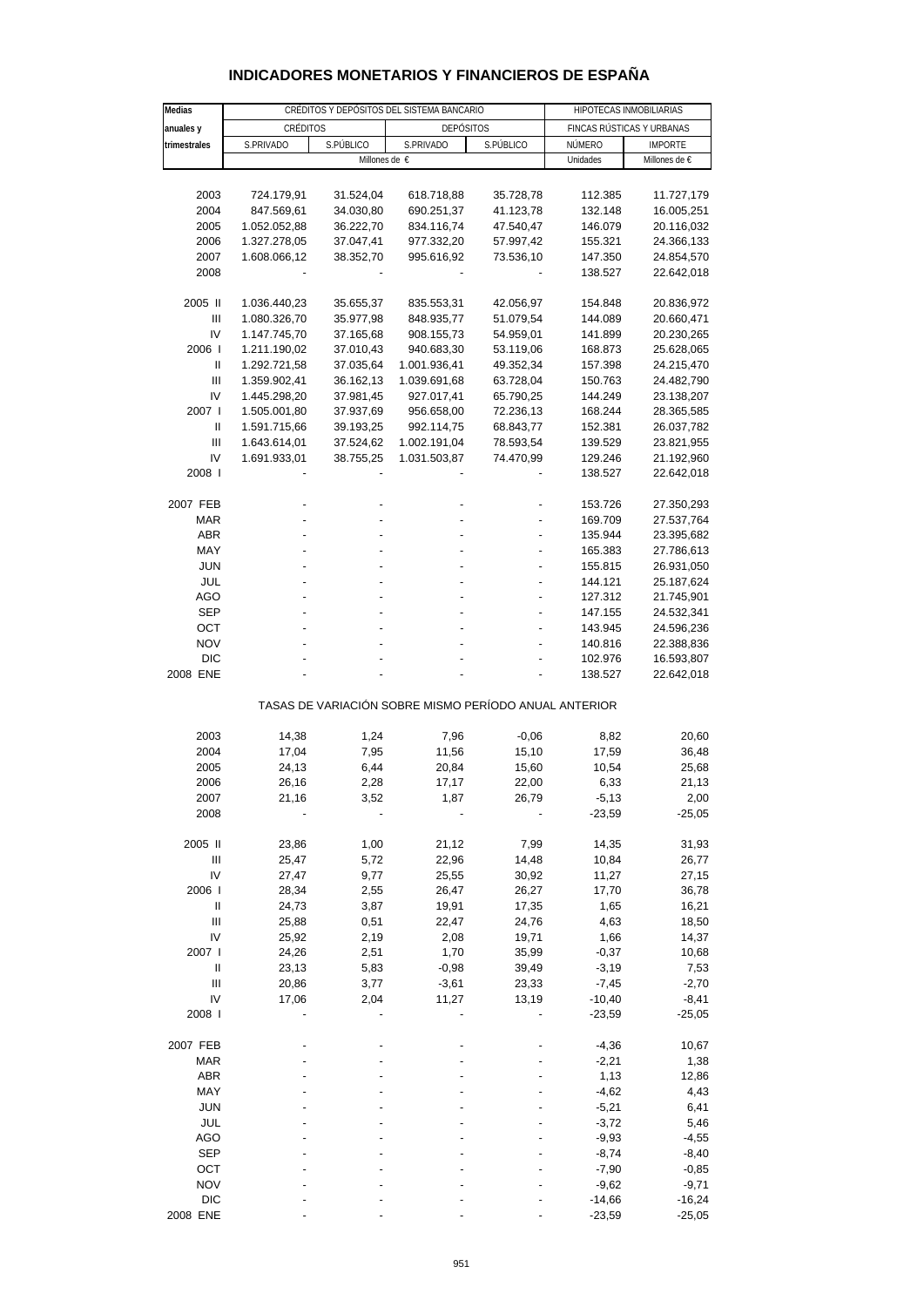#### **INDICADORES MONETARIOS Y FINANCIEROS DE ESPAÑA**

| Medias                             |                        | CRÉDITOS Y DEPÓSITOS DEL SISTEMA BANCARIO |                                                       | HIPOTECAS INMOBILIARIAS |                           |               |  |
|------------------------------------|------------------------|-------------------------------------------|-------------------------------------------------------|-------------------------|---------------------------|---------------|--|
| anuales y                          | CRÉDITOS               |                                           | <b>DEPÓSITOS</b>                                      |                         | FINCAS RÚSTICAS Y URBANAS |               |  |
| trimestrales                       | S.PÚBLICO<br>S.PRIVADO |                                           | S.PRIVADO                                             | S.PÚBLICO               | NÚMERO<br><b>IMPORTE</b>  |               |  |
|                                    |                        | Millones de $\epsilon$                    |                                                       |                         | Unidades                  | Millones de € |  |
|                                    |                        |                                           |                                                       |                         |                           |               |  |
| 2003                               | 724.179,91             | 31.524,04                                 | 618.718,88                                            | 35.728,78               | 112.385                   | 11.727,179    |  |
| 2004                               | 847.569,61             | 34.030,80                                 | 690.251,37                                            | 41.123,78               | 132.148                   | 16.005,251    |  |
| 2005                               | 1.052.052,88           | 36.222,70                                 | 834.116,74                                            | 47.540,47               | 146.079                   | 20.116,032    |  |
| 2006                               | 1.327.278,05           | 37.047,41                                 | 977.332,20                                            | 57.997,42               | 155.321                   | 24.366,133    |  |
| 2007                               | 1.608.066,12           | 38.352,70                                 | 995.616,92                                            | 73.536,10               | 147.350                   | 24.854,570    |  |
| 2008                               |                        |                                           |                                                       |                         | 138.527                   | 22.642,018    |  |
|                                    |                        |                                           |                                                       |                         |                           |               |  |
| 2005 II                            | 1.036.440,23           | 35.655,37                                 | 835.553,31                                            | 42.056,97               | 154.848                   | 20.836,972    |  |
| Ш                                  | 1.080.326,70           | 35.977,98                                 | 848.935,77                                            | 51.079,54               | 144.089                   | 20.660,471    |  |
| IV                                 | 1.147.745,70           | 37.165,68                                 | 908.155,73                                            | 54.959,01               | 141.899                   | 20.230,265    |  |
| 2006                               | 1.211.190,02           | 37.010,43                                 | 940.683,30                                            | 53.119,06               | 168.873                   | 25.628,065    |  |
| $\ensuremath{\mathsf{II}}$         | 1.292.721,58           | 37.035,64                                 | 1.001.936,41                                          | 49.352,34               | 157.398                   | 24.215,470    |  |
| Ш                                  | 1.359.902,41           | 36.162,13                                 | 1.039.691,68                                          | 63.728,04               | 150.763                   | 24.482,790    |  |
| IV                                 | 1.445.298,20           | 37.981,45                                 | 927.017,41                                            | 65.790,25               | 144.249                   | 23.138,207    |  |
| 2007 l                             | 1.505.001,80           | 37.937,69                                 | 956.658,00                                            | 72.236,13               | 168.244                   | 28.365,585    |  |
| Ш                                  | 1.591.715,66           | 39.193,25                                 | 992.114,75                                            | 68.843,77               | 152.381                   | 26.037,782    |  |
| $\ensuremath{\mathsf{III}}\xspace$ | 1.643.614,01           | 37.524,62                                 | 1.002.191,04                                          | 78.593,54               | 139.529                   | 23.821,955    |  |
| IV                                 | 1.691.933,01           | 38.755,25                                 | 1.031.503,87                                          | 74.470,99               | 129.246                   | 21.192,960    |  |
| 2008                               |                        |                                           |                                                       |                         | 138.527                   | 22.642,018    |  |
|                                    |                        |                                           |                                                       |                         |                           |               |  |
| 2007 FEB                           |                        |                                           |                                                       |                         | 153.726                   | 27.350,293    |  |
| MAR                                |                        |                                           |                                                       |                         | 169.709                   | 27.537,764    |  |
| ABR                                |                        |                                           |                                                       |                         | 135.944                   | 23.395,682    |  |
| MAY                                |                        |                                           |                                                       |                         | 165.383                   | 27.786,613    |  |
| <b>JUN</b>                         |                        |                                           |                                                       |                         | 155.815                   | 26.931,050    |  |
| JUL                                |                        |                                           |                                                       |                         | 144.121                   | 25.187,624    |  |
| AGO                                |                        |                                           |                                                       |                         | 127.312                   | 21.745,901    |  |
| <b>SEP</b>                         |                        |                                           |                                                       |                         | 147.155                   | 24.532,341    |  |
| ост                                |                        |                                           |                                                       |                         | 143.945                   | 24.596,236    |  |
| <b>NOV</b>                         |                        |                                           |                                                       |                         | 140.816                   | 22.388,836    |  |
| DIC                                |                        |                                           |                                                       |                         | 102.976                   | 16.593,807    |  |
| 2008 ENE                           |                        |                                           |                                                       |                         | 138.527                   | 22.642,018    |  |
|                                    |                        |                                           | TASAS DE VARIACIÓN SOBRE MISMO PERÍODO ANUAL ANTERIOR |                         |                           |               |  |
|                                    |                        |                                           |                                                       |                         |                           |               |  |
| 2003                               | 14,38                  | 1,24                                      | 7,96                                                  | $-0,06$                 | 8,82                      | 20,60         |  |
| 2004                               | 17,04                  | 7,95                                      | 11,56                                                 | 15,10                   | 17,59                     | 36,48         |  |
| 2005                               | 24,13                  | 6,44                                      | 20,84                                                 | 15,60                   | 10,54                     | 25,68         |  |
| 2006                               | 26,16                  | 2,28                                      | 17,17                                                 | 22,00                   | 6,33                      | 21,13         |  |
| 2007                               | 21,16                  | 3,52                                      | 1,87                                                  | 26,79                   | -5,13                     | 2,00          |  |
| 2008                               |                        |                                           |                                                       |                         | $-23,59$                  | $-25,05$      |  |
| 2005 II                            | 23,86                  | 1,00                                      | 21,12                                                 | 7,99                    | 14,35                     | 31,93         |  |
| Ш                                  | 25,47                  | 5,72                                      | 22,96                                                 | 14,48                   | 10,84                     | 26,77         |  |
| IV                                 | 27,47                  | 9,77                                      | 25,55                                                 | 30,92                   | 11,27                     | 27,15         |  |
| 2006                               | 28,34                  | 2,55                                      | 26,47                                                 | 26,27                   | 17,70                     | 36,78         |  |
| Ш                                  | 24,73                  | 3,87                                      | 19,91                                                 | 17,35                   | 1,65                      | 16,21         |  |
| $\ensuremath{\mathsf{III}}\xspace$ | 25,88                  | 0,51                                      | 22,47                                                 | 24,76                   | 4,63                      | 18,50         |  |
| IV                                 | 25,92                  | 2,19                                      | 2,08                                                  | 19,71                   | 1,66                      | 14,37         |  |
| 2007 l                             | 24,26                  | 2,51                                      | 1,70                                                  | 35,99                   | $-0,37$                   | 10,68         |  |
| $\ensuremath{\mathsf{II}}$         | 23,13                  | 5,83                                      | $-0,98$                                               | 39,49                   | $-3,19$                   | 7,53          |  |
| Ш                                  | 20,86                  | 3,77                                      | $-3,61$                                               | 23,33                   | $-7,45$                   | $-2,70$       |  |
| IV                                 | 17,06                  | 2,04                                      | 11,27                                                 | 13,19                   | $-10,40$                  | $-8,41$       |  |
| 2008                               |                        |                                           |                                                       |                         | $-23,59$                  | $-25,05$      |  |
|                                    |                        |                                           |                                                       |                         |                           |               |  |
| 2007 FEB                           |                        |                                           |                                                       |                         | $-4,36$                   | 10,67         |  |
| <b>MAR</b>                         |                        |                                           |                                                       |                         | $-2,21$                   | 1,38          |  |
| ABR                                |                        |                                           |                                                       |                         | 1,13                      | 12,86         |  |
| MAY                                |                        |                                           |                                                       |                         | $-4,62$                   | 4,43          |  |
| <b>JUN</b>                         |                        |                                           |                                                       |                         | $-5,21$                   | 6,41          |  |
| JUL                                |                        |                                           |                                                       |                         | $-3,72$                   | 5,46          |  |
| <b>AGO</b>                         |                        |                                           |                                                       |                         | $-9,93$                   | $-4,55$       |  |
| <b>SEP</b>                         |                        |                                           |                                                       |                         | $-8,74$                   | $-8,40$       |  |
| OCT                                |                        |                                           |                                                       |                         | $-7,90$                   | $-0,85$       |  |
| <b>NOV</b>                         |                        |                                           |                                                       |                         | $-9,62$                   | $-9,71$       |  |
| <b>DIC</b>                         |                        |                                           |                                                       |                         | $-14,66$                  | $-16,24$      |  |
| 2008 ENE                           |                        |                                           |                                                       |                         | $-23,59$                  | $-25,05$      |  |